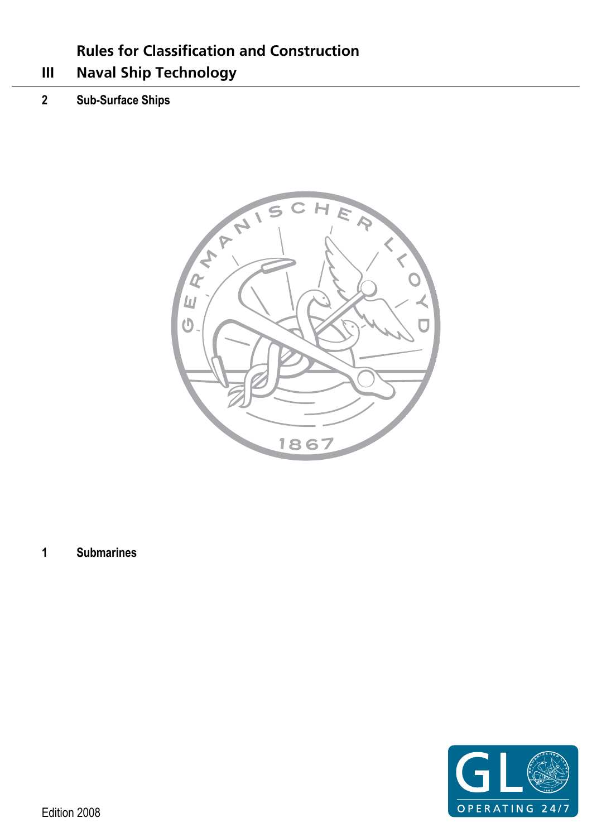# **Rules for Classification and Construction**

- <span id="page-0-0"></span>**III Naval Ship Technology**
- **2 Sub-Surface Ships**



**1 Submarines** 

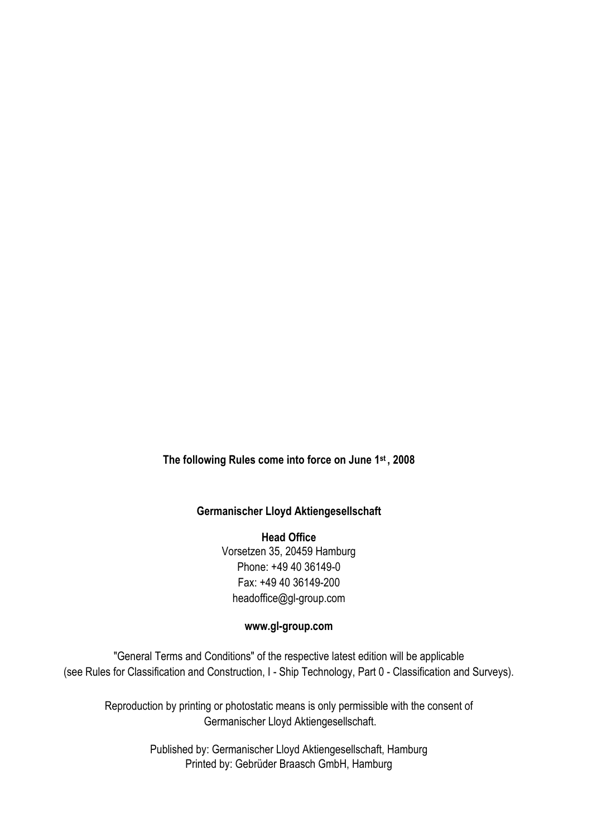**The following Rules come into force on June 1st , 2008** 

### **Germanischer Lloyd Aktiengesellschaft**

**Head Office**  Vorsetzen 35, 20459 Hamburg Phone: +49 40 36149-0 Fax: +49 40 36149-200 headoffice@gl-group.com

### **www.gl-group.com**

"General Terms and Conditions" of the respective latest edition will be applicable (see Rules for Classification and Construction, I - Ship Technology, Part 0 - Classification and Surveys).

Reproduction by printing or photostatic means is only permissible with the consent of Germanischer Lloyd Aktiengesellschaft.

> Published by: Germanischer Lloyd Aktiengesellschaft, Hamburg Printed by: Gebrüder Braasch GmbH, Hamburg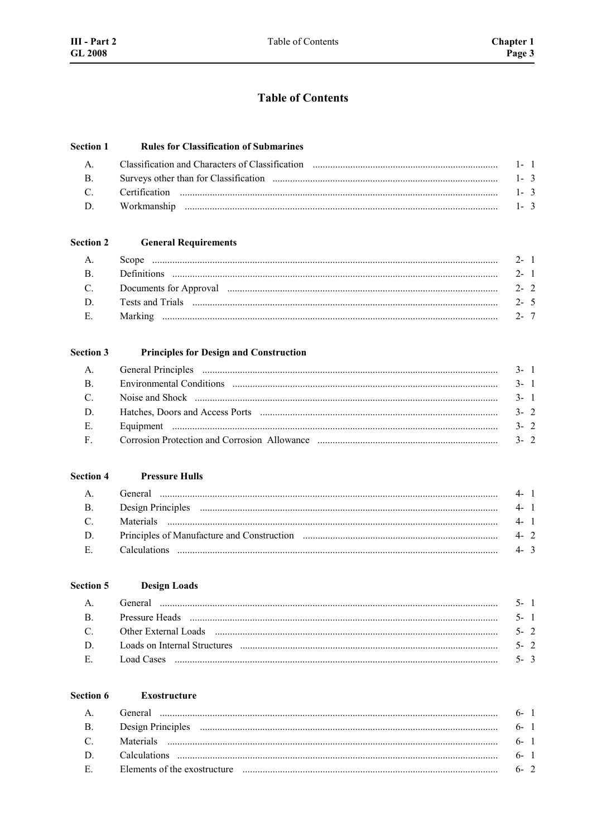## **Table of Contents**

#### **Section 1 Rules for Classification of Submarines**

| $\overline{B}$ |         |
|----------------|---------|
| $\mathcal{C}$  |         |
| $\mathbf{D}$   | $1 - 3$ |

#### **Section 2 General Requirements**

| $A_{\cdot}$  |                                                                                                                                                                                                                                | $2 - 1$ |  |
|--------------|--------------------------------------------------------------------------------------------------------------------------------------------------------------------------------------------------------------------------------|---------|--|
| $\mathbf{B}$ |                                                                                                                                                                                                                                | $2 - 1$ |  |
|              | C. Documents for Approval manufactured and the contract of the contract of the contract of the contract of the contract of the contract of the contract of the contract of the contract of the contract of the contract of the | $2 - 2$ |  |
| $\mathbf{D}$ |                                                                                                                                                                                                                                |         |  |
| $E_{\perp}$  |                                                                                                                                                                                                                                |         |  |

#### **Section 3 Principles for Design and Construction**

|              | $3 - 1$ |
|--------------|---------|
| $\mathbf{B}$ | $3 - 1$ |
| $\mathbf{C}$ | $3 - 1$ |
| D.           | $3 - 2$ |
| E.           | $3 - 2$ |
| $\mathbf{F}$ |         |

#### **Section 4 Pressure Hulls**

| $A_{1}$       | $4 - 1$ |  |
|---------------|---------|--|
| $\mathbf{B}$  | $4 - 1$ |  |
| $\mathcal{C}$ | $4 - 1$ |  |
| D             | $4 - 2$ |  |
| $E =$         | $4 - 3$ |  |

| Section 5     | <b>Design Loads</b> |         |
|---------------|---------------------|---------|
|               |                     | $5 - 1$ |
| B             |                     | $5 - 1$ |
| $\mathcal{C}$ |                     | $5 - 2$ |
| D             |                     | $5 - 2$ |
| Е             |                     | $5 - 3$ |

#### Section 6 **Exostructure**

 $\overline{a}$ 

| $\mathsf{A}$   | General   |         |  |
|----------------|-----------|---------|--|
| $\mathbf{B}$ . |           | $6 - 1$ |  |
| $\mathcal{C}$  | Materials | $6 - 1$ |  |
| D.             |           | $6 - 1$ |  |
| $E =$          |           | 6. 2    |  |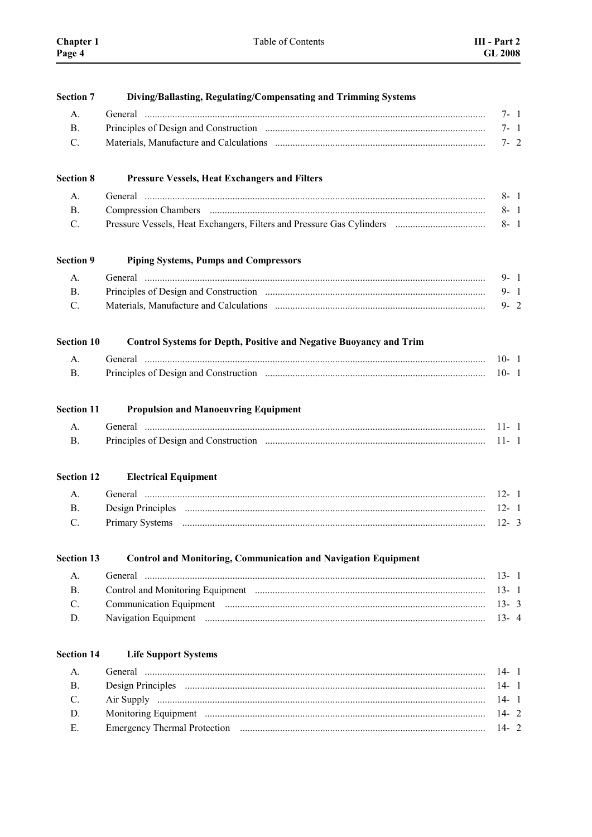| <b>Section 7</b>  | Diving/Ballasting, Regulating/Compensating and Trimming Systems           |          |
|-------------------|---------------------------------------------------------------------------|----------|
| A.                |                                                                           | $7 - 1$  |
| <b>B.</b>         |                                                                           | $7 - 1$  |
| C.                |                                                                           | $7 - 2$  |
| <b>Section 8</b>  | <b>Pressure Vessels, Heat Exchangers and Filters</b>                      |          |
| А.                |                                                                           | $8 - 1$  |
| <b>B.</b>         |                                                                           | $8 - 1$  |
| C.                |                                                                           | $8 - 1$  |
| <b>Section 9</b>  | <b>Piping Systems, Pumps and Compressors</b>                              |          |
| A.                |                                                                           | $9 - 1$  |
| B <sub>1</sub>    |                                                                           | $9 - 1$  |
| C.                |                                                                           | $9 - 2$  |
| <b>Section 10</b> | <b>Control Systems for Depth, Positive and Negative Buoyancy and Trim</b> |          |
| А.                |                                                                           | $10 - 1$ |
| <b>B.</b>         |                                                                           | $10 - 1$ |
| <b>Section 11</b> | <b>Propulsion and Manoeuvring Equipment</b>                               |          |
| A.                |                                                                           | $11 - 1$ |
| <b>B.</b>         |                                                                           | $11 - 1$ |
| <b>Section 12</b> | <b>Electrical Equipment</b>                                               |          |
| А.                |                                                                           | $12 - 1$ |
| <b>B.</b>         |                                                                           | $12 - 1$ |
| C.                |                                                                           | $12 - 3$ |
| <b>Section 13</b> | <b>Control and Monitoring, Communication and Navigation Equipment</b>     |          |
| A.                |                                                                           | $13 - 1$ |
| <b>B</b> .        |                                                                           | $13 - 1$ |
| $\mathbf{C}$ .    |                                                                           | $13 - 3$ |
| D.                |                                                                           | $13 - 4$ |
| <b>Section 14</b> | <b>Life Support Systems</b>                                               |          |
| A <sub>1</sub>    |                                                                           | $14 - 1$ |
| <b>B.</b>         |                                                                           | $14 - 1$ |
| C.                |                                                                           | $14 - 1$ |
| D.                |                                                                           | $14 - 2$ |
| Е.                |                                                                           | $14 - 2$ |
|                   |                                                                           |          |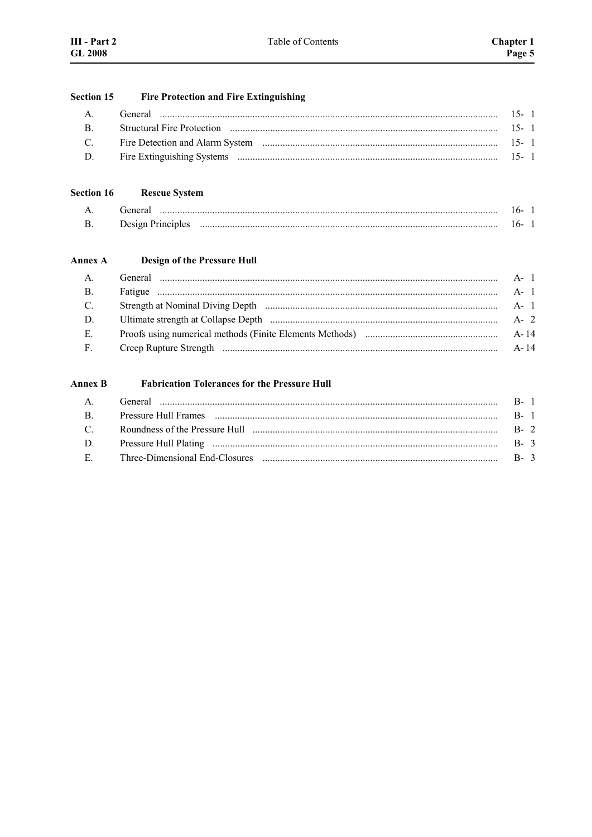#### Fire Protection and Fire Extinguishing **Section 15**

| $\mathsf{A}$  | General | $15 - 1$ |  |
|---------------|---------|----------|--|
| $\mathbf{R}$  |         |          |  |
| $\mathcal{C}$ |         |          |  |
| $\mathbf{D}$  |         |          |  |

#### **Section 16 Rescue System**

| А | renera.<br>       | n.  |  |
|---|-------------------|-----|--|
| R | Design Principles | 'n. |  |

#### Annex A **Design of the Pressure Hull**

| $A - 1$ |
|---------|
| $A - 1$ |
| A- 1    |
| A- 2    |
| A-14    |
| A-14    |
|         |

#### **Annex B Fabrication Tolerances for the Pressure Hull**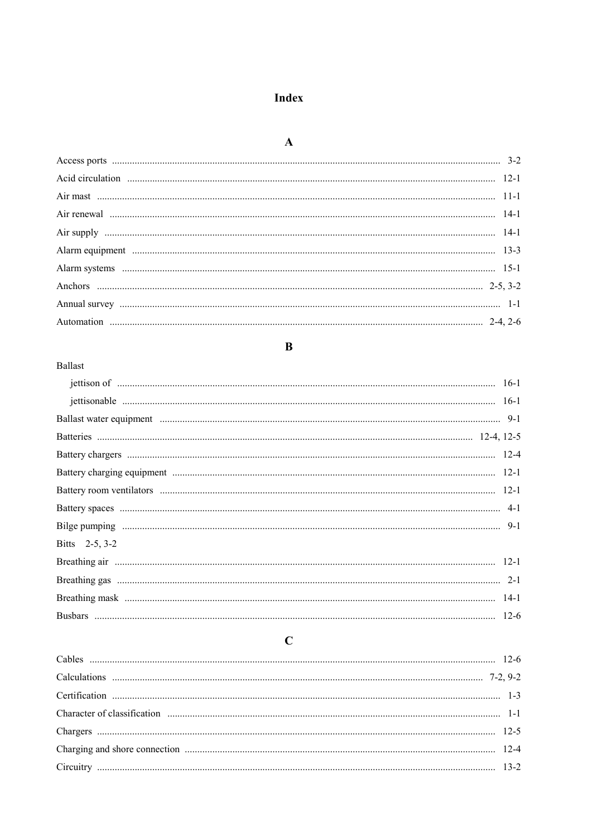# Index

## $\overline{\mathbf{B}}$

### Ballast

| Bitts 2-5, 3-2 |        |
|----------------|--------|
|                |        |
|                |        |
|                |        |
| <b>Rushars</b> | $12-6$ |

# $\mathbf C$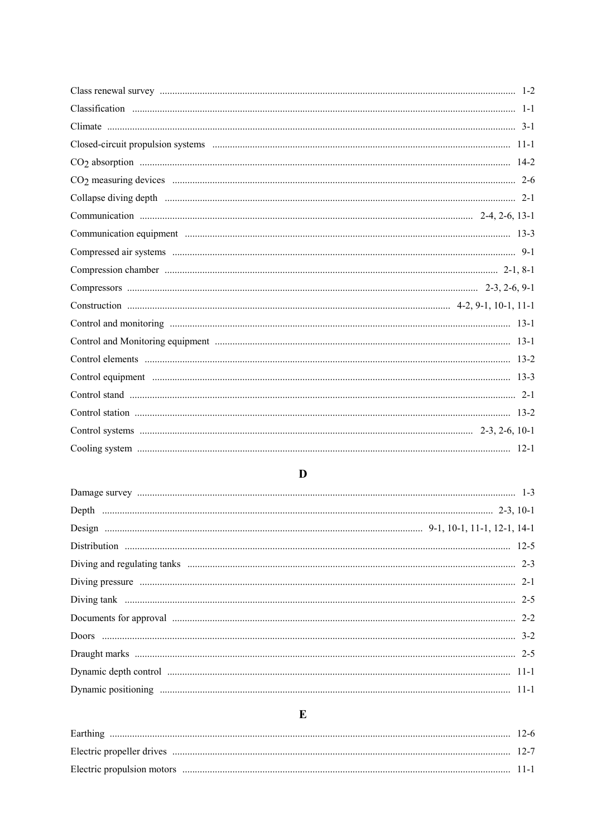# $\overline{\mathbf{D}}$

# $\mathbf E$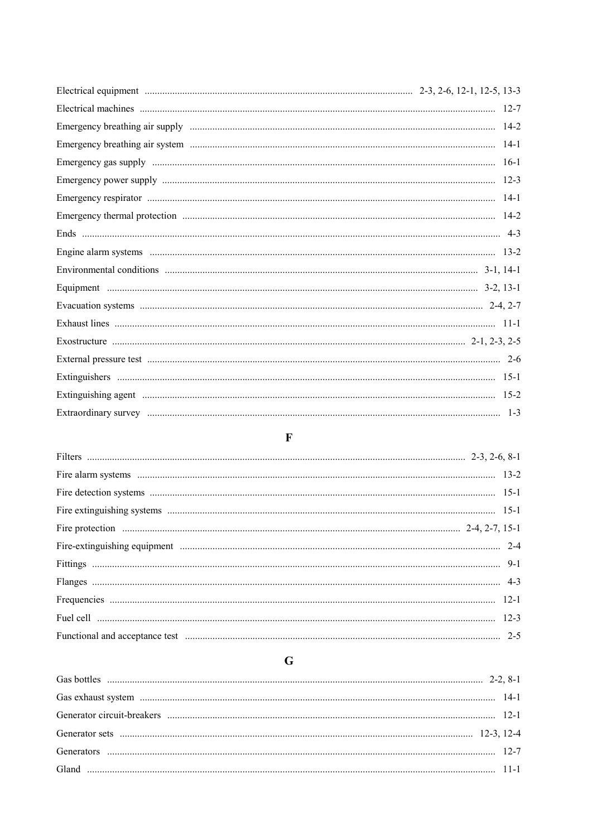# $\overline{\mathbf{F}}$

# $\mathbf G$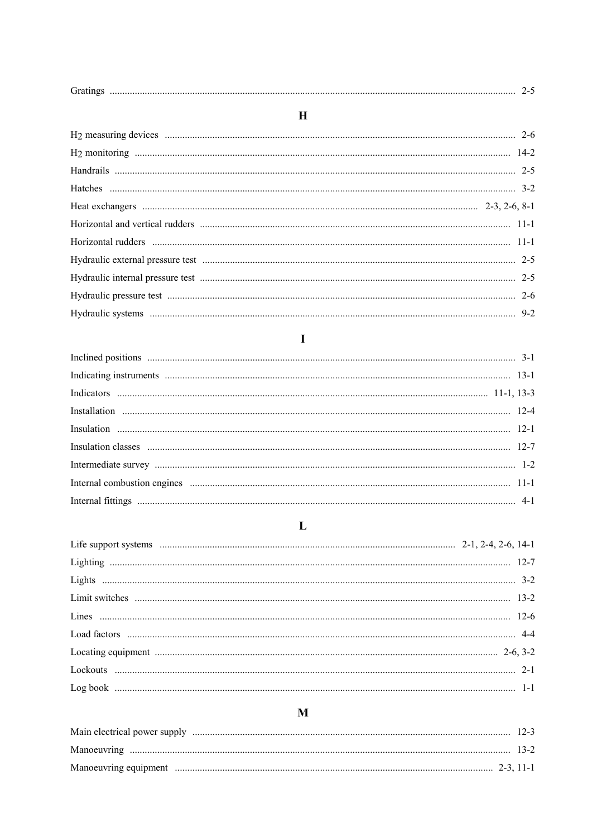| ∽ |  |  |  |
|---|--|--|--|
|---|--|--|--|

# $\overline{\mathbf{H}}$

# $\mathbf I$

# $\mathbf{L}%$

# $\overline{\mathbf{M}}$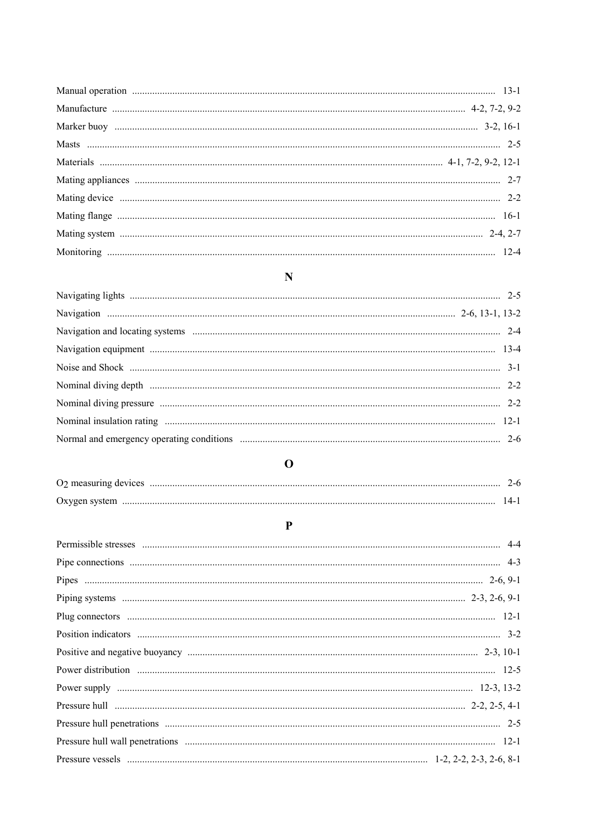# $\mathbf N$

# $\mathbf 0$

| $14 - 1$ |
|----------|

# $\overline{\mathbf{P}}$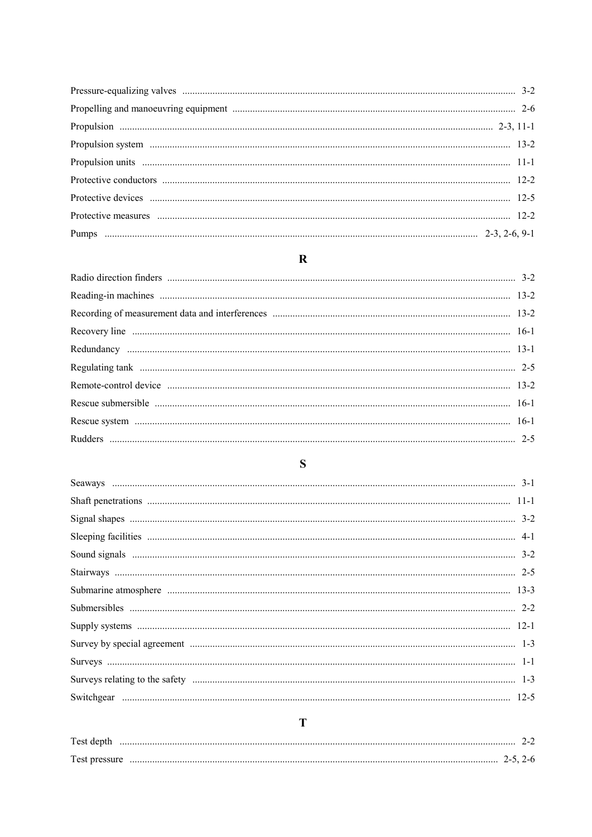### $\overline{\mathbf{R}}$

### $\mathbf S$

## $\overline{\mathbf{T}}$

#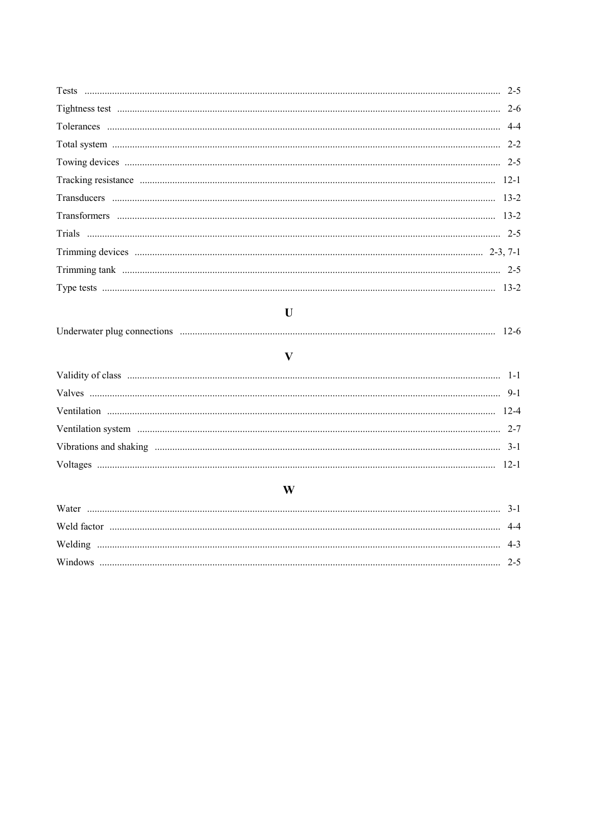| U            |  |
|--------------|--|
|              |  |
|              |  |
| $\mathbf{V}$ |  |
|              |  |
|              |  |
|              |  |
|              |  |
|              |  |
|              |  |
| W            |  |
|              |  |
|              |  |
|              |  |
|              |  |
|              |  |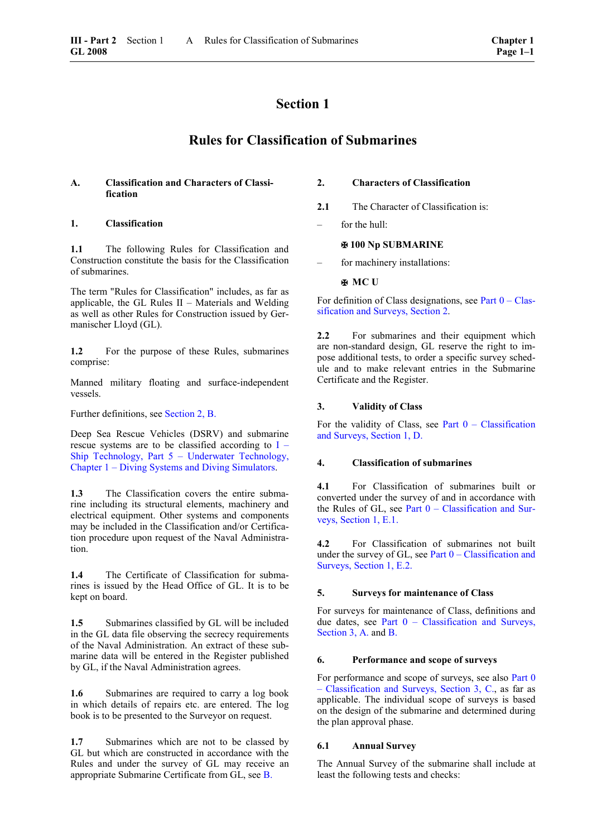## **Section 1**

### **Rules for Classification of Submarines**

### **A. Classification and Characters of Classification**

### **1. Classification**

**1.1** The following Rules for Classification and Construction constitute the basis for the Classification of submarines.

The term "Rules for Classification" includes, as far as applicable, the GL Rules II – Materials and Welding as well as other Rules for Construction issued by Germanischer Lloyd (GL).

**1.2** For the purpose of these Rules, submarines comprise:

Manned military floating and surface-independent vessels.

Further definitions, see [Section 2, B.](#page-16-0)

Deep Sea Rescue Vehicles (DSRV) and submarine rescue systems are to be classified according to  $I -$ [Ship Technology, Part 5 – Underwater Technology,](#page-0-0)  [Chapter 1 – Diving Systems and Diving Simulators.](#page-0-0) 

**1.3** The Classification covers the entire submarine including its structural elements, machinery and electrical equipment. Other systems and components may be included in the Classification and/or Certification procedure upon request of the Naval Administration.

**1.4** The Certificate of Classification for submarines is issued by the Head Office of GL. It is to be kept on board.

1.5 Submarines classified by GL will be included in the GL data file observing the secrecy requirements of the Naval Administration. An extract of these submarine data will be entered in the Register published by GL, if the Naval Administration agrees.

1.6 Submarines are required to carry a log book in which details of repairs etc. are entered. The log book is to be presented to the Surveyor on request.

**1.7** Submarines which are not to be classed by GL but which are constructed in accordance with the Rules and under the survey of GL may receive an appropriate Submarine Certificate from GL, see [B.](#page-14-0)

### **2. Characters of Classification**

- 2.1 The Character of Classification is:
- for the hull:

### **100 Np SUBMARINE**

for machinery installations:

### **H** MC U

For definition of Class designations, see Part  $0 - Class$ [sification and Surveys, Section 2.](#page-16-1)

**2.2** For submarines and their equipment which are non-standard design, GL reserve the right to impose additional tests, to order a specific survey schedule and to make relevant entries in the Submarine Certificate and the Register.

### **3. Validity of Class**

For the validity of Class, see Part  $0 -$  Classification [and Surveys, Section 1, D.](#page-14-1)

### **4. Classification of submarines**

**4.1** For Classification of submarines built or converted under the survey of and in accordance with the Rules of GL, see Part 0 – Classification and Surveys, Section 1, E.1.

**4.2** For Classification of submarines not built under the survey of GL, see Part  $0 -$ Classification and Surveys, Section 1, E.2.

### **5. Surveys for maintenance of Class**

For surveys for maintenance of Class, definitions and due dates, see [Part 0 – Classification and Surveys,](#page-24-0)  [Section 3, A.](#page-24-0) and [B.](#page-24-1)

### **6. Performance and scope of surveys**

For performance and scope of surveys, see also Part 0 [– Classification and Surveys, Section 3, C.,](#page-24-2) as far as applicable. The individual scope of surveys is based on the design of the submarine and determined during the plan approval phase.

### **6.1 Annual Survey**

The Annual Survey of the submarine shall include at least the following tests and checks: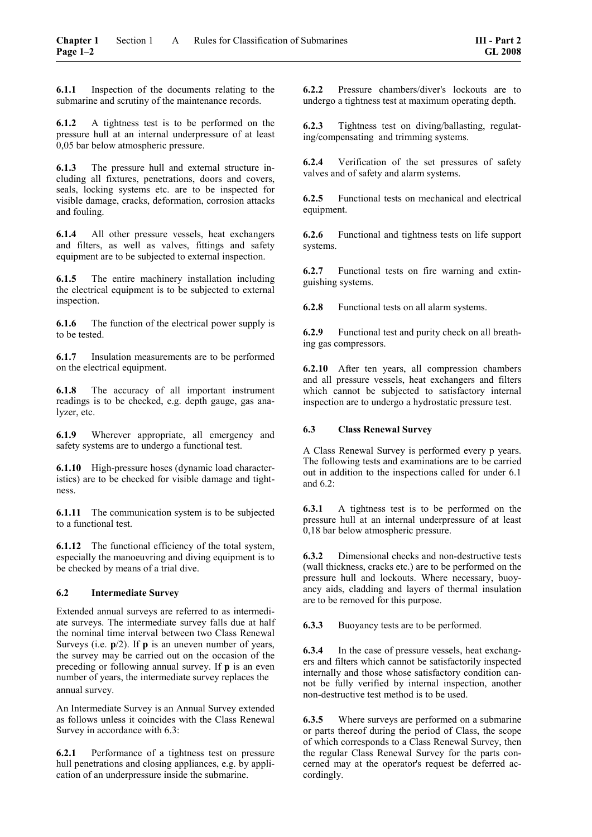**6.1.1** Inspection of the documents relating to the submarine and scrutiny of the maintenance records.

**6.1.2** A tightness test is to be performed on the pressure hull at an internal underpressure of at least 0,05 bar below atmospheric pressure.

**6.1.3** The pressure hull and external structure including all fixtures, penetrations, doors and covers, seals, locking systems etc. are to be inspected for visible damage, cracks, deformation, corrosion attacks and fouling.

**6.1.4** All other pressure vessels, heat exchangers and filters, as well as valves, fittings and safety equipment are to be subjected to external inspection.

**6.1.5** The entire machinery installation including the electrical equipment is to be subjected to external inspection.

**6.1.6** The function of the electrical power supply is to be tested.

**6.1.7** Insulation measurements are to be performed on the electrical equipment.

**6.1.8** The accuracy of all important instrument readings is to be checked, e.g. depth gauge, gas analyzer, etc.

**6.1.9** Wherever appropriate, all emergency and safety systems are to undergo a functional test.

**6.1.10** High-pressure hoses (dynamic load characteristics) are to be checked for visible damage and tightness.

**6.1.11** The communication system is to be subjected to a functional test.

**6.1.12** The functional efficiency of the total system, especially the manoeuvring and diving equipment is to be checked by means of a trial dive.

### **6.2 Intermediate Survey**

Extended annual surveys are referred to as intermediate surveys. The intermediate survey falls due at half the nominal time interval between two Class Renewal Surveys (i.e. **p**/2). If **p** is an uneven number of years, the survey may be carried out on the occasion of the preceding or following annual survey. If **p** is an even number of years, the intermediate survey replaces the annual survey.

An Intermediate Survey is an Annual Survey extended as follows unless it coincides with the Class Renewal Survey in accordance with 6.3:

**6.2.1** Performance of a tightness test on pressure hull penetrations and closing appliances, e.g. by application of an underpressure inside the submarine.

**6.2.2** Pressure chambers/diver's lockouts are to undergo a tightness test at maximum operating depth.

**6.2.3** Tightness test on diving/ballasting, regulating/compensating and trimming systems.

**6.2.4** Verification of the set pressures of safety valves and of safety and alarm systems.

**6.2.5** Functional tests on mechanical and electrical equipment.

**6.2.6** Functional and tightness tests on life support systems.

**6.2.7** Functional tests on fire warning and extinguishing systems.

**6.2.8** Functional tests on all alarm systems.

**6.2.9** Functional test and purity check on all breathing gas compressors.

**6.2.10** After ten years, all compression chambers and all pressure vessels, heat exchangers and filters which cannot be subjected to satisfactory internal inspection are to undergo a hydrostatic pressure test.

### **6.3 Class Renewal Survey**

A Class Renewal Survey is performed every p years. The following tests and examinations are to be carried out in addition to the inspections called for under 6.1 and 6.2:

**6.3.1** A tightness test is to be performed on the pressure hull at an internal underpressure of at least 0,18 bar below atmospheric pressure.

**6.3.2** Dimensional checks and non-destructive tests (wall thickness, cracks etc.) are to be performed on the pressure hull and lockouts. Where necessary, buoyancy aids, cladding and layers of thermal insulation are to be removed for this purpose.

**6.3.3** Buoyancy tests are to be performed.

**6.3.4** In the case of pressure vessels, heat exchangers and filters which cannot be satisfactorily inspected internally and those whose satisfactory condition cannot be fully verified by internal inspection, another non-destructive test method is to be used.

**6.3.5** Where surveys are performed on a submarine or parts thereof during the period of Class, the scope of which corresponds to a Class Renewal Survey, then the regular Class Renewal Survey for the parts concerned may at the operator's request be deferred accordingly.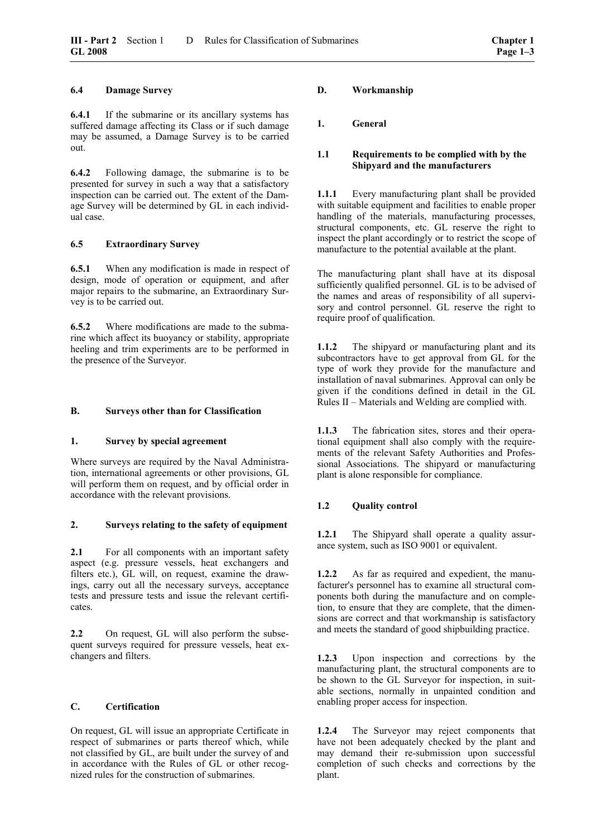### <span id="page-14-1"></span>**6.4 Damage Survey**

**6.4.1** If the submarine or its ancillary systems has suffered damage affecting its Class or if such damage may be assumed, a Damage Survey is to be carried out.

**6.4.2** Following damage, the submarine is to be presented for survey in such a way that a satisfactory inspection can be carried out. The extent of the Damage Survey will be determined by GL in each individual case.

### **6.5 Extraordinary Survey**

**6.5.1** When any modification is made in respect of design, mode of operation or equipment, and after major repairs to the submarine, an Extraordinary Survey is to be carried out.

**6.5.2** Where modifications are made to the submarine which affect its buoyancy or stability, appropriate heeling and trim experiments are to be performed in the presence of the Surveyor.

### <span id="page-14-0"></span>**B. Surveys other than for Classification**

### **1. Survey by special agreement**

Where surveys are required by the Naval Administration, international agreements or other provisions, GL will perform them on request, and by official order in accordance with the relevant provisions.

### **2. Surveys relating to the safety of equipment**

**2.1** • For all components with an important safety aspect (e.g. pressure vessels, heat exchangers and filters etc.), GL will, on request, examine the drawings, carry out all the necessary surveys, acceptance tests and pressure tests and issue the relevant certificates.

**2.2** On request, GL will also perform the subsequent surveys required for pressure vessels, heat exchangers and filters.

### **C. Certification**

On request, GL will issue an appropriate Certificate in respect of submarines or parts thereof which, while not classified by GL, are built under the survey of and in accordance with the Rules of GL or other recognized rules for the construction of submarines.

### **D. Workmanship**

### **1. General**

### **1.1 Requirements to be complied with by the Shipyard and the manufacturers**

**1.1.1** Every manufacturing plant shall be provided with suitable equipment and facilities to enable proper handling of the materials, manufacturing processes, structural components, etc. GL reserve the right to inspect the plant accordingly or to restrict the scope of manufacture to the potential available at the plant.

The manufacturing plant shall have at its disposal sufficiently qualified personnel. GL is to be advised of the names and areas of responsibility of all supervisory and control personnel. GL reserve the right to require proof of qualification.

**1.1.2** The shipyard or manufacturing plant and its subcontractors have to get approval from GL for the type of work they provide for the manufacture and installation of naval submarines. Approval can only be given if the conditions defined in detail in the GL Rules II – Materials and Welding are complied with.

**1.1.3** The fabrication sites, stores and their operational equipment shall also comply with the requirements of the relevant Safety Authorities and Professional Associations. The shipyard or manufacturing plant is alone responsible for compliance.

### **1.2 Quality control**

**1.2.1** The Shipyard shall operate a quality assurance system, such as ISO 9001 or equivalent.

**1.2.2** As far as required and expedient, the manufacturer's personnel has to examine all structural components both during the manufacture and on completion, to ensure that they are complete, that the dimensions are correct and that workmanship is satisfactory and meets the standard of good shipbuilding practice.

**1.2.3** Upon inspection and corrections by the manufacturing plant, the structural components are to be shown to the GL Surveyor for inspection, in suitable sections, normally in unpainted condition and enabling proper access for inspection.

**1.2.4** The Surveyor may reject components that have not been adequately checked by the plant and may demand their re-submission upon successful completion of such checks and corrections by the plant.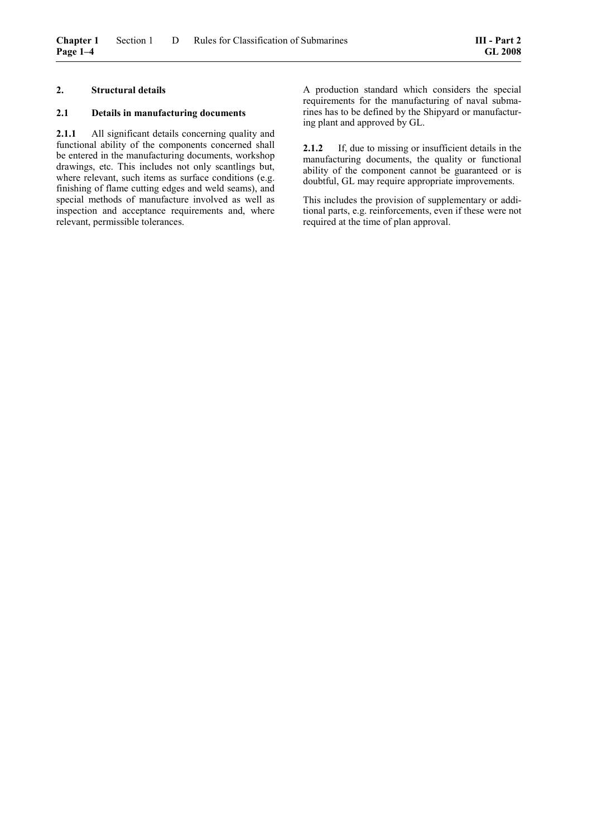### <span id="page-15-0"></span>**2. Structural details**

### **2.1 Details in manufacturing documents**

**2.1.1** All significant details concerning quality and functional ability of the components concerned shall be entered in the manufacturing documents, workshop drawings, etc. This includes not only scantlings but, where relevant, such items as surface conditions (e.g. finishing of flame cutting edges and weld seams), and special methods of manufacture involved as well as inspection and acceptance requirements and, where relevant, permissible tolerances.

A production standard which considers the special requirements for the manufacturing of naval submarines has to be defined by the Shipyard or manufacturing plant and approved by GL.

**2.1.2** If, due to missing or insufficient details in the manufacturing documents, the quality or functional ability of the component cannot be guaranteed or is doubtful, GL may require appropriate improvements.

This includes the provision of supplementary or additional parts, e.g. reinforcements, even if these were not required at the time of plan approval.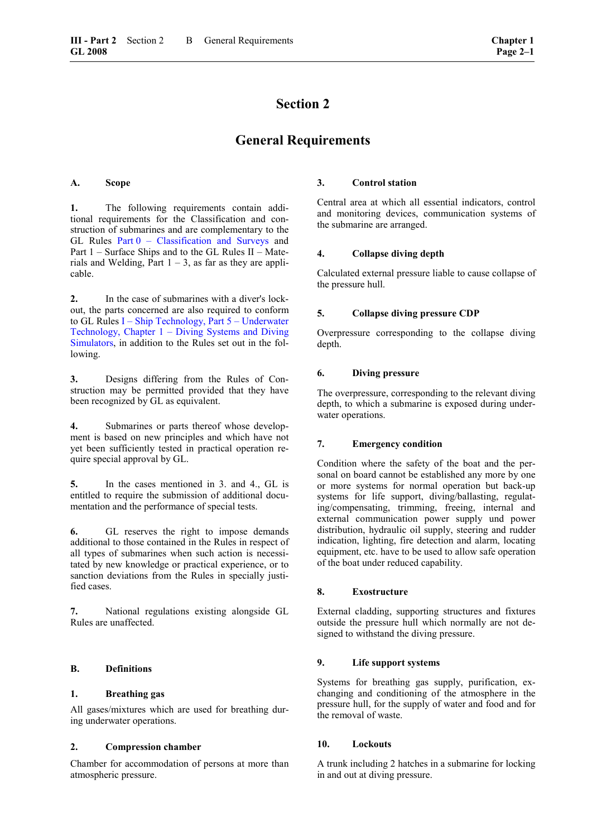## **Section 2**

### **General Requirements**

### <span id="page-16-1"></span>**A. Scope**

**1.** The following requirements contain additional requirements for the Classification and construction of submarines and are complementary to the GL Rules [Part 0 – Classification and Surveys](#page-0-0) and Part 1 – Surface Ships and to the GL Rules II – Materials and Welding, Part  $1 - 3$ , as far as they are applicable.

**2.** In the case of submarines with a diver's lockout, the parts concerned are also required to conform to GL Rules [I – Ship Technology, Part 5 – Underwater](#page-0-0)  [Technology, Chapter 1 – Diving Systems and Diving](#page-0-0)  [Simulators,](#page-0-0) in addition to the Rules set out in the following.

**3.** Designs differing from the Rules of Construction may be permitted provided that they have been recognized by GL as equivalent.

**4.** Submarines or parts thereof whose development is based on new principles and which have not yet been sufficiently tested in practical operation require special approval by GL.

**5.** In the cases mentioned in 3. and 4., GL is entitled to require the submission of additional documentation and the performance of special tests.

**6.** GL reserves the right to impose demands additional to those contained in the Rules in respect of all types of submarines when such action is necessitated by new knowledge or practical experience, or to sanction deviations from the Rules in specially justified cases.

**7.** National regulations existing alongside GL Rules are unaffected.

### <span id="page-16-0"></span>**B. Definitions**

### **1. Breathing gas**

All gases/mixtures which are used for breathing during underwater operations.

### **2. Compression chamber**

Chamber for accommodation of persons at more than atmospheric pressure.

### **3. Control station**

Central area at which all essential indicators, control and monitoring devices, communication systems of the submarine are arranged.

### **4. Collapse diving depth**

Calculated external pressure liable to cause collapse of the pressure hull.

### **5. Collapse diving pressure CDP**

Overpressure corresponding to the collapse diving depth.

### **6. Diving pressure**

The overpressure, corresponding to the relevant diving depth, to which a submarine is exposed during underwater operations.

### **7. Emergency condition**

Condition where the safety of the boat and the personal on board cannot be established any more by one or more systems for normal operation but back-up systems for life support, diving/ballasting, regulating/compensating, trimming, freeing, internal and external communication power supply und power distribution, hydraulic oil supply, steering and rudder indication, lighting, fire detection and alarm, locating equipment, etc. have to be used to allow safe operation of the boat under reduced capability.

### **8. Exostructure**

External cladding, supporting structures and fixtures outside the pressure hull which normally are not designed to withstand the diving pressure.

### **9. Life support systems**

Systems for breathing gas supply, purification, exchanging and conditioning of the atmosphere in the pressure hull, for the supply of water and food and for the removal of waste.

### **10. Lockouts**

A trunk including 2 hatches in a submarine for locking in and out at diving pressure.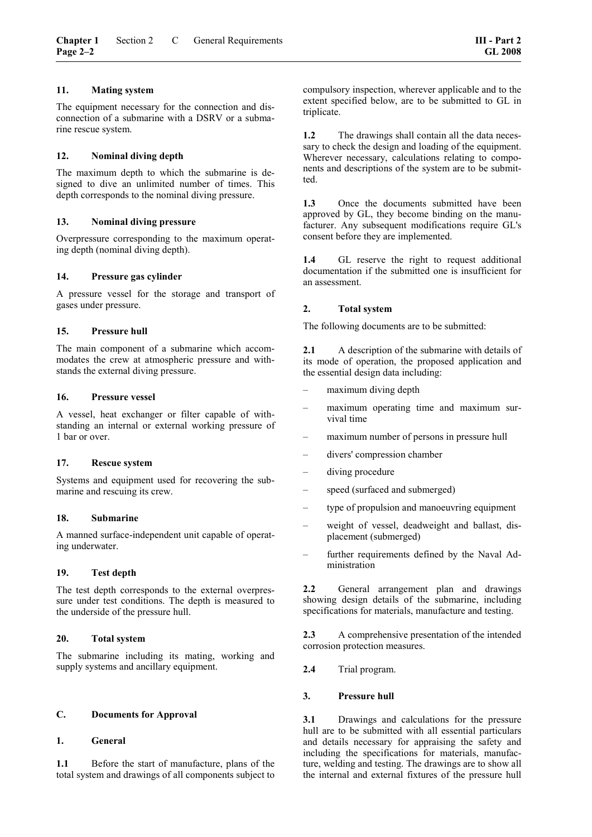### **11. Mating system**

The equipment necessary for the connection and disconnection of a submarine with a DSRV or a submarine rescue system.

### **12. Nominal diving depth**

The maximum depth to which the submarine is designed to dive an unlimited number of times. This depth corresponds to the nominal diving pressure.

### **13. Nominal diving pressure**

Overpressure corresponding to the maximum operating depth (nominal diving depth).

### **14. Pressure gas cylinder**

A pressure vessel for the storage and transport of gases under pressure.

### **15. Pressure hull**

The main component of a submarine which accommodates the crew at atmospheric pressure and withstands the external diving pressure.

### **16. Pressure vessel**

A vessel, heat exchanger or filter capable of withstanding an internal or external working pressure of 1 bar or over.

### **17. Rescue system**

Systems and equipment used for recovering the submarine and rescuing its crew.

### **18. Submarine**

A manned surface-independent unit capable of operating underwater.

### **19. Test depth**

The test depth corresponds to the external overpressure under test conditions. The depth is measured to the underside of the pressure hull.

### **20. Total system**

The submarine including its mating, working and supply systems and ancillary equipment.

### <span id="page-17-0"></span>**C. Documents for Approval**

### **1. General**

**1.1** Before the start of manufacture, plans of the total system and drawings of all components subject to compulsory inspection, wherever applicable and to the extent specified below, are to be submitted to GL in triplicate.

1.2 The drawings shall contain all the data necessary to check the design and loading of the equipment. Wherever necessary, calculations relating to components and descriptions of the system are to be submitted.

**1.3** Once the documents submitted have been approved by GL, they become binding on the manufacturer. Any subsequent modifications require GL's consent before they are implemented.

**1.4** GL reserve the right to request additional documentation if the submitted one is insufficient for an assessment.

### **2. Total system**

The following documents are to be submitted:

2.1 A description of the submarine with details of its mode of operation, the proposed application and the essential design data including:

- maximum diving depth
- maximum operating time and maximum survival time
- maximum number of persons in pressure hull
- divers' compression chamber
- diving procedure
- speed (surfaced and submerged)
- type of propulsion and manoeuvring equipment
- weight of vessel, deadweight and ballast, displacement (submerged)
- further requirements defined by the Naval Administration

2.2 General arrangement plan and drawings showing design details of the submarine, including specifications for materials, manufacture and testing.

**2.3** A comprehensive presentation of the intended corrosion protection measures.

**2.4** Trial program.

### **3. Pressure hull**

**3.1** Drawings and calculations for the pressure hull are to be submitted with all essential particulars and details necessary for appraising the safety and including the specifications for materials, manufacture, welding and testing. The drawings are to show all the internal and external fixtures of the pressure hull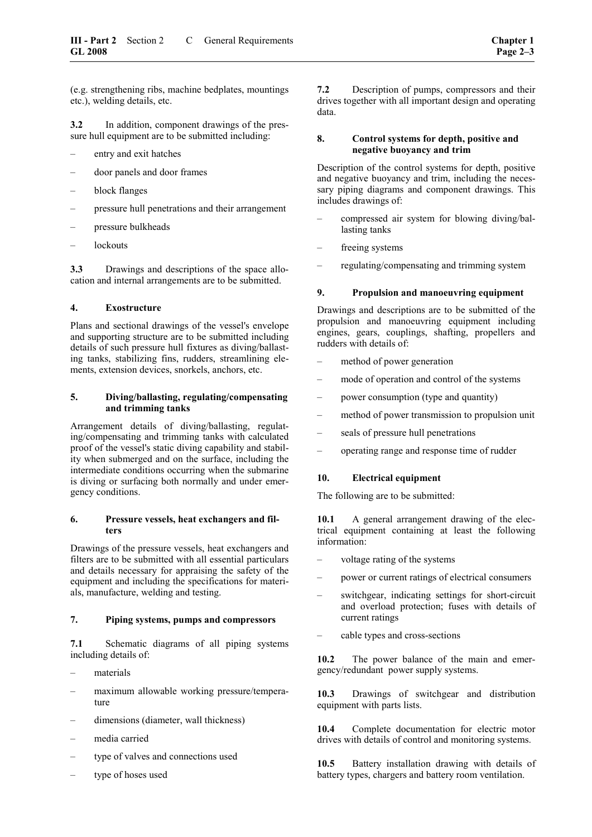(e.g. strengthening ribs, machine bedplates, mountings etc.), welding details, etc.

**3.2** In addition, component drawings of the pressure hull equipment are to be submitted including:

- entry and exit hatches
- door panels and door frames
- block flanges
- pressure hull penetrations and their arrangement
- pressure bulkheads
- lockouts

**3.3** Drawings and descriptions of the space allocation and internal arrangements are to be submitted.

### **4. Exostructure**

Plans and sectional drawings of the vessel's envelope and supporting structure are to be submitted including details of such pressure hull fixtures as diving/ballasting tanks, stabilizing fins, rudders, streamlining elements, extension devices, snorkels, anchors, etc.

### **5. Diving/ballasting, regulating/compensating and trimming tanks**

Arrangement details of diving/ballasting, regulating/compensating and trimming tanks with calculated proof of the vessel's static diving capability and stability when submerged and on the surface, including the intermediate conditions occurring when the submarine is diving or surfacing both normally and under emergency conditions.

### **6. Pressure vessels, heat exchangers and filters**

Drawings of the pressure vessels, heat exchangers and filters are to be submitted with all essential particulars and details necessary for appraising the safety of the equipment and including the specifications for materials, manufacture, welding and testing.

### **7. Piping systems, pumps and compressors**

**7.1** Schematic diagrams of all piping systems including details of:

- materials
- maximum allowable working pressure/temperature
- dimensions (diameter, wall thickness)
- media carried
- type of valves and connections used
- type of hoses used

**7.2** Description of pumps, compressors and their drives together with all important design and operating data.

### **8. Control systems for depth, positive and negative buoyancy and trim**

Description of the control systems for depth, positive and negative buoyancy and trim, including the necessary piping diagrams and component drawings. This includes drawings of:

- compressed air system for blowing diving/ballasting tanks
- freeing systems
- regulating/compensating and trimming system

### **9. Propulsion and manoeuvring equipment**

Drawings and descriptions are to be submitted of the propulsion and manoeuvring equipment including engines, gears, couplings, shafting, propellers and rudders with details of:

- method of power generation
- mode of operation and control of the systems
- power consumption (type and quantity)
- method of power transmission to propulsion unit
- seals of pressure hull penetrations
- operating range and response time of rudder

### **10. Electrical equipment**

The following are to be submitted:

10.1 • A general arrangement drawing of the electrical equipment containing at least the following information:

- voltage rating of the systems
- power or current ratings of electrical consumers
- switchgear, indicating settings for short-circuit and overload protection; fuses with details of current ratings
- cable types and cross-sections

**10.2** The power balance of the main and emergency/redundant power supply systems.

**10.3** Drawings of switchgear and distribution equipment with parts lists.

**10.4** Complete documentation for electric motor drives with details of control and monitoring systems.

**10.5** Battery installation drawing with details of battery types, chargers and battery room ventilation.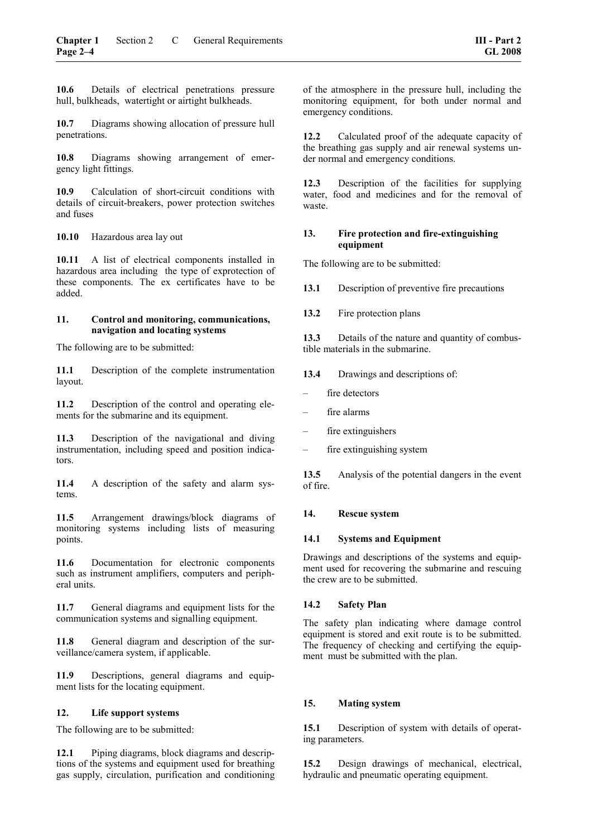**10.6** Details of electrical penetrations pressure hull, bulkheads, watertight or airtight bulkheads.

**10.7** Diagrams showing allocation of pressure hull penetrations.

**10.8** Diagrams showing arrangement of emergency light fittings.

**10.9** Calculation of short-circuit conditions with details of circuit-breakers, power protection switches and fuses

**10.10** Hazardous area lay out

**10.11** A list of electrical components installed in hazardous area including the type of exprotection of these components. The ex certificates have to be added.

### **11. Control and monitoring, communications, navigation and locating systems**

The following are to be submitted:

**11.1** Description of the complete instrumentation layout.

**11.2** Description of the control and operating elements for the submarine and its equipment.

**11.3** Description of the navigational and diving instrumentation, including speed and position indicators.

**11.4** A description of the safety and alarm systems.

**11.5** Arrangement drawings/block diagrams of monitoring systems including lists of measuring points.

**11.6** Documentation for electronic components such as instrument amplifiers, computers and peripheral units.

**11.7** General diagrams and equipment lists for the communication systems and signalling equipment.

11.8 General diagram and description of the surveillance/camera system, if applicable.

**11.9** Descriptions, general diagrams and equipment lists for the locating equipment.

### **12. Life support systems**

The following are to be submitted:

**12.1** Piping diagrams, block diagrams and descriptions of the systems and equipment used for breathing gas supply, circulation, purification and conditioning of the atmosphere in the pressure hull, including the monitoring equipment, for both under normal and emergency conditions.

**12.2** Calculated proof of the adequate capacity of the breathing gas supply and air renewal systems under normal and emergency conditions.

**12.3** Description of the facilities for supplying water, food and medicines and for the removal of waste.

### **13. Fire protection and fire-extinguishing equipment**

The following are to be submitted:

**13.1** Description of preventive fire precautions

**13.2** Fire protection plans

13.3 Details of the nature and quantity of combustible materials in the submarine.

**13.4** Drawings and descriptions of:

- fire detectors
- fire alarms
- fire extinguishers
- fire extinguishing system

**13.5** Analysis of the potential dangers in the event of fire.

### **14. Rescue system**

### **14.1 Systems and Equipment**

Drawings and descriptions of the systems and equipment used for recovering the submarine and rescuing the crew are to be submitted.

### **14.2 Safety Plan**

The safety plan indicating where damage control equipment is stored and exit route is to be submitted. The frequency of checking and certifying the equipment must be submitted with the plan.

### **15. Mating system**

**15.1** Description of system with details of operating parameters.

**15.2** Design drawings of mechanical, electrical, hydraulic and pneumatic operating equipment.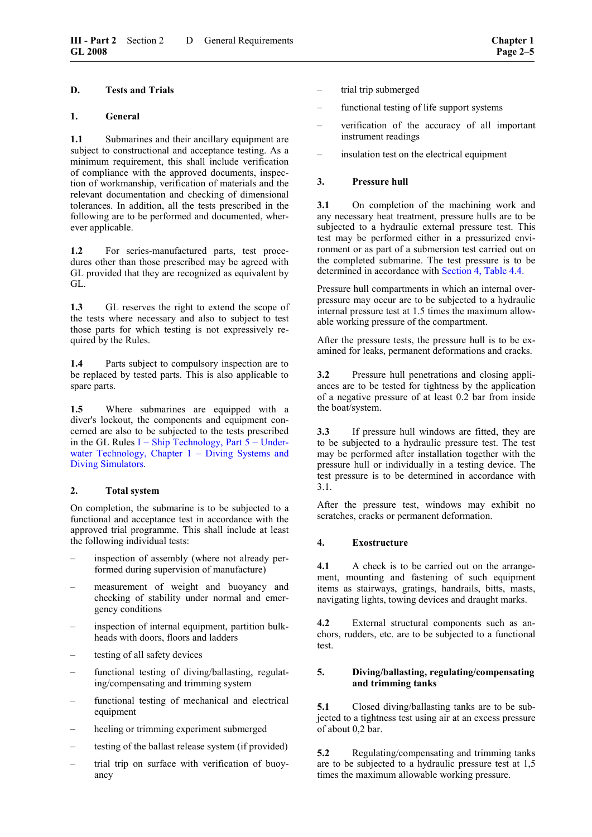### <span id="page-20-0"></span>**1. General**

1.1 Submarines and their ancillary equipment are subject to constructional and acceptance testing. As a minimum requirement, this shall include verification of compliance with the approved documents, inspection of workmanship, verification of materials and the relevant documentation and checking of dimensional tolerances. In addition, all the tests prescribed in the following are to be performed and documented, wherever applicable.

**1.2** For series-manufactured parts, test procedures other than those prescribed may be agreed with GL provided that they are recognized as equivalent by GL.

**1.3** GL reserves the right to extend the scope of the tests where necessary and also to subject to test those parts for which testing is not expressively required by the Rules.

**1.4** Parts subject to compulsory inspection are to be replaced by tested parts. This is also applicable to spare parts.

**1.5** Where submarines are equipped with a diver's lockout, the components and equipment concerned are also to be subjected to the tests prescribed in the GL Rules  $I -$ Ship Technology, Part  $5 -$ Underwater Technology, Chapter 1 – Diving Systems and [Diving Simulators.](#page-0-0)

### **2. Total system**

On completion, the submarine is to be subjected to a functional and acceptance test in accordance with the approved trial programme. This shall include at least the following individual tests:

- inspection of assembly (where not already performed during supervision of manufacture)
- measurement of weight and buoyancy and checking of stability under normal and emergency conditions
- inspection of internal equipment, partition bulkheads with doors, floors and ladders
- testing of all safety devices
- functional testing of diving/ballasting, regulating/compensating and trimming system
- functional testing of mechanical and electrical equipment
- heeling or trimming experiment submerged
- testing of the ballast release system (if provided)
- trial trip on surface with verification of buoyancy
- trial trip submerged
- functional testing of life support systems
- verification of the accuracy of all important instrument readings
- insulation test on the electrical equipment

### **3. Pressure hull**

**3.1** On completion of the machining work and any necessary heat treatment, pressure hulls are to be subjected to a hydraulic external pressure test. This test may be performed either in a pressurized environment or as part of a submersion test carried out on the completed submarine. The test pressure is to be determined in accordance with [Section 4, Table 4.4.](#page-29-0)

Pressure hull compartments in which an internal overpressure may occur are to be subjected to a hydraulic internal pressure test at 1.5 times the maximum allowable working pressure of the compartment.

After the pressure tests, the pressure hull is to be examined for leaks, permanent deformations and cracks.

**3.2** Pressure hull penetrations and closing appliances are to be tested for tightness by the application of a negative pressure of at least 0.2 bar from inside the boat/system.

**3.3** If pressure hull windows are fitted, they are to be subjected to a hydraulic pressure test. The test may be performed after installation together with the pressure hull or individually in a testing device. The test pressure is to be determined in accordance with 3.1.

After the pressure test, windows may exhibit no scratches, cracks or permanent deformation.

### **4. Exostructure**

**4.1** A check is to be carried out on the arrangement, mounting and fastening of such equipment items as stairways, gratings, handrails, bitts, masts, navigating lights, towing devices and draught marks.

**4.2** External structural components such as anchors, rudders, etc. are to be subjected to a functional test.

### **5. Diving/ballasting, regulating/compensating and trimming tanks**

**5.1** Closed diving/ballasting tanks are to be subjected to a tightness test using air at an excess pressure of about 0,2 bar.

**5.2** Regulating/compensating and trimming tanks are to be subjected to a hydraulic pressure test at 1,5 times the maximum allowable working pressure.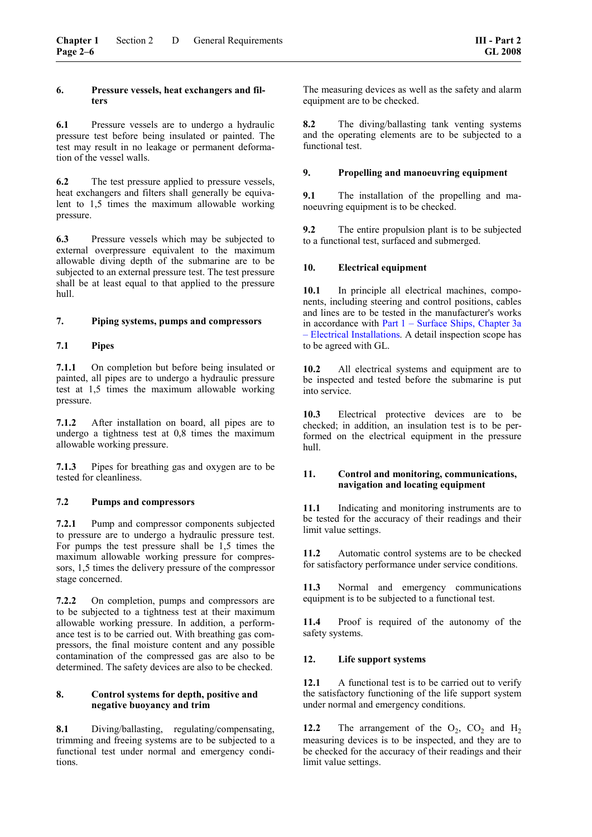### **6. Pressure vessels, heat exchangers and filters**

**6.1** Pressure vessels are to undergo a hydraulic pressure test before being insulated or painted. The test may result in no leakage or permanent deformation of the vessel walls.

**6.2** The test pressure applied to pressure vessels, heat exchangers and filters shall generally be equivalent to 1,5 times the maximum allowable working pressure.

**6.3** Pressure vessels which may be subjected to external overpressure equivalent to the maximum allowable diving depth of the submarine are to be subjected to an external pressure test. The test pressure shall be at least equal to that applied to the pressure hull.

### **7. Piping systems, pumps and compressors**

### **7.1 Pipes**

**7.1.1** On completion but before being insulated or painted, all pipes are to undergo a hydraulic pressure test at 1,5 times the maximum allowable working pressure.

**7.1.2** After installation on board, all pipes are to undergo a tightness test at 0,8 times the maximum allowable working pressure.

**7.1.3** Pipes for breathing gas and oxygen are to be tested for cleanliness.

### **7.2 Pumps and compressors**

**7.2.1** Pump and compressor components subjected to pressure are to undergo a hydraulic pressure test. For pumps the test pressure shall be 1,5 times the maximum allowable working pressure for compressors, 1,5 times the delivery pressure of the compressor stage concerned.

**7.2.2** On completion, pumps and compressors are to be subjected to a tightness test at their maximum allowable working pressure. In addition, a performance test is to be carried out. With breathing gas compressors, the final moisture content and any possible contamination of the compressed gas are also to be determined. The safety devices are also to be checked.

### **8. Control systems for depth, positive and negative buoyancy and trim**

**8.1** Diving/ballasting, regulating/compensating, trimming and freeing systems are to be subjected to a functional test under normal and emergency conditions.

The measuring devices as well as the safety and alarm equipment are to be checked.

**8.2** The diving/ballasting tank venting systems and the operating elements are to be subjected to a functional test.

### **9. Propelling and manoeuvring equipment**

**9.1** The installation of the propelling and manoeuvring equipment is to be checked.

**9.2** The entire propulsion plant is to be subjected to a functional test, surfaced and submerged.

### **10. Electrical equipment**

**10.1** In principle all electrical machines, components, including steering and control positions, cables and lines are to be tested in the manufacturer's works in accordance with Part  $1 -$  Surface Ships, Chapter 3a [– Electrical Installations.](#page-0-0) A detail inspection scope has to be agreed with GL.

**10.2** All electrical systems and equipment are to be inspected and tested before the submarine is put into service.

**10.3** Electrical protective devices are to be checked; in addition, an insulation test is to be performed on the electrical equipment in the pressure hull.

### **11. Control and monitoring, communications, navigation and locating equipment**

**11.1** Indicating and monitoring instruments are to be tested for the accuracy of their readings and their limit value settings.

**11.2** Automatic control systems are to be checked for satisfactory performance under service conditions.

**11.3** Normal and emergency communications equipment is to be subjected to a functional test.

**11.4** Proof is required of the autonomy of the safety systems.

### **12. Life support systems**

**12.1** A functional test is to be carried out to verify the satisfactory functioning of the life support system under normal and emergency conditions.

**12.2** The arrangement of the  $O_2$ ,  $CO_2$  and  $H_2$ measuring devices is to be inspected, and they are to be checked for the accuracy of their readings and their limit value settings.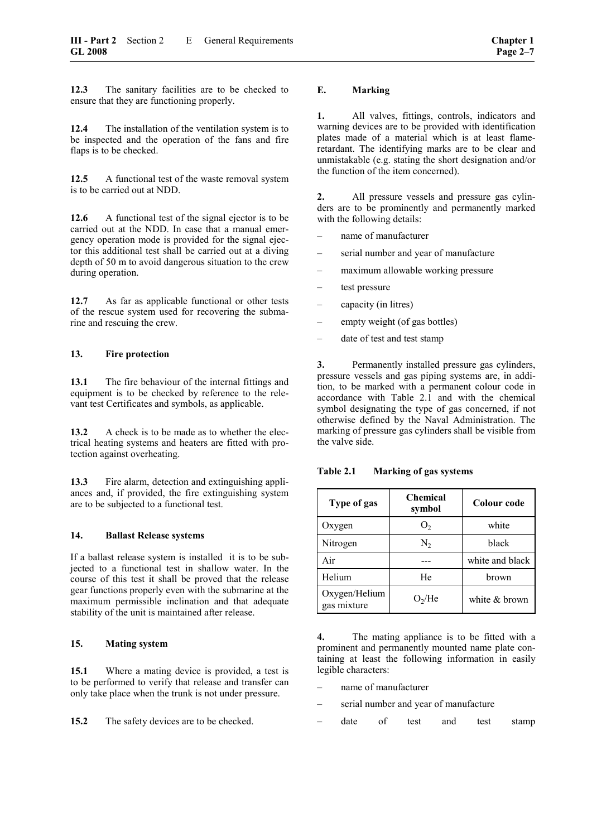<span id="page-22-0"></span>**12.3** The sanitary facilities are to be checked to ensure that they are functioning properly.

**12.4** The installation of the ventilation system is to be inspected and the operation of the fans and fire flaps is to be checked.

**12.5** A functional test of the waste removal system is to be carried out at NDD.

**12.6** A functional test of the signal ejector is to be carried out at the NDD. In case that a manual emergency operation mode is provided for the signal ejector this additional test shall be carried out at a diving depth of 50 m to avoid dangerous situation to the crew during operation.

**12.7** As far as applicable functional or other tests of the rescue system used for recovering the submarine and rescuing the crew.

### **13. Fire protection**

**13.1** The fire behaviour of the internal fittings and equipment is to be checked by reference to the relevant test Certificates and symbols, as applicable.

**13.2** A check is to be made as to whether the electrical heating systems and heaters are fitted with protection against overheating.

**13.3** Fire alarm, detection and extinguishing appliances and, if provided, the fire extinguishing system are to be subjected to a functional test.

### **14. Ballast Release systems**

If a ballast release system is installed it is to be subjected to a functional test in shallow water. In the course of this test it shall be proved that the release gear functions properly even with the submarine at the maximum permissible inclination and that adequate stability of the unit is maintained after release.

### **15. Mating system**

**15.1** Where a mating device is provided, a test is to be performed to verify that release and transfer can only take place when the trunk is not under pressure.

**15.2** The safety devices are to be checked.

### **E. Marking**

**1.** All valves, fittings, controls, indicators and warning devices are to be provided with identification plates made of a material which is at least flameretardant. The identifying marks are to be clear and unmistakable (e.g. stating the short designation and/or the function of the item concerned).

**2.** All pressure vessels and pressure gas cylinders are to be prominently and permanently marked with the following details:

- name of manufacturer
- serial number and year of manufacture
- maximum allowable working pressure
- test pressure
- capacity (in litres)
- empty weight (of gas bottles)
- date of test and test stamp

**3.** Permanently installed pressure gas cylinders, pressure vessels and gas piping systems are, in addition, to be marked with a permanent colour code in accordance with Table 2.1 and with the chemical symbol designating the type of gas concerned, if not otherwise defined by the Naval Administration. The marking of pressure gas cylinders shall be visible from the valve side.

| Type of gas                  | <b>Chemical</b><br>symbol | Colour code     |
|------------------------------|---------------------------|-----------------|
| Oxygen                       | $\mathbf{O}_{2}$          | white           |
| Nitrogen                     | N <sub>2</sub>            | black           |
| Air                          |                           | white and black |
| Helium                       | He                        | brown           |
| Oxygen/Helium<br>gas mixture | O <sub>2</sub> /He        | white & brown   |

**Table 2.1 Marking of gas systems** 

**4.** The mating appliance is to be fitted with a prominent and permanently mounted name plate containing at least the following information in easily legible characters:

- name of manufacturer
- serial number and year of manufacture
- date of test and test stamp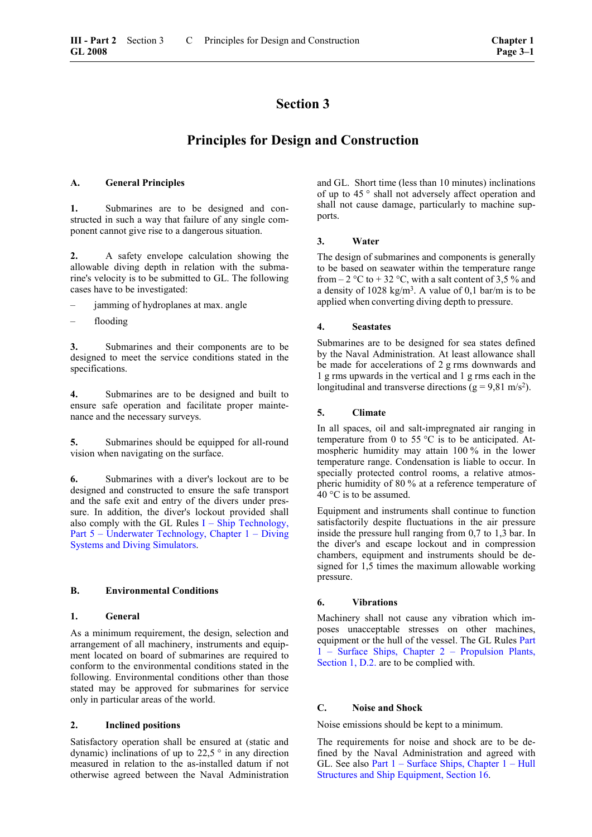## **Section 3**

### **Principles for Design and Construction**

### <span id="page-24-0"></span>**A. General Principles**

**1.** Submarines are to be designed and constructed in such a way that failure of any single component cannot give rise to a dangerous situation.

<span id="page-24-3"></span>**2.** A safety envelope calculation showing the allowable diving depth in relation with the submarine's velocity is to be submitted to GL. The following cases have to be investigated:

- jamming of hydroplanes at max. angle
- flooding

**3.** Submarines and their components are to be designed to meet the service conditions stated in the specifications.

<span id="page-24-4"></span>**4.** Submarines are to be designed and built to ensure safe operation and facilitate proper maintenance and the necessary surveys.

**5.** Submarines should be equipped for all-round vision when navigating on the surface.

**6.** Submarines with a diver's lockout are to be designed and constructed to ensure the safe transport and the safe exit and entry of the divers under pressure. In addition, the diver's lockout provided shall also comply with the GL Rules  $I -$ Ship Technology, [Part 5 – Underwater Technology, Chapter 1 – Diving](#page-0-0)  [Systems and Diving Simulators.](#page-0-0)

### <span id="page-24-1"></span>**B. Environmental Conditions**

### **1. General**

As a minimum requirement, the design, selection and arrangement of all machinery, instruments and equipment located on board of submarines are required to conform to the environmental conditions stated in the following. Environmental conditions other than those stated may be approved for submarines for service only in particular areas of the world.

### <span id="page-24-2"></span>**2. Inclined positions**

Satisfactory operation shall be ensured at (static and dynamic) inclinations of up to  $22.5$  ° in any direction measured in relation to the as-installed datum if not otherwise agreed between the Naval Administration

and GL. Short time (less than 10 minutes) inclinations of up to 45 ° shall not adversely affect operation and shall not cause damage, particularly to machine supports.

### **3. Water**

The design of submarines and components is generally to be based on seawater within the temperature range from  $-2$  °C to  $+32$  °C, with a salt content of 3,5 % and a density of  $1028 \text{ kg/m}^3$ . A value of 0,1 bar/m is to be applied when converting diving depth to pressure.

### **4. Seastates**

Submarines are to be designed for sea states defined by the Naval Administration. At least allowance shall be made for accelerations of 2 g rms downwards and 1 g rms upwards in the vertical and 1 g rms each in the longitudinal and transverse directions ( $g = 9.81$  m/s<sup>2</sup>).

### **5. Climate**

In all spaces, oil and salt-impregnated air ranging in temperature from 0 to 55 °C is to be anticipated. Atmospheric humidity may attain 100 % in the lower temperature range. Condensation is liable to occur. In specially protected control rooms, a relative atmospheric humidity of 80 % at a reference temperature of 40 °C is to be assumed.

Equipment and instruments shall continue to function satisfactorily despite fluctuations in the air pressure inside the pressure hull ranging from 0,7 to 1,3 bar. In the diver's and escape lockout and in compression chambers, equipment and instruments should be designed for 1,5 times the maximum allowable working pressure.

### **6. Vibrations**

Machinery shall not cause any vibration which imposes unacceptable stresses on other machines, equipment or the hull of the vessel. The GL Rules [Part](#page-15-0)  [1 – Surface Ships, Chapter 2 – Propulsion Plants,](#page-15-0)  [Section 1, D.2.](#page-15-0) are to be complied with.

### **C. Noise and Shock**

Noise emissions should be kept to a minimum.

The requirements for noise and shock are to be defined by the Naval Administration and agreed with GL. See also [Part 1 – Surface Ships, Chapter 1 – Hull](#page-66-0)  [Structures and Ship Equipment, Section 16.](#page-66-0)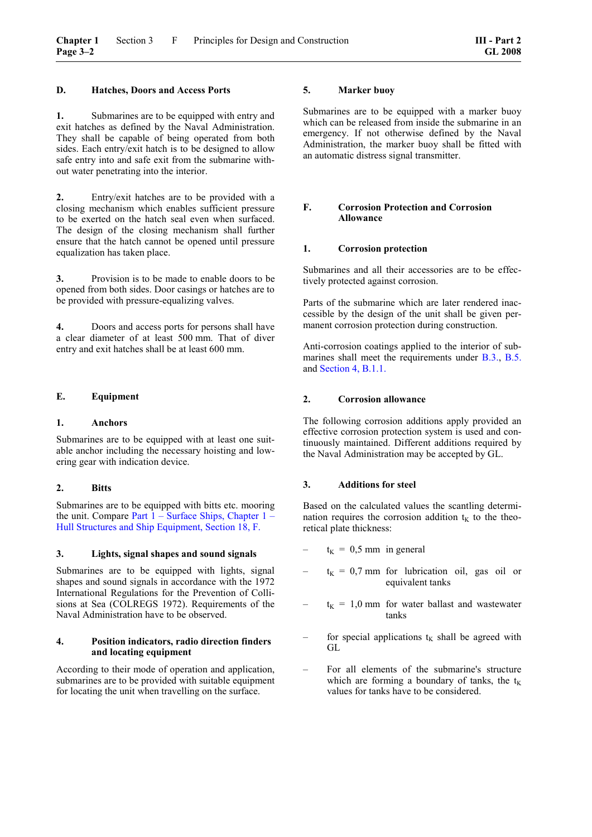### **D. Hatches, Doors and Access Ports**

**1.** Submarines are to be equipped with entry and exit hatches as defined by the Naval Administration. They shall be capable of being operated from both sides. Each entry/exit hatch is to be designed to allow safe entry into and safe exit from the submarine without water penetrating into the interior.

**2.** Entry/exit hatches are to be provided with a closing mechanism which enables sufficient pressure to be exerted on the hatch seal even when surfaced. The design of the closing mechanism shall further ensure that the hatch cannot be opened until pressure equalization has taken place.

**3.** Provision is to be made to enable doors to be opened from both sides. Door casings or hatches are to be provided with pressure-equalizing valves.

**4.** Doors and access ports for persons shall have a clear diameter of at least 500 mm. That of diver entry and exit hatches shall be at least 600 mm.

### **E. Equipment**

### **1. Anchors**

Submarines are to be equipped with at least one suitable anchor including the necessary hoisting and lowering gear with indication device.

### **2. Bitts**

Submarines are to be equipped with bitts etc. mooring the unit. Compare Part  $1 -$  Surface Ships, Chapter  $1 -$ Hull Structures and Ship Equipment, Section 18, F.

### **3. Lights, signal shapes and sound signals**

Submarines are to be equipped with lights, signal shapes and sound signals in accordance with the 1972 International Regulations for the Prevention of Collisions at Sea (COLREGS 1972). Requirements of the Naval Administration have to be observed.

### **4. Position indicators, radio direction finders and locating equipment**

According to their mode of operation and application, submarines are to be provided with suitable equipment for locating the unit when travelling on the surface.

### **5. Marker buoy**

Submarines are to be equipped with a marker buoy which can be released from inside the submarine in an emergency. If not otherwise defined by the Naval Administration, the marker buoy shall be fitted with an automatic distress signal transmitter.

### **F. Corrosion Protection and Corrosion Allowance**

### **1. Corrosion protection**

Submarines and all their accessories are to be effectively protected against corrosion.

Parts of the submarine which are later rendered inaccessible by the design of the unit shall be given permanent corrosion protection during construction.

Anti-corrosion coatings applied to the interior of submarines shall meet the requirements under [B.3.,](#page-24-3) [B.5.](#page-24-4) and [Section 4, B.1.1.](#page-26-0)

### **2. Corrosion allowance**

The following corrosion additions apply provided an effective corrosion protection system is used and continuously maintained. Different additions required by the Naval Administration may be accepted by GL.

### **3. Additions for steel**

Based on the calculated values the scantling determination requires the corrosion addition  $t<sub>K</sub>$  to the theoretical plate thickness:

- $t_K = 0.5$  mm in general
- $t_K = 0.7$  mm for lubrication oil, gas oil or equivalent tanks
- $-t_K = 1.0$  mm for water ballast and wastewater tanks
- for special applications  $t_K$  shall be agreed with GL
- For all elements of the submarine's structure which are forming a boundary of tanks, the  $t_K$ values for tanks have to be considered.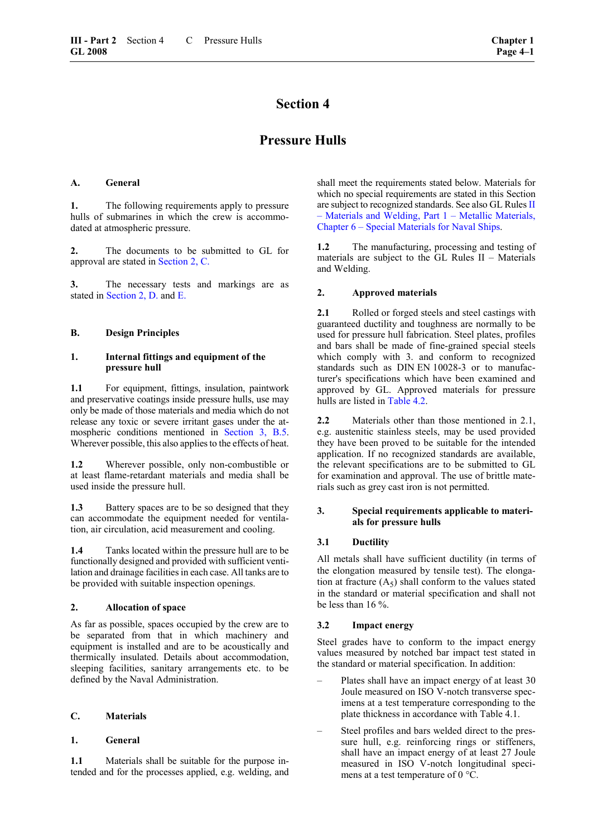## **Section 4**

### **Pressure Hulls**

### **A. General**

**1.** The following requirements apply to pressure hulls of submarines in which the crew is accommodated at atmospheric pressure.

**2.** The documents to be submitted to GL for approval are stated in [Section 2, C.](#page-17-0)

**3.** The necessary tests and markings are as stated in [Section 2, D.](#page-20-0) and [E.](#page-22-0)

### **B. Design Principles**

### **1. Internal fittings and equipment of the pressure hull**

<span id="page-26-0"></span>1.1 For equipment, fittings, insulation, paintwork and preservative coatings inside pressure hulls, use may only be made of those materials and media which do not release any toxic or severe irritant gases under the atmospheric conditions mentioned in [Section](#page-24-4) 3, B.5. Wherever possible, this also applies to the effects of heat.

**1.2** Wherever possible, only non-combustible or at least flame-retardant materials and media shall be used inside the pressure hull.

**1.3** Battery spaces are to be so designed that they can accommodate the equipment needed for ventilation, air circulation, acid measurement and cooling.

**1.4** Tanks located within the pressure hull are to be functionally designed and provided with sufficient ventilation and drainage facilities in each case. All tanks are to be provided with suitable inspection openings.

### **2. Allocation of space**

As far as possible, spaces occupied by the crew are to be separated from that in which machinery and equipment is installed and are to be acoustically and thermically insulated. Details about accommodation, sleeping facilities, sanitary arrangements etc. to be defined by the Naval Administration.

### **C. Materials**

### **1. General**

**1.1** Materials shall be suitable for the purpose intended and for the processes applied, e.g. welding, and shall meet the requirements stated below. Materials for which no special requirements are stated in this Section are subject to recognized standards. See also GL Rules II [– Materials and Welding, Part 1 – Metallic Materials,](#page-0-0)  [Chapter 6 – Special Materials for Naval Ships.](#page-0-0)

**1.2** The manufacturing, processing and testing of materials are subject to the GL Rules II – Materials and Welding.

### **2. Approved materials**

**2.1** • Rolled or forged steels and steel castings with guaranteed ductility and toughness are normally to be used for pressure hull fabrication. Steel plates, profiles and bars shall be made of fine-grained special steels which comply with 3. and conform to recognized standards such as DIN EN 10028-3 or to manufacturer's specifications which have been examined and approved by GL. Approved materials for pressure hulls are listed in [Table 4.2.](#page-27-0)

**2.2** Materials other than those mentioned in 2.1, e.g. austenitic stainless steels, may be used provided they have been proved to be suitable for the intended application. If no recognized standards are available, the relevant specifications are to be submitted to GL for examination and approval. The use of brittle materials such as grey cast iron is not permitted.

### **3. Special requirements applicable to materials for pressure hulls**

### **3.1 Ductility**

All metals shall have sufficient ductility (in terms of the elongation measured by tensile test). The elongation at fracture  $(A<sub>5</sub>)$  shall conform to the values stated in the standard or material specification and shall not be less than 16 %.

### **3.2 Impact energy**

Steel grades have to conform to the impact energy values measured by notched bar impact test stated in the standard or material specification. In addition:

- Plates shall have an impact energy of at least 30 Joule measured on ISO V-notch transverse specimens at a test temperature corresponding to the plate thickness in accordance with Table 4.1.
- Steel profiles and bars welded direct to the pressure hull, e.g. reinforcing rings or stiffeners, shall have an impact energy of at least 27 Joule measured in ISO V-notch longitudinal specimens at a test temperature of 0 °C.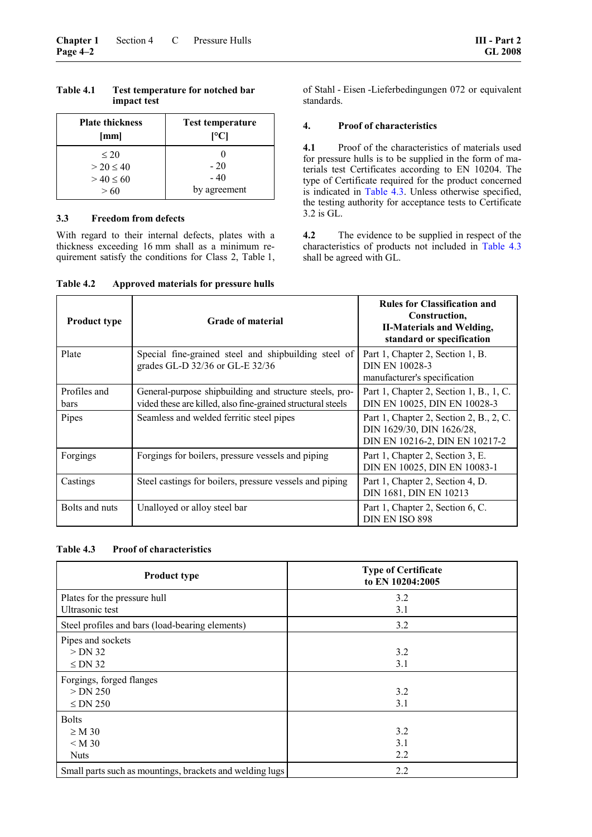| <b>Plate thickness</b>                             | <b>Test temperature</b>        |
|----------------------------------------------------|--------------------------------|
| [mm]                                               | [°C]                           |
| $\leq 20$<br>$> 20 \le 40$<br>$> 40 \le 60$<br>>60 | $-20$<br>$-40$<br>by agreement |

### **Table 4.1 Test temperature for notched bar impact test**

### **3.3 Freedom from defects**

With regard to their internal defects, plates with a thickness exceeding 16 mm shall as a minimum requirement satisfy the conditions for Class 2, Table 1, of Stahl - Eisen -Lieferbedingungen 072 or equivalent standards.

### **4. Proof of characteristics**

**4.1** Proof of the characteristics of materials used for pressure hulls is to be supplied in the form of materials test Certificates according to EN 10204. The type of Certificate required for the product concerned is indicated in [Table 4.3.](#page-27-1) Unless otherwise specified, the testing authority for acceptance tests to Certificate 3.2 is GL.

**4.2** The evidence to be supplied in respect of the characteristics of products not included in [Table 4.3](#page-27-1) shall be agreed with GL.

| <b>Product type</b>  | <b>Grade of material</b>                                                                                               | <b>Rules for Classification and</b><br>Construction,<br><b>II-Materials and Welding,</b><br>standard or specification |
|----------------------|------------------------------------------------------------------------------------------------------------------------|-----------------------------------------------------------------------------------------------------------------------|
| Plate                | Special fine-grained steel and shipbuilding steel of<br>grades GL-D 32/36 or GL-E 32/36                                | Part 1, Chapter 2, Section 1, B.<br>DIN EN 10028-3<br>manufacturer's specification                                    |
| Profiles and<br>bars | General-purpose shipbuilding and structure steels, pro-<br>vided these are killed, also fine-grained structural steels | Part 1, Chapter 2, Section 1, B., 1, C.<br>DIN EN 10025, DIN EN 10028-3                                               |
| Pipes                | Seamless and welded ferritic steel pipes                                                                               | Part 1, Chapter 2, Section 2, B., 2, C.<br>DIN 1629/30, DIN 1626/28,<br>DIN EN 10216-2, DIN EN 10217-2                |
| Forgings             | Forgings for boilers, pressure vessels and piping                                                                      | Part 1, Chapter 2, Section 3, E.<br>DIN EN 10025, DIN EN 10083-1                                                      |
| Castings             | Steel castings for boilers, pressure vessels and piping                                                                | Part 1, Chapter 2, Section 4, D.<br>DIN 1681, DIN EN 10213                                                            |
| Bolts and nuts       | Unalloyed or alloy steel bar                                                                                           | Part 1, Chapter 2, Section 6, C.<br>DIN EN ISO 898                                                                    |

<span id="page-27-0"></span>**Table 4.2 Approved materials for pressure hulls** 

### <span id="page-27-1"></span>**Table 4.3 Proof of characteristics**

| <b>Product type</b>                                      | <b>Type of Certificate</b><br>to EN 10204:2005 |  |  |
|----------------------------------------------------------|------------------------------------------------|--|--|
| Plates for the pressure hull                             | 3.2                                            |  |  |
| Ultrasonic test                                          | 3.1                                            |  |  |
| Steel profiles and bars (load-bearing elements)          | 3.2                                            |  |  |
| Pipes and sockets                                        |                                                |  |  |
| $>$ DN 32                                                | 3.2                                            |  |  |
| $\leq$ DN 32                                             | 3.1                                            |  |  |
| Forgings, forged flanges                                 |                                                |  |  |
| $>$ DN 250                                               | 3.2                                            |  |  |
| $\leq$ DN 250                                            | 3.1                                            |  |  |
| <b>Bolts</b>                                             |                                                |  |  |
| $\geq M 30$                                              | 3.2                                            |  |  |
| < M 30                                                   | 3.1                                            |  |  |
| <b>Nuts</b>                                              | 2.2                                            |  |  |
| Small parts such as mountings, brackets and welding lugs | 2.2                                            |  |  |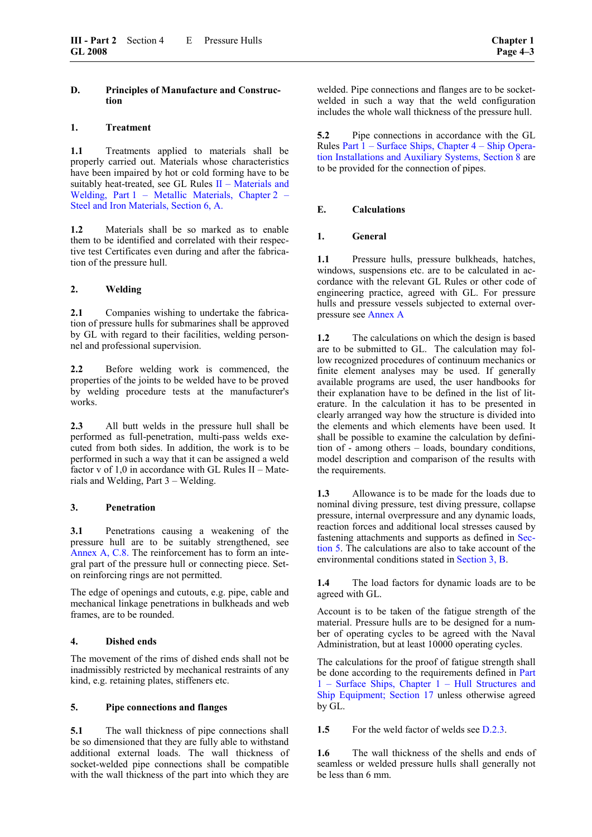### **D. Principles of Manufacture and Construction**

### **1. Treatment**

**1.1** Treatments applied to materials shall be properly carried out. Materials whose characteristics have been impaired by hot or cold forming have to be suitably heat-treated, see GL Rules [II – Materials and](#page-36-0)  [Welding, Part 1 – Metallic Materials, Chapter 2 –](#page-36-0)  [Steel and Iron Materials, Section 6, A.](#page-36-0)

**1.2** Materials shall be so marked as to enable them to be identified and correlated with their respective test Certificates even during and after the fabrication of the pressure hull.

### **2. Welding**

**2.1** Companies wishing to undertake the fabrication of pressure hulls for submarines shall be approved by GL with regard to their facilities, welding personnel and professional supervision.

**2.2** Before welding work is commenced, the properties of the joints to be welded have to be proved by welding procedure tests at the manufacturer's works.

<span id="page-28-0"></span>**2.3** All butt welds in the pressure hull shall be performed as full-penetration, multi-pass welds executed from both sides. In addition, the work is to be performed in such a way that it can be assigned a weld factor v of 1,0 in accordance with GL Rules II – Materials and Welding, Part 3 – Welding.

### **3. Penetration**

**3.1** Penetrations causing a weakening of the pressure hull are to be suitably strengthened, see Annex A, C.8. The reinforcement has to form an integral part of the pressure hull or connecting piece. Seton reinforcing rings are not permitted.

The edge of openings and cutouts, e.g. pipe, cable and mechanical linkage penetrations in bulkheads and web frames, are to be rounded.

### **4. Dished ends**

The movement of the rims of dished ends shall not be inadmissibly restricted by mechanical restraints of any kind, e.g. retaining plates, stiffeners etc.

### **5. Pipe connections and flanges**

**5.1** The wall thickness of pipe connections shall be so dimensioned that they are fully able to withstand additional external loads. The wall thickness of socket-welded pipe connections shall be compatible with the wall thickness of the part into which they are

welded. Pipe connections and flanges are to be socketwelded in such a way that the weld configuration includes the whole wall thickness of the pressure hull.

**5.2** Pipe connections in accordance with the GL Rules [Part 1 – Surface Ships, Chapter 4 – Ship Opera](#page-42-0)[tion Installations and Auxiliary Systems, Section 8](#page-42-0) are to be provided for the connection of pipes.

### **E. Calculations**

### **1. General**

**1.1** Pressure hulls, pressure bulkheads, hatches, windows, suspensions etc. are to be calculated in accordance with the relevant GL Rules or other code of engineering practice, agreed with GL. For pressure hulls and pressure vessels subjected to external overpressure see [Annex A](#page-68-0)

**1.2** The calculations on which the design is based are to be submitted to GL. The calculation may follow recognized procedures of continuum mechanics or finite element analyses may be used. If generally available programs are used, the user handbooks for their explanation have to be defined in the list of literature. In the calculation it has to be presented in clearly arranged way how the structure is divided into the elements and which elements have been used. It shall be possible to examine the calculation by definition of - among others – loads, boundary conditions, model description and comparison of the results with the requirements.

**1.3** Allowance is to be made for the loads due to nominal diving pressure, test diving pressure, collapse pressure, internal overpressure and any dynamic loads, reaction forces and additional local stresses caused by fastening attachments and supports as defined in [Sec](#page-30-0)[tion 5.](#page-30-0) The calculations are also to take account of the environmental conditions stated in [Section 3, B.](#page-24-1)

**1.4** The load factors for dynamic loads are to be agreed with GL.

Account is to be taken of the fatigue strength of the material. Pressure hulls are to be designed for a number of operating cycles to be agreed with the Naval Administration, but at least 10000 operating cycles.

The calculations for the proof of fatigue strength shall be done according to the requirements defined in Part 1 – Surface Ships, Chapter 1 – Hull Structures and Ship Equipment; Section 17 unless otherwise agreed by GL.

**1.5** For the weld factor of welds see [D.2.3.](#page-28-0)

**1.6** The wall thickness of the shells and ends of seamless or welded pressure hulls shall generally not be less than 6 mm.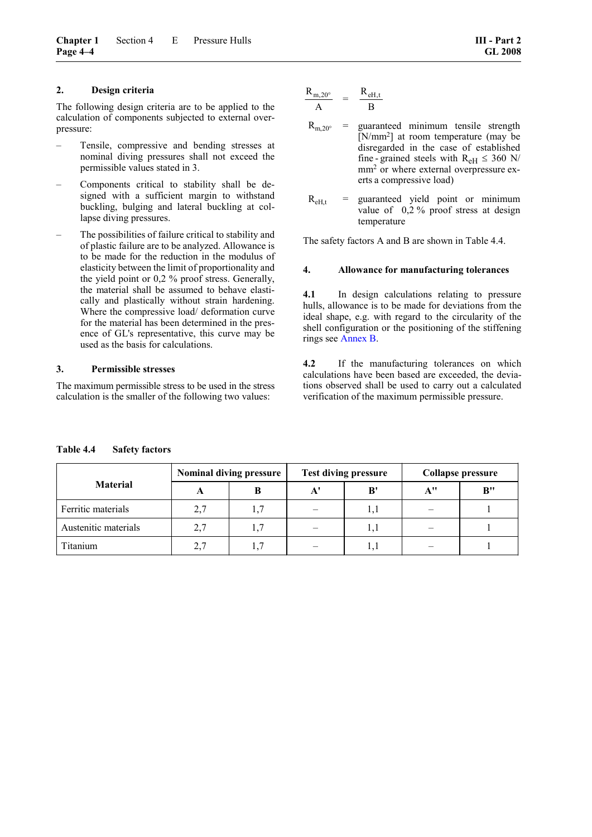### **2. Design criteria**

The following design criteria are to be applied to the calculation of components subjected to external overpressure:

- Tensile, compressive and bending stresses at nominal diving pressures shall not exceed the permissible values stated in 3.
- Components critical to stability shall be designed with a sufficient margin to withstand buckling, bulging and lateral buckling at collapse diving pressures.
- The possibilities of failure critical to stability and of plastic failure are to be analyzed. Allowance is to be made for the reduction in the modulus of elasticity between the limit of proportionality and the yield point or 0,2 % proof stress. Generally, the material shall be assumed to behave elastically and plastically without strain hardening. Where the compressive load/ deformation curve for the material has been determined in the presence of GL's representative, this curve may be used as the basis for calculations.

### **3. Permissible stresses**

The maximum permissible stress to be used in the stress calculation is the smaller of the following two values:

$$
\begin{array}{ccc} R_{m,20^{\circ}} \\ \hline A \end{array} \quad = \quad \begin{array}{cc} R_{eH,t} \\ \hline B \end{array}
$$

- $R_{m,20^{\circ}}$  = guaranteed minimum tensile strength [N/mm<sup>2</sup>] at room temperature (may be disregarded in the case of established fine - grained steels with  $R_{\text{eH}} \leq 360 \text{ N/m}$ mm<sup>2</sup> or where external overpressure exerts a compressive load)
- $R<sub>eff,t</sub>$  = guaranteed yield point or minimum value of 0,2 % proof stress at design temperature

The safety factors A and B are shown in Table 4.4.

### **4. Allowance for manufacturing tolerances**

**4.1** In design calculations relating to pressure hulls, allowance is to be made for deviations from the ideal shape, e.g. with regard to the circularity of the shell configuration or the positioning of the stiffening rings see Annex B.

**4.2** If the manufacturing tolerances on which calculations have been based are exceeded, the deviations observed shall be used to carry out a calculated verification of the maximum permissible pressure.

|                      | <b>Nominal diving pressure</b> |    | <b>Test diving pressure</b> |     | Collapse pressure |                             |  |
|----------------------|--------------------------------|----|-----------------------------|-----|-------------------|-----------------------------|--|
| <b>Material</b>      | $\blacktriangle$               | B  | A'                          | B'  | A''               | $\mathbf{B}^{\prime\prime}$ |  |
| Ferritic materials   | 2,7                            |    |                             | I.I |                   |                             |  |
| Austenitic materials | 2.7                            | 17 |                             | 1,1 |                   |                             |  |
| Titanium             | 2.7                            |    |                             |     |                   |                             |  |

### <span id="page-29-0"></span>**Table 4.4 Safety factors**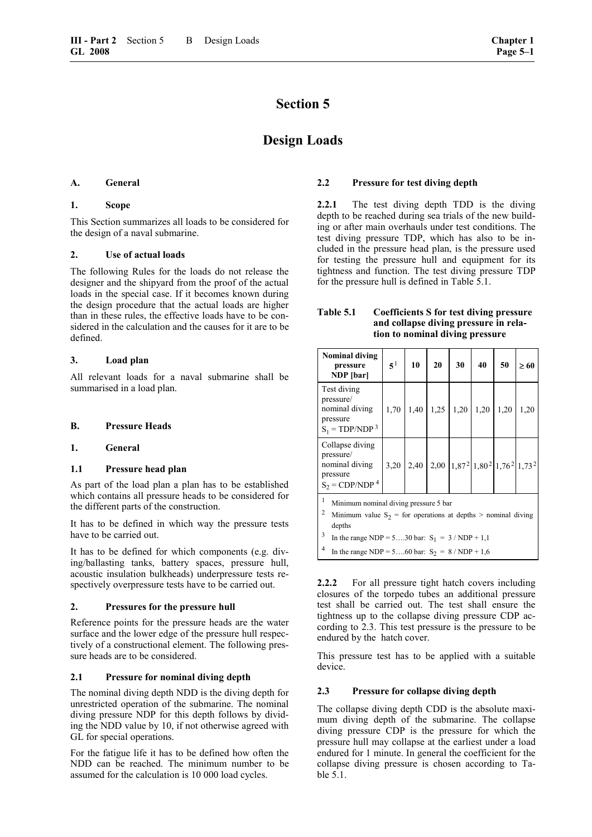## **Section 5**

## **Design Loads**

### <span id="page-30-0"></span>**A. General**

### **1. Scope**

This Section summarizes all loads to be considered for the design of a naval submarine.

### **2. Use of actual loads**

The following Rules for the loads do not release the designer and the shipyard from the proof of the actual loads in the special case. If it becomes known during the design procedure that the actual loads are higher than in these rules, the effective loads have to be considered in the calculation and the causes for it are to be defined.

### **3. Load plan**

All relevant loads for a naval submarine shall be summarised in a load plan.

### **B. Pressure Heads**

### **1. General**

### <span id="page-30-3"></span>**1.1 Pressure head plan**

As part of the load plan a plan has to be established which contains all pressure heads to be considered for the different parts of the construction.

It has to be defined in which way the pressure tests have to be carried out.

It has to be defined for which components (e.g. diving/ballasting tanks, battery spaces, pressure hull, acoustic insulation bulkheads) underpressure tests respectively overpressure tests have to be carried out.

### **2. Pressures for the pressure hull**

Reference points for the pressure heads are the water surface and the lower edge of the pressure hull respectively of a constructional element. The following pressure heads are to be considered.

### <span id="page-30-2"></span>**2.1 Pressure for nominal diving depth**

<span id="page-30-1"></span>The nominal diving depth NDD is the diving depth for unrestricted operation of the submarine. The nominal diving pressure NDP for this depth follows by dividing the NDD value by 10, if not otherwise agreed with GL for special operations.

For the fatigue life it has to be defined how often the NDD can be reached. The minimum number to be assumed for the calculation is 10 000 load cycles.

### **2.2 Pressure for test diving depth**

**2.2.1** The test diving depth TDD is the diving depth to be reached during sea trials of the new building or after main overhauls under test conditions. The test diving pressure TDP, which has also to be included in the pressure head plan, is the pressure used for testing the pressure hull and equipment for its tightness and function. The test diving pressure TDP for the pressure hull is defined in Table 5.1.

### **Table 5.1 Coefficients S for test diving pressure and collapse diving pressure in relation to nominal diving pressure**

| Nominal diving<br>pressure<br>NDP [bar]                                                                                                                                                                                                          | 5 <sup>1</sup> | 10 | 20              | 30                                                                                                                 | 40 | 50 | $\geq 60$ |
|--------------------------------------------------------------------------------------------------------------------------------------------------------------------------------------------------------------------------------------------------|----------------|----|-----------------|--------------------------------------------------------------------------------------------------------------------|----|----|-----------|
| Test diving<br>pressure/<br>nominal diving<br>pressure<br>$S_1 = TDP/NDP3$                                                                                                                                                                       | 1,70           |    | $1,40$   $1,25$ | $1,20$ 1,20 1,20                                                                                                   |    |    | 1,20      |
| Collapse diving<br>pressure/<br>nominal diving<br>pressure<br>$S_2 = CDP/NDP4$                                                                                                                                                                   | 3,20           |    |                 | $\left[ 2,40 \right]$ 2,00 $\left[ 1,87^{2} \right]$ 1,80 <sup>2</sup> $\left[ 1,76^{2} \right]$ 1,73 <sup>2</sup> |    |    |           |
| 1<br>Minimum nominal diving pressure 5 bar<br>2<br>Minimum value $S_2$ = for operations at depths > nominal diving<br>depths<br>3<br>In the range NDP = 530 bar: $S_1 = 3 / NDP + 1,1$<br>4<br>In the range NDP = 560 bar: $S_2 = 8 / NDP + 1.6$ |                |    |                 |                                                                                                                    |    |    |           |

**2.2.2** For all pressure tight hatch covers including closures of the torpedo tubes an additional pressure test shall be carried out. The test shall ensure the tightness up to the collapse diving pressure CDP according to 2.3. This test pressure is the pressure to be endured by the hatch cover.

This pressure test has to be applied with a suitable device.

### **2.3 Pressure for collapse diving depth**

The collapse diving depth CDD is the absolute maximum diving depth of the submarine. The collapse diving pressure CDP is the pressure for which the pressure hull may collapse at the earliest under a load endured for 1 minute. In general the coefficient for the collapse diving pressure is chosen according to Table 5.1.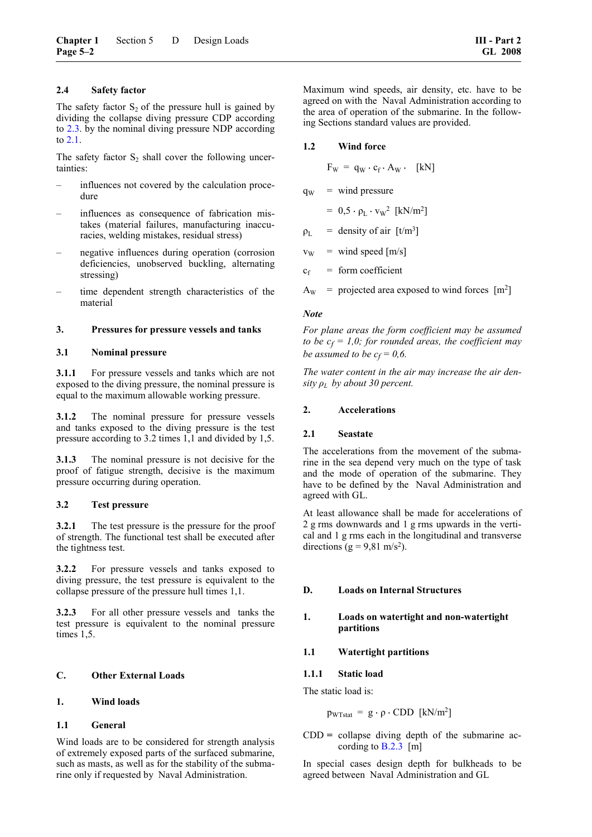### **2.4 Safety factor**

The safety factor  $S_2$  of the pressure hull is gained by dividing the collapse diving pressure CDP according to [2.3.](#page-30-1) by the nominal diving pressure NDP according to [2.1.](#page-30-2)

The safety factor  $S_2$  shall cover the following uncertainties:

- influences not covered by the calculation procedure
- influences as consequence of fabrication mistakes (material failures, manufacturing inaccuracies, welding mistakes, residual stress)
- negative influences during operation (corrosion deficiencies, unobserved buckling, alternating stressing)
- time dependent strength characteristics of the material

### **3. Pressures for pressure vessels and tanks**

### **3.1 Nominal pressure**

**3.1.1** For pressure vessels and tanks which are not exposed to the diving pressure, the nominal pressure is equal to the maximum allowable working pressure.

<span id="page-31-0"></span>**3.1.2** The nominal pressure for pressure vessels and tanks exposed to the diving pressure is the test pressure according to 3.2 times 1,1 and divided by 1,5.

**3.1.3** The nominal pressure is not decisive for the proof of fatigue strength, decisive is the maximum pressure occurring during operation.

### **3.2 Test pressure**

**3.2.1** The test pressure is the pressure for the proof of strength. The functional test shall be executed after the tightness test.

<span id="page-31-1"></span>**3.2.2** For pressure vessels and tanks exposed to diving pressure, the test pressure is equivalent to the collapse pressure of the pressure hull times 1,1.

**3.2.3** For all other pressure vessels and tanks the test pressure is equivalent to the nominal pressure times 1,5.

### **C. Other External Loads**

### **1. Wind loads**

### **1.1 General**

Wind loads are to be considered for strength analysis of extremely exposed parts of the surfaced submarine, such as masts, as well as for the stability of the submarine only if requested by Naval Administration.

Maximum wind speeds, air density, etc. have to be agreed on with the Naval Administration according to the area of operation of the submarine. In the following Sections standard values are provided.

### **1.2 Wind force**

 $F_W = q_W \cdot c_f \cdot A_W \cdot [kN]$ 

 $q_{W}$  = wind pressure

 $= 0.5 \cdot \rho_L \cdot v_W^2$  [kN/m<sup>2</sup>]

- $\rho_L$  = density of air [t/m<sup>3</sup>]
- $v_{\rm W}$  = wind speed [m/s]
- $c_f$  = form coefficient
- $A<sub>W</sub>$  = projected area exposed to wind forces [m<sup>2</sup>]

### *Note*

*For plane areas the form coefficient may be assumed to be*  $c_f = 1.0$ *; for rounded areas, the coefficient may be assumed to be*  $c_f = 0.6$ .

*The water content in the air may increase the air density*  $\rho_L$  *by about 30 percent.* 

### **2. Accelerations**

### **2.1 Seastate**

The accelerations from the movement of the submarine in the sea depend very much on the type of task and the mode of operation of the submarine. They have to be defined by the Naval Administration and agreed with GL.

At least allowance shall be made for accelerations of 2 g rms downwards and 1 g rms upwards in the vertical and 1 g rms each in the longitudinal and transverse directions ( $g = 9,81$  m/s<sup>2</sup>).

### **D. Loads on Internal Structures**

### **1. Loads on watertight and non-watertight partitions**

### **1.1 Watertight partitions**

### **1.1.1 Static load**

The static load is:

$$
p_{WTstat} = g \cdot \rho \cdot CDD \ \ [kN/m^2]
$$

CDD **=** collapse diving depth of the submarine according to [B.2.3](#page-30-1) [m]

In special cases design depth for bulkheads to be agreed between Naval Administration and GL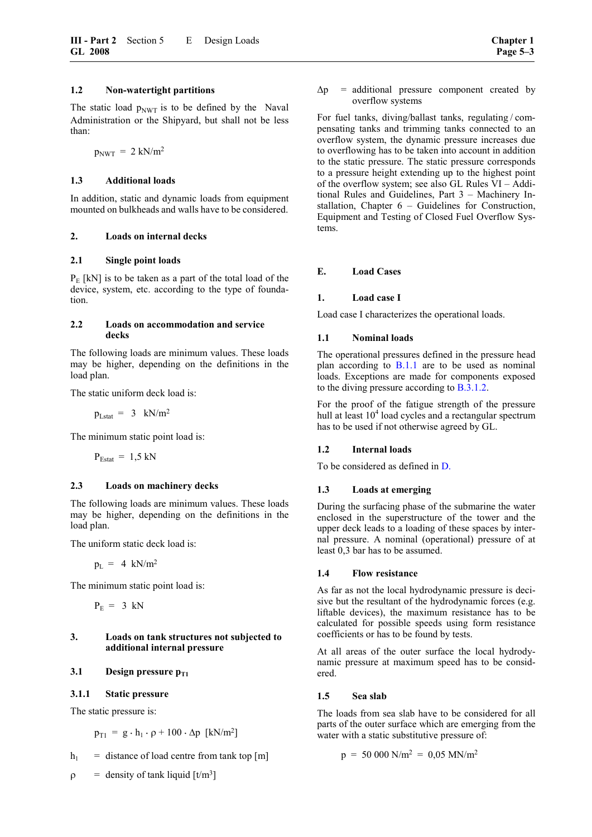The static load  $p_{\text{NWT}}$  is to be defined by the Naval Administration or the Shipyard, but shall not be less than:

 $p_{\text{NWT}} = 2 \text{ kN/m}^2$ 

### **1.3 Additional loads**

In addition, static and dynamic loads from equipment mounted on bulkheads and walls have to be considered.

### **2. Loads on internal decks**

### **2.1 Single point loads**

 $P<sub>E</sub>$  [kN] is to be taken as a part of the total load of the device, system, etc. according to the type of foundation.

### <span id="page-32-0"></span>**2.2 Loads on accommodation and service decks**

The following loads are minimum values. These loads may be higher, depending on the definitions in the load plan.

The static uniform deck load is:

 $p_{Lstat} = 3$  kN/m<sup>2</sup>

The minimum static point load is:

 $P_{\text{Estat}} = 1.5 \text{ kN}$ 

### **2.3 Loads on machinery decks**

The following loads are minimum values. These loads may be higher, depending on the definitions in the load plan.

The uniform static deck load is:

 $p_L = 4$  kN/m<sup>2</sup>

The minimum static point load is:

 $P_E = 3$  kN

### **3. Loads on tank structures not subjected to additional internal pressure**

### **3.1** Design pressure  $p_{T1}$

### **3.1.1 Static pressure**

The static pressure is:

 $p_{T1} = g \cdot h_1 \cdot \rho + 100 \cdot \Delta p \text{ [kN/m²]}$ 

$$
h_1
$$
 = distance of load centre from tank top [m]

 $\rho$  = density of tank liquid [t/m<sup>3</sup>]

 $\Delta p$  = additional pressure component created by overflow systems

For fuel tanks, diving/ballast tanks, regulating / compensating tanks and trimming tanks connected to an overflow system, the dynamic pressure increases due to overflowing has to be taken into account in addition to the static pressure. The static pressure corresponds to a pressure height extending up to the highest point of the overflow system; see also GL Rules VI – Additional Rules and Guidelines, Part 3 – Machinery Installation, Chapter 6 – Guidelines for Construction, Equipment and Testing of Closed Fuel Overflow Systems.

### **E. Load Cases**

### **1. Load case I**

Load case I characterizes the operational loads.

### **1.1 Nominal loads**

The operational pressures defined in the pressure head plan according to  $B.1.1$  are to be used as nominal loads. Exceptions are made for components exposed to the diving pressure according to [B.3.1.2.](#page-31-0)

For the proof of the fatigue strength of the pressure hull at least  $10<sup>4</sup>$  load cycles and a rectangular spectrum has to be used if not otherwise agreed by GL.

### **1.2 Internal loads**

To be considered as defined in [D.](#page-31-1)

### **1.3 Loads at emerging**

During the surfacing phase of the submarine the water enclosed in the superstructure of the tower and the upper deck leads to a loading of these spaces by internal pressure. A nominal (operational) pressure of at least 0,3 bar has to be assumed.

### **1.4 Flow resistance**

As far as not the local hydrodynamic pressure is decisive but the resultant of the hydrodynamic forces (e.g. liftable devices), the maximum resistance has to be calculated for possible speeds using form resistance coefficients or has to be found by tests.

At all areas of the outer surface the local hydrodynamic pressure at maximum speed has to be considered.

### **1.5 Sea slab**

The loads from sea slab have to be considered for all parts of the outer surface which are emerging from the water with a static substitutive pressure of:

$$
p = 50\ 000\ N/m^2 = 0.05\ MN/m^2
$$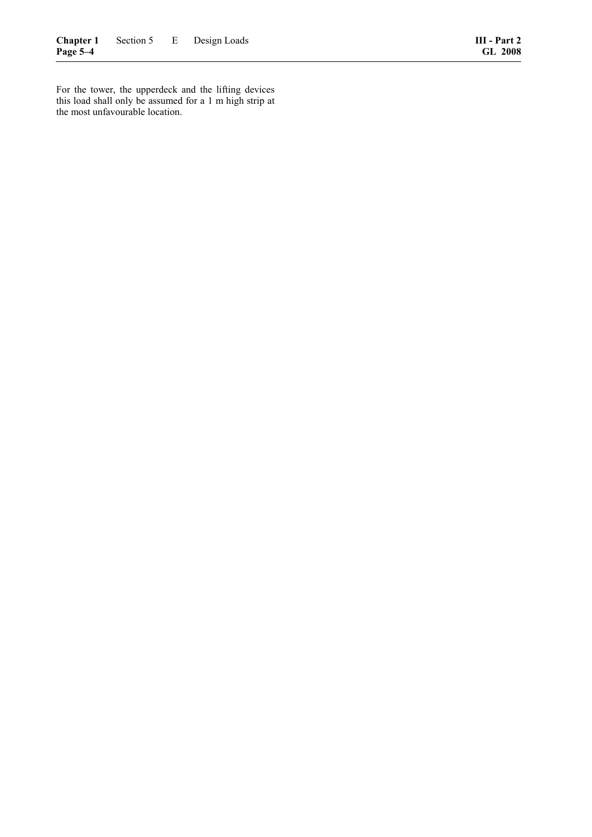For the tower, the upperdeck and the lifting devices this load shall only be assumed for a 1 m high strip at the most unfavourable location.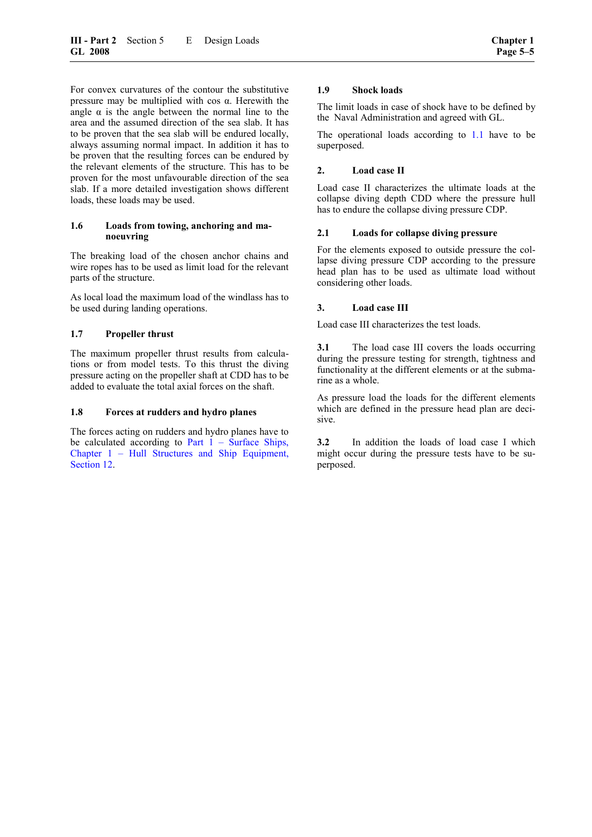For convex curvatures of the contour the substitutive pressure may be multiplied with cos α. Herewith the angle  $\alpha$  is the angle between the normal line to the area and the assumed direction of the sea slab. It has to be proven that the sea slab will be endured locally, always assuming normal impact. In addition it has to be proven that the resulting forces can be endured by the relevant elements of the structure. This has to be

slab. If a more detailed investigation shows different loads, these loads may be used. **1.6 Loads from towing, anchoring and ma-**

proven for the most unfavourable direction of the sea

The breaking load of the chosen anchor chains and wire ropes has to be used as limit load for the relevant parts of the structure.

As local load the maximum load of the windlass has to be used during landing operations.

### **1.7 Propeller thrust**

**noeuvring** 

The maximum propeller thrust results from calculations or from model tests. To this thrust the diving pressure acting on the propeller shaft at CDD has to be added to evaluate the total axial forces on the shaft.

### **1.8 Forces at rudders and hydro planes**

The forces acting on rudders and hydro planes have to be calculated according to Part  $1 -$  Surface Ships, [Chapter 1 – Hull Structures and Ship Equipment,](#page-50-0)  [Section 12.](#page-50-0)

### **1.9 Shock loads**

The limit loads in case of shock have to be defined by the Naval Administration and agreed with GL.

The operational loads according to [1.1](#page-32-0) have to be superposed.

### **2. Load case II**

Load case II characterizes the ultimate loads at the collapse diving depth CDD where the pressure hull has to endure the collapse diving pressure CDP.

### **2.1 Loads for collapse diving pressure**

For the elements exposed to outside pressure the collapse diving pressure CDP according to the pressure head plan has to be used as ultimate load without considering other loads.

#### **3. Load case III**

Load case III characterizes the test loads.

**3.1** The load case III covers the loads occurring during the pressure testing for strength, tightness and functionality at the different elements or at the submarine as a whole.

As pressure load the loads for the different elements which are defined in the pressure head plan are decisive.

**3.2** In addition the loads of load case I which might occur during the pressure tests have to be superposed.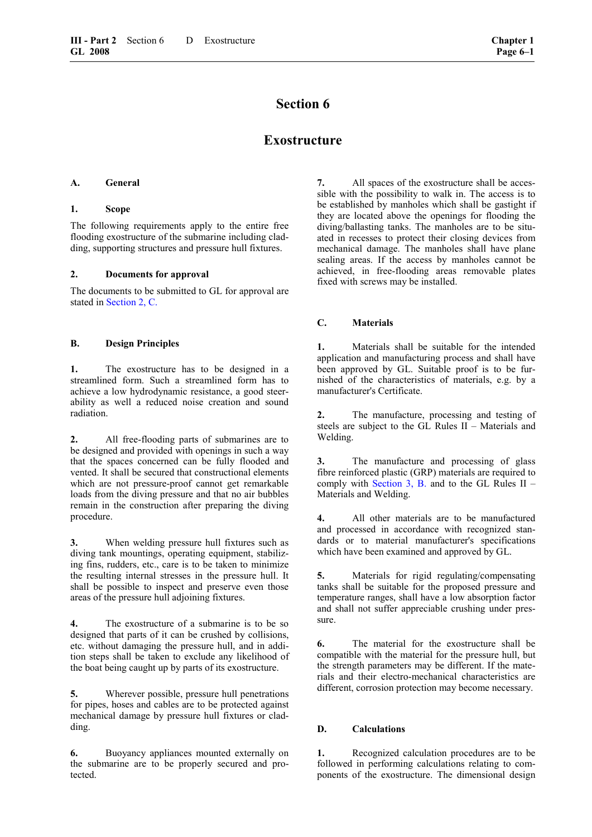## **Exostructure**

#### <span id="page-36-0"></span>**A. General**

#### **1. Scope**

The following requirements apply to the entire free flooding exostructure of the submarine including cladding, supporting structures and pressure hull fixtures.

#### **2. Documents for approval**

The documents to be submitted to GL for approval are stated in [Section 2, C.](#page-17-0)

## **B. Design Principles**

**1.** The exostructure has to be designed in a streamlined form. Such a streamlined form has to achieve a low hydrodynamic resistance, a good steerability as well a reduced noise creation and sound radiation.

**2.** All free-flooding parts of submarines are to be designed and provided with openings in such a way that the spaces concerned can be fully flooded and vented. It shall be secured that constructional elements which are not pressure-proof cannot get remarkable loads from the diving pressure and that no air bubbles remain in the construction after preparing the diving procedure.

**3.** When welding pressure hull fixtures such as diving tank mountings, operating equipment, stabilizing fins, rudders, etc., care is to be taken to minimize the resulting internal stresses in the pressure hull. It shall be possible to inspect and preserve even those areas of the pressure hull adjoining fixtures.

**4.** The exostructure of a submarine is to be so designed that parts of it can be crushed by collisions, etc. without damaging the pressure hull, and in addition steps shall be taken to exclude any likelihood of the boat being caught up by parts of its exostructure.

**5.** Wherever possible, pressure hull penetrations for pipes, hoses and cables are to be protected against mechanical damage by pressure hull fixtures or cladding.

**6.** Buoyancy appliances mounted externally on the submarine are to be properly secured and protected.

**7.** All spaces of the exostructure shall be accessible with the possibility to walk in. The access is to be established by manholes which shall be gastight if they are located above the openings for flooding the diving/ballasting tanks. The manholes are to be situated in recesses to protect their closing devices from mechanical damage. The manholes shall have plane sealing areas. If the access by manholes cannot be achieved, in free-flooding areas removable plates fixed with screws may be installed.

## **C. Materials**

**1.** Materials shall be suitable for the intended application and manufacturing process and shall have been approved by GL. Suitable proof is to be furnished of the characteristics of materials, e.g. by a manufacturer's Certificate.

**2.** The manufacture, processing and testing of steels are subject to the GL Rules II – Materials and Welding.

**3.** The manufacture and processing of glass fibre reinforced plastic (GRP) materials are required to comply with [Section 3, B.](#page-24-0) and to the GL Rules  $II -$ Materials and Welding.

**4.** All other materials are to be manufactured and processed in accordance with recognized standards or to material manufacturer's specifications which have been examined and approved by GL.

**5.** Materials for rigid regulating/compensating tanks shall be suitable for the proposed pressure and temperature ranges, shall have a low absorption factor and shall not suffer appreciable crushing under pressure.

**6.** The material for the exostructure shall be compatible with the material for the pressure hull, but the strength parameters may be different. If the materials and their electro-mechanical characteristics are different, corrosion protection may become necessary.

## **D. Calculations**

**1.** Recognized calculation procedures are to be followed in performing calculations relating to components of the exostructure. The dimensional design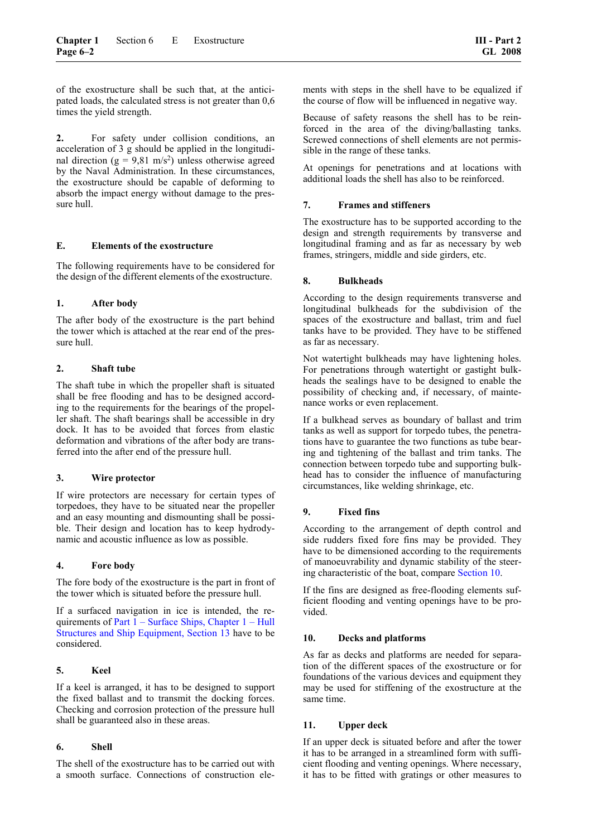of the exostructure shall be such that, at the anticipated loads, the calculated stress is not greater than 0,6 times the yield strength.

**2.** For safety under collision conditions, an acceleration of 3 g should be applied in the longitudinal direction ( $g = 9.81$  m/s<sup>2</sup>) unless otherwise agreed by the Naval Administration. In these circumstances, the exostructure should be capable of deforming to absorb the impact energy without damage to the pressure hull.

#### **E. Elements of the exostructure**

The following requirements have to be considered for the design of the different elements of the exostructure.

## **1. After body**

The after body of the exostructure is the part behind the tower which is attached at the rear end of the pressure hull.

## **2. Shaft tube**

The shaft tube in which the propeller shaft is situated shall be free flooding and has to be designed according to the requirements for the bearings of the propeller shaft. The shaft bearings shall be accessible in dry dock. It has to be avoided that forces from elastic deformation and vibrations of the after body are transferred into the after end of the pressure hull.

## **3. Wire protector**

If wire protectors are necessary for certain types of torpedoes, they have to be situated near the propeller and an easy mounting and dismounting shall be possible. Their design and location has to keep hydrodynamic and acoustic influence as low as possible.

## **4. Fore body**

The fore body of the exostructure is the part in front of the tower which is situated before the pressure hull.

If a surfaced navigation in ice is intended, the requirements of [Part 1 – Surface Ships, Chapter 1 – Hull](#page-58-0)  [Structures and Ship Equipment, Section 13](#page-58-0) have to be considered.

## **5. Keel**

If a keel is arranged, it has to be designed to support the fixed ballast and to transmit the docking forces. Checking and corrosion protection of the pressure hull shall be guaranteed also in these areas.

## **6. Shell**

The shell of the exostructure has to be carried out with a smooth surface. Connections of construction elements with steps in the shell have to be equalized if the course of flow will be influenced in negative way.

Because of safety reasons the shell has to be reinforced in the area of the diving/ballasting tanks. Screwed connections of shell elements are not permissible in the range of these tanks.

At openings for penetrations and at locations with additional loads the shell has also to be reinforced.

## **7. Frames and stiffeners**

The exostructure has to be supported according to the design and strength requirements by transverse and longitudinal framing and as far as necessary by web frames, stringers, middle and side girders, etc.

## **8. Bulkheads**

According to the design requirements transverse and longitudinal bulkheads for the subdivision of the spaces of the exostructure and ballast, trim and fuel tanks have to be provided. They have to be stiffened as far as necessary.

Not watertight bulkheads may have lightening holes. For penetrations through watertight or gastight bulkheads the sealings have to be designed to enable the possibility of checking and, if necessary, of maintenance works or even replacement.

If a bulkhead serves as boundary of ballast and trim tanks as well as support for torpedo tubes, the penetrations have to guarantee the two functions as tube bearing and tightening of the ballast and trim tanks. The connection between torpedo tube and supporting bulkhead has to consider the influence of manufacturing circumstances, like welding shrinkage, etc.

## **9. Fixed fins**

According to the arrangement of depth control and side rudders fixed fore fins may be provided. They have to be dimensioned according to the requirements of manoeuvrability and dynamic stability of the steering characteristic of the boat, compare [Section 10.](#page-46-0)

If the fins are designed as free-flooding elements sufficient flooding and venting openings have to be provided.

## **10. Decks and platforms**

As far as decks and platforms are needed for separation of the different spaces of the exostructure or for foundations of the various devices and equipment they may be used for stiffening of the exostructure at the same time.

#### **11. Upper deck**

If an upper deck is situated before and after the tower it has to be arranged in a streamlined form with sufficient flooding and venting openings. Where necessary, it has to be fitted with gratings or other measures to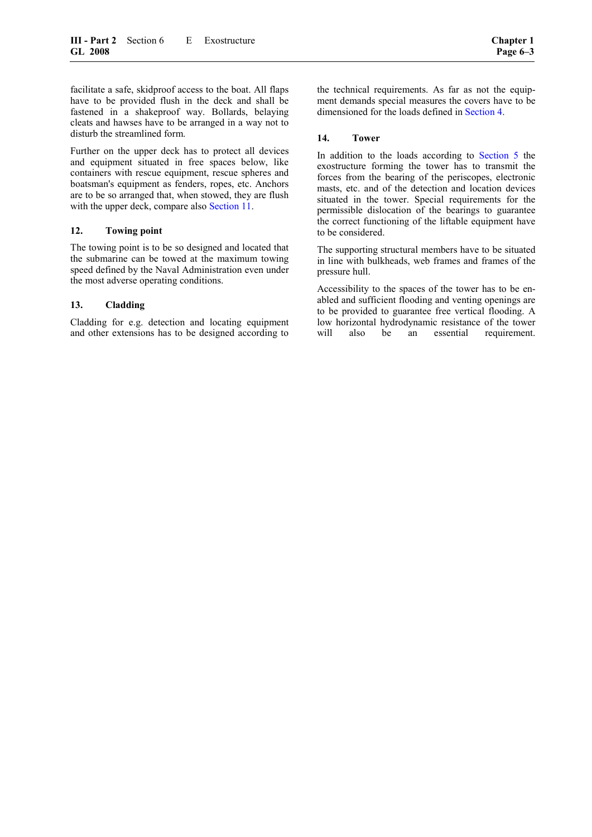facilitate a safe, skidproof access to the boat. All flaps have to be provided flush in the deck and shall be fastened in a shakeproof way. Bollards, belaying cleats and hawses have to be arranged in a way not to disturb the streamlined form.

Further on the upper deck has to protect all devices and equipment situated in free spaces below, like containers with rescue equipment, rescue spheres and boatsman's equipment as fenders, ropes, etc. Anchors are to be so arranged that, when stowed, they are flush with the upper deck, compare also [Section 11.](#page-48-0)

## **12. Towing point**

The towing point is to be so designed and located that the submarine can be towed at the maximum towing speed defined by the Naval Administration even under the most adverse operating conditions.

## **13. Cladding**

Cladding for e.g. detection and locating equipment and other extensions has to be designed according to

the technical requirements. As far as not the equipment demands special measures the covers have to be dimensioned for the loads defined in [Section 4.](#page-26-0)

#### **14. Tower**

In addition to the loads according to [Section 5](#page-30-0) the exostructure forming the tower has to transmit the forces from the bearing of the periscopes, electronic masts, etc. and of the detection and location devices situated in the tower. Special requirements for the permissible dislocation of the bearings to guarantee the correct functioning of the liftable equipment have to be considered.

The supporting structural members have to be situated in line with bulkheads, web frames and frames of the pressure hull.

Accessibility to the spaces of the tower has to be enabled and sufficient flooding and venting openings are to be provided to guarantee free vertical flooding. A low horizontal hydrodynamic resistance of the tower will also be an essential requirement.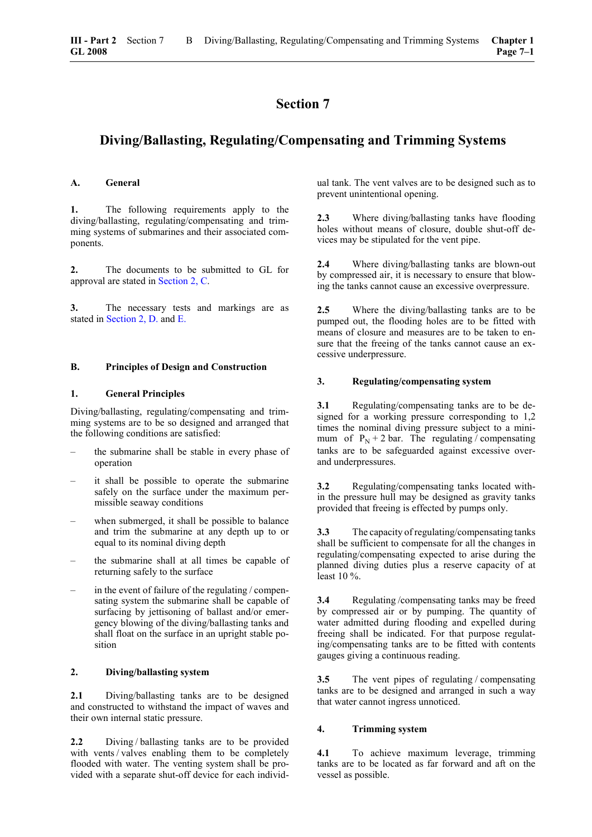## <span id="page-40-0"></span>**Diving/Ballasting, Regulating/Compensating and Trimming Systems**

#### **A. General**

**1.** The following requirements apply to the diving/ballasting, regulating/compensating and trimming systems of submarines and their associated components.

**2.** The documents to be submitted to GL for approval are stated in [Section 2, C.](#page-17-0) 

**3.** The necessary tests and markings are as stated in [Section 2, D.](#page-20-0) and [E.](#page-22-0)

#### **B. Principles of Design and Construction**

#### **1. General Principles**

Diving/ballasting, regulating/compensating and trimming systems are to be so designed and arranged that the following conditions are satisfied:

- the submarine shall be stable in every phase of operation
- it shall be possible to operate the submarine safely on the surface under the maximum permissible seaway conditions
- when submerged, it shall be possible to balance and trim the submarine at any depth up to or equal to its nominal diving depth
- the submarine shall at all times be capable of returning safely to the surface
- in the event of failure of the regulating / compensating system the submarine shall be capable of surfacing by jettisoning of ballast and/or emergency blowing of the diving/ballasting tanks and shall float on the surface in an upright stable position

## **2. Diving/ballasting system**

**2.1** Diving/ballasting tanks are to be designed and constructed to withstand the impact of waves and their own internal static pressure.

**2.2** Diving/ballasting tanks are to be provided with vents / valves enabling them to be completely flooded with water. The venting system shall be provided with a separate shut-off device for each individ-

ual tank. The vent valves are to be designed such as to prevent unintentional opening.

**2.3** Where diving/ballasting tanks have flooding holes without means of closure, double shut-off devices may be stipulated for the vent pipe.

**2.4** Where diving/ballasting tanks are blown-out by compressed air, it is necessary to ensure that blowing the tanks cannot cause an excessive overpressure.

**2.5** Where the diving/ballasting tanks are to be pumped out, the flooding holes are to be fitted with means of closure and measures are to be taken to ensure that the freeing of the tanks cannot cause an excessive underpressure.

#### **3. Regulating/compensating system**

**3.1** Regulating/compensating tanks are to be designed for a working pressure corresponding to 1,2 times the nominal diving pressure subject to a minimum of  $P_N + 2$  bar. The regulating / compensating tanks are to be safeguarded against excessive overand underpressures.

**3.2** Regulating/compensating tanks located within the pressure hull may be designed as gravity tanks provided that freeing is effected by pumps only.

**3.3** The capacity of regulating/compensating tanks shall be sufficient to compensate for all the changes in regulating/compensating expected to arise during the planned diving duties plus a reserve capacity of at least 10 %.

**3.4** Regulating /compensating tanks may be freed by compressed air or by pumping. The quantity of water admitted during flooding and expelled during freeing shall be indicated. For that purpose regulating/compensating tanks are to be fitted with contents gauges giving a continuous reading.

**3.5** The vent pipes of regulating / compensating tanks are to be designed and arranged in such a way that water cannot ingress unnoticed.

## **4. Trimming system**

**4.1** To achieve maximum leverage, trimming tanks are to be located as far forward and aft on the vessel as possible.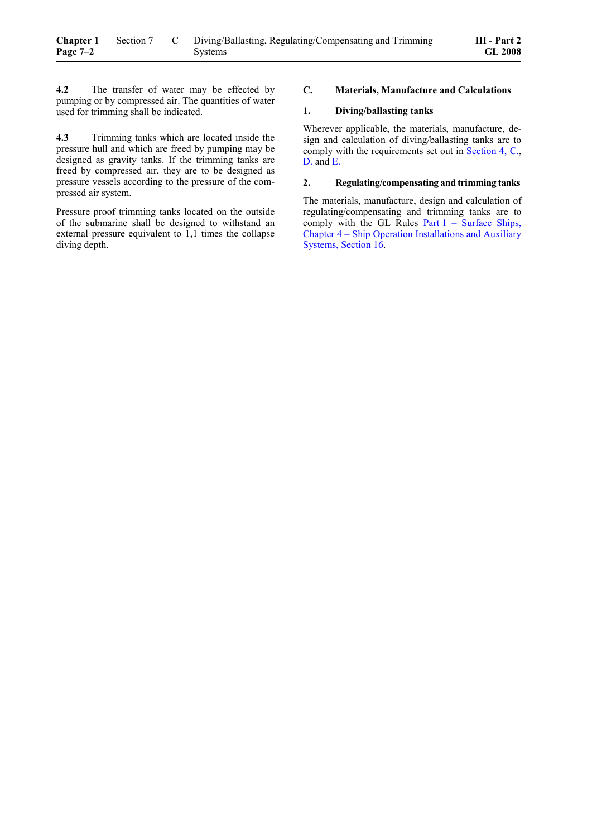**4.3** Trimming tanks which are located inside the pressure hull and which are freed by pumping may be designed as gravity tanks. If the trimming tanks are freed by compressed air, they are to be designed as pressure vessels according to the pressure of the compressed air system.

Pressure proof trimming tanks located on the outside of the submarine shall be designed to withstand an external pressure equivalent to 1,1 times the collapse diving depth.

#### **C. Materials, Manufacture and Calculations**

#### **1. Diving/ballasting tanks**

Wherever applicable, the materials, manufacture, design and calculation of diving/ballasting tanks are to comply with the requirements set out in [Section 4, C.,](#page-26-1) [D.](#page-31-0) and [E.](#page-28-0)

#### **2. Regulating/compensating and trimming tanks**

The materials, manufacture, design and calculation of regulating/compensating and trimming tanks are to comply with the GL Rules Part  $1 -$  Surface Ships, [Chapter 4 – Ship Operation Installations and Auxiliary](#page-66-0)  [Systems, Section 16.](#page-66-0)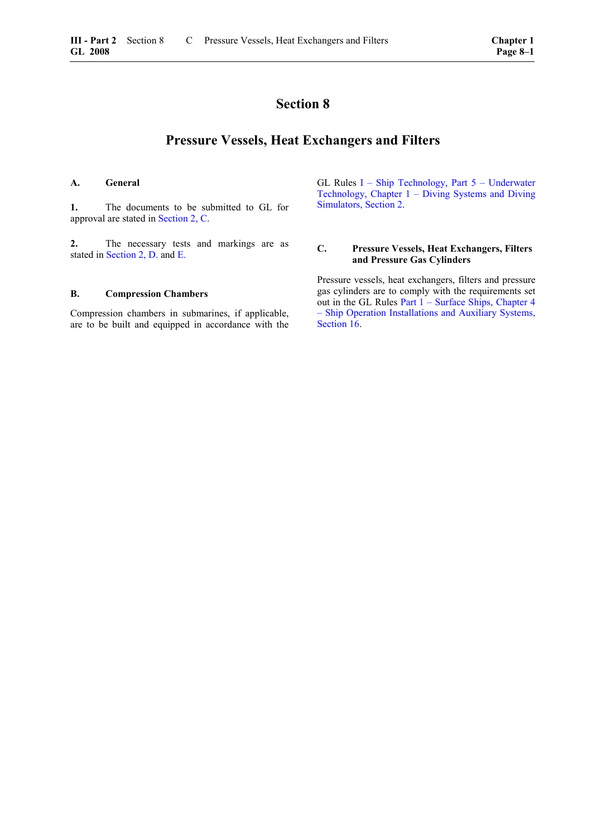## **Pressure Vessels, Heat Exchangers and Filters**

#### <span id="page-42-0"></span>**A. General**

**1.** The documents to be submitted to GL for approval are stated in [Section 2, C.](#page-17-0)

**2.** The necessary tests and markings are as stated in [Section 2, D.](#page-20-0) and [E.](#page-22-0)

#### **B. Compression Chambers**

Compression chambers in submarines, if applicable, are to be built and equipped in accordance with the GL Rules [I – Ship Technology, Part 5 – Underwater](#page-16-0)  [Technology, Chapter 1 – Diving Systems and Diving](#page-16-0)  [Simulators, Section 2.](#page-16-0)

#### **C. Pressure Vessels, Heat Exchangers, Filters and Pressure Gas Cylinders**

Pressure vessels, heat exchangers, filters and pressure gas cylinders are to comply with the requirements set out in the GL Rules [Part 1 – Surface Ships, Chapter 4](#page-66-0)  [– Ship Operation Installations and Auxiliary Systems,](#page-66-0)  [Section 16.](#page-66-0)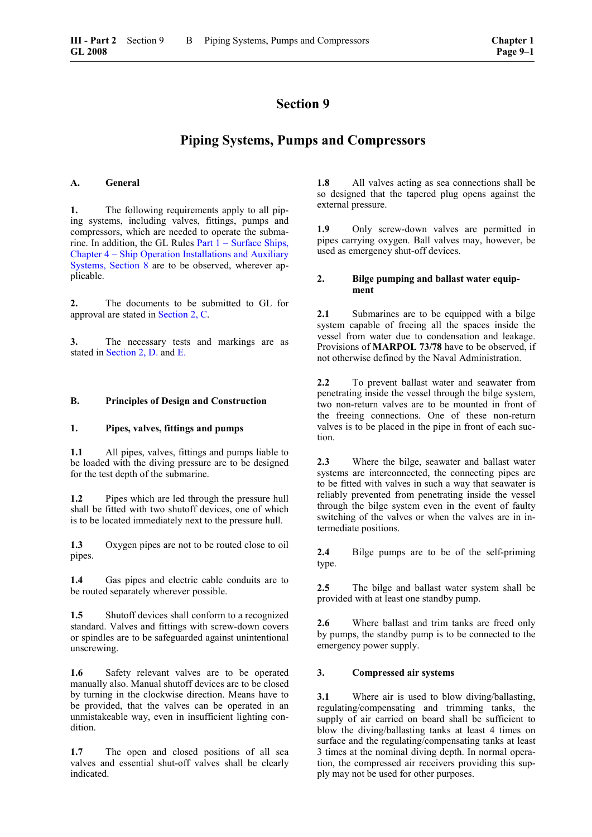## **Piping Systems, Pumps and Compressors**

#### <span id="page-44-0"></span>**A. General**

**1.** The following requirements apply to all piping systems, including valves, fittings, pumps and compressors, which are needed to operate the submarine. In addition, the GL Rules [Part 1 – Surface Ships,](#page-42-0)  [Chapter 4 – Ship Operation Installations and Auxiliary](#page-42-0)  [Systems, Section 8](#page-42-0) are to be observed, wherever applicable.

**2.** The documents to be submitted to GL for approval are stated in [Section 2, C.](#page-17-0)

**3.** The necessary tests and markings are as stated in [Section 2, D.](#page-20-0) and [E.](#page-22-0)

#### **B. Principles of Design and Construction**

#### **1. Pipes, valves, fittings and pumps**

**1.1** All pipes, valves, fittings and pumps liable to be loaded with the diving pressure are to be designed for the test depth of the submarine.

**1.2** Pipes which are led through the pressure hull shall be fitted with two shutoff devices, one of which is to be located immediately next to the pressure hull.

**1.3** Oxygen pipes are not to be routed close to oil pipes.

**1.4** Gas pipes and electric cable conduits are to be routed separately wherever possible.

**1.5** Shutoff devices shall conform to a recognized standard. Valves and fittings with screw-down covers or spindles are to be safeguarded against unintentional unscrewing.

**1.6** Safety relevant valves are to be operated manually also. Manual shutoff devices are to be closed by turning in the clockwise direction. Means have to be provided, that the valves can be operated in an unmistakeable way, even in insufficient lighting condition.

**1.7** The open and closed positions of all sea valves and essential shut-off valves shall be clearly indicated.

**1.8** All valves acting as sea connections shall be so designed that the tapered plug opens against the external pressure.

**1.9** Only screw-down valves are permitted in pipes carrying oxygen. Ball valves may, however, be used as emergency shut-off devices.

#### **2. Bilge pumping and ballast water equipment**

**2.1** Submarines are to be equipped with a bilge system capable of freeing all the spaces inside the vessel from water due to condensation and leakage. Provisions of **MARPOL 73/78** have to be observed, if not otherwise defined by the Naval Administration.

**2.2** To prevent ballast water and seawater from penetrating inside the vessel through the bilge system, two non-return valves are to be mounted in front of the freeing connections. One of these non-return valves is to be placed in the pipe in front of each suction.

**2.3** Where the bilge, seawater and ballast water systems are interconnected, the connecting pipes are to be fitted with valves in such a way that seawater is reliably prevented from penetrating inside the vessel through the bilge system even in the event of faulty switching of the valves or when the valves are in intermediate positions.

**2.4** Bilge pumps are to be of the self-priming type.

**2.5** The bilge and ballast water system shall be provided with at least one standby pump.

**2.6** Where ballast and trim tanks are freed only by pumps, the standby pump is to be connected to the emergency power supply.

#### **3. Compressed air systems**

**3.1** Where air is used to blow diving/ballasting, regulating/compensating and trimming tanks, the supply of air carried on board shall be sufficient to blow the diving/ballasting tanks at least 4 times on surface and the regulating/compensating tanks at least 3 times at the nominal diving depth. In normal operation, the compressed air receivers providing this supply may not be used for other purposes.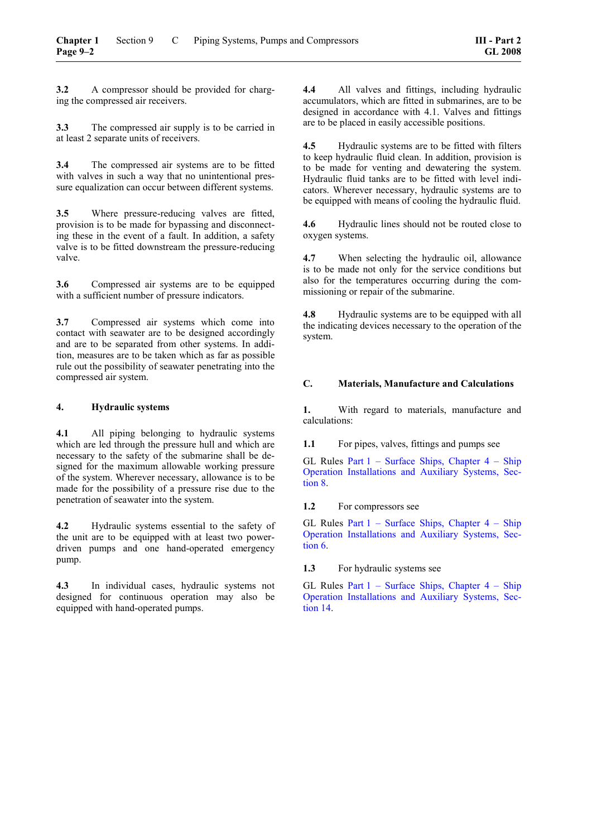**3.2** A compressor should be provided for charging the compressed air receivers.

**3.3** The compressed air supply is to be carried in at least 2 separate units of receivers.

**3.4** The compressed air systems are to be fitted with valves in such a way that no unintentional pressure equalization can occur between different systems.

**3.5** Where pressure-reducing valves are fitted, provision is to be made for bypassing and disconnecting these in the event of a fault. In addition, a safety valve is to be fitted downstream the pressure-reducing valve.

**3.6** Compressed air systems are to be equipped with a sufficient number of pressure indicators.

**3.7** Compressed air systems which come into contact with seawater are to be designed accordingly and are to be separated from other systems. In addition, measures are to be taken which as far as possible rule out the possibility of seawater penetrating into the compressed air system.

## **4. Hydraulic systems**

**4.1** All piping belonging to hydraulic systems which are led through the pressure hull and which are necessary to the safety of the submarine shall be designed for the maximum allowable working pressure of the system. Wherever necessary, allowance is to be made for the possibility of a pressure rise due to the penetration of seawater into the system.

**4.2** Hydraulic systems essential to the safety of the unit are to be equipped with at least two powerdriven pumps and one hand-operated emergency pump.

**4.3** In individual cases, hydraulic systems not designed for continuous operation may also be equipped with hand-operated pumps.

**4.4** All valves and fittings, including hydraulic accumulators, which are fitted in submarines, are to be designed in accordance with 4.1. Valves and fittings are to be placed in easily accessible positions.

**4.5** Hydraulic systems are to be fitted with filters to keep hydraulic fluid clean. In addition, provision is to be made for venting and dewatering the system. Hydraulic fluid tanks are to be fitted with level indicators. Wherever necessary, hydraulic systems are to be equipped with means of cooling the hydraulic fluid.

**4.6** Hydraulic lines should not be routed close to oxygen systems.

**4.7** When selecting the hydraulic oil, allowance is to be made not only for the service conditions but also for the temperatures occurring during the commissioning or repair of the submarine.

**4.8** Hydraulic systems are to be equipped with all the indicating devices necessary to the operation of the system.

## **C. Materials, Manufacture and Calculations**

**1.** With regard to materials, manufacture and calculations:

**1.1** For pipes, valves, fittings and pumps see

GL Rules [Part 1 – Surface Ships, Chapter 4 – Ship](#page-42-0)  [Operation Installations and Auxiliary Systems, Sec](#page-42-0)[tion 8.](#page-42-0)

**1.2** For compressors see

GL Rules [Part 1 – Surface Ships, Chapter 4 – Ship](#page-36-0)  [Operation Installations and Auxiliary Systems, Sec](#page-36-0)[tion 6.](#page-36-0)

**1.3** For hydraulic systems see

GL Rules Part  $1$  – Surface Ships, Chapter  $4$  – Ship [Operation Installations and Auxiliary Systems, Sec](#page-62-0)[tion 14.](#page-62-0)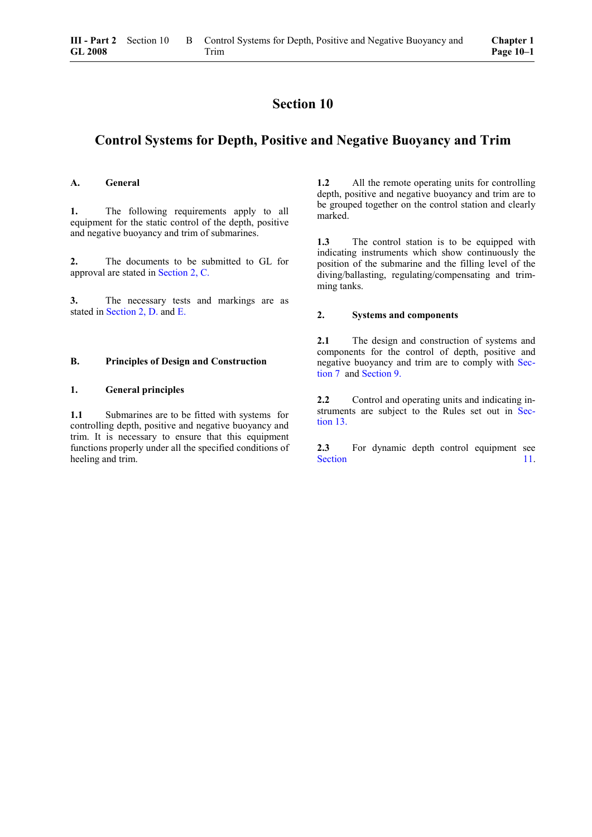## <span id="page-46-0"></span>**Control Systems for Depth, Positive and Negative Buoyancy and Trim**

#### **A. General**

**1.** The following requirements apply to all equipment for the static control of the depth, positive and negative buoyancy and trim of submarines.

**2.** The documents to be submitted to GL for approval are stated in [Section 2, C.](#page-17-0)

**3.** The necessary tests and markings are as stated in [Section 2, D.](#page-20-0) and [E.](#page-22-0)

#### **B. Principles of Design and Construction**

## **1. General principles**

**1.1** Submarines are to be fitted with systems for controlling depth, positive and negative buoyancy and trim. It is necessary to ensure that this equipment functions properly under all the specified conditions of heeling and trim.

**1.2** All the remote operating units for controlling depth, positive and negative buoyancy and trim are to be grouped together on the control station and clearly marked.

**1.3** The control station is to be equipped with indicating instruments which show continuously the position of the submarine and the filling level of the diving/ballasting, regulating/compensating and trimming tanks.

#### **2. Systems and components**

**2.1** The design and construction of systems and components for the control of depth, positive and negative buoyancy and trim are to comply with [Sec](#page-40-0)[tion 7](#page-40-0) and [Section 9.](#page-44-0)

2.2 Control and operating units and indicating instruments are subject to the Rules set out in [Sec](#page-58-0)[tion 13.](#page-58-0)

**2.3** For dynamic depth control equipment see [Section 11.](#page-48-0)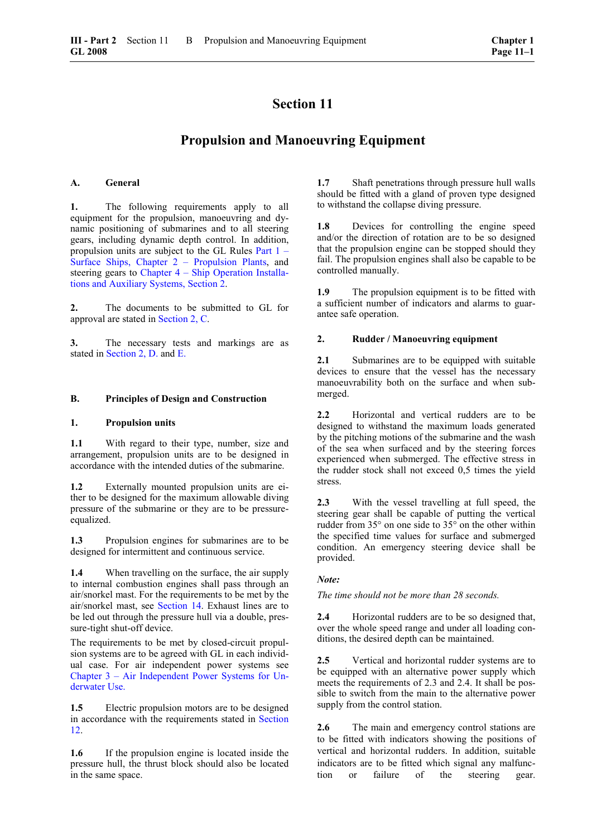## **Propulsion and Manoeuvring Equipment**

#### <span id="page-48-0"></span>**A. General**

**1.** The following requirements apply to all equipment for the propulsion, manoeuvring and dynamic positioning of submarines and to all steering gears, including dynamic depth control. In addition, propulsion units are subject to the GL Rules [Part 1 –](#page-0-0)  [Surface Ships, Chapter 2 – Propulsion Plants,](#page-0-0) and steering gears to [Chapter 4 – Ship Operation Installa](#page-16-0)[tions and Auxiliary Systems, Section 2.](#page-16-0)

**2.** The documents to be submitted to GL for approval are stated in [Section 2, C.](#page-17-0)

**3.** The necessary tests and markings are as stated in [Section 2, D.](#page-20-0) and [E.](#page-22-0)

#### **B. Principles of Design and Construction**

#### **1. Propulsion units**

**1.1** With regard to their type, number, size and arrangement, propulsion units are to be designed in accordance with the intended duties of the submarine.

**1.2** Externally mounted propulsion units are either to be designed for the maximum allowable diving pressure of the submarine or they are to be pressureequalized.

**1.3** Propulsion engines for submarines are to be designed for intermittent and continuous service.

**1.4** When travelling on the surface, the air supply to internal combustion engines shall pass through an air/snorkel mast. For the requirements to be met by the air/snorkel mast, see [Section 14.](#page-62-0) Exhaust lines are to be led out through the pressure hull via a double, pressure-tight shut-off device.

The requirements to be met by closed-circuit propulsion systems are to be agreed with GL in each individual case. For air independent power systems see [Chapter 3 – Air Independent Power Systems for Un](#page-62-0)[derwater Use.](#page-62-0)

**1.5** Electric propulsion motors are to be designed in accordance with the requirements stated in [Section](#page-50-0)  1[2.](#page-50-0)

**1.6** If the propulsion engine is located inside the pressure hull, the thrust block should also be located in the same space.

**1.7** Shaft penetrations through pressure hull walls should be fitted with a gland of proven type designed to withstand the collapse diving pressure.

**1.8** Devices for controlling the engine speed and/or the direction of rotation are to be so designed that the propulsion engine can be stopped should they fail. The propulsion engines shall also be capable to be controlled manually.

**1.9** The propulsion equipment is to be fitted with a sufficient number of indicators and alarms to guarantee safe operation.

#### **2. Rudder / Manoeuvring equipment**

2.1 Submarines are to be equipped with suitable devices to ensure that the vessel has the necessary manoeuvrability both on the surface and when submerged.

**2.2** Horizontal and vertical rudders are to be designed to withstand the maximum loads generated by the pitching motions of the submarine and the wash of the sea when surfaced and by the steering forces experienced when submerged. The effective stress in the rudder stock shall not exceed 0,5 times the yield stress.

**2.3** With the vessel travelling at full speed, the steering gear shall be capable of putting the vertical rudder from 35° on one side to 35° on the other within the specified time values for surface and submerged condition. An emergency steering device shall be provided.

#### *Note:*

*The time should not be more than 28 seconds.* 

**2.4** Horizontal rudders are to be so designed that, over the whole speed range and under all loading conditions, the desired depth can be maintained.

**2.5** Vertical and horizontal rudder systems are to be equipped with an alternative power supply which meets the requirements of 2.3 and 2.4. It shall be possible to switch from the main to the alternative power supply from the control station.

**2.6** The main and emergency control stations are to be fitted with indicators showing the positions of vertical and horizontal rudders. In addition, suitable indicators are to be fitted which signal any malfunction or failure of the steering gear.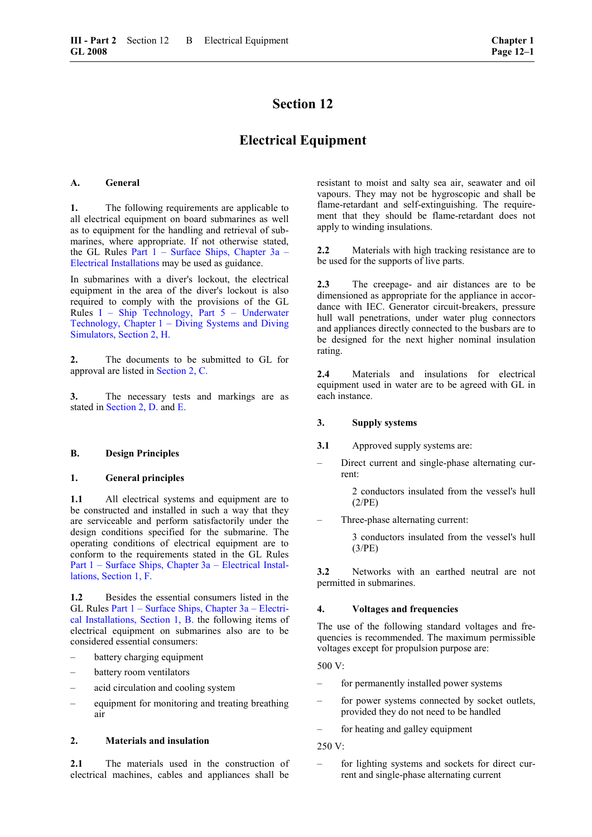## **Electrical Equipment**

#### <span id="page-50-0"></span>**A. General**

**1.** The following requirements are applicable to all electrical equipment on board submarines as well as to equipment for the handling and retrieval of submarines, where appropriate. If not otherwise stated, the GL Rules [Part 1 – Surface Ships, Chapter 3a –](#page-0-0)  [Electrical Installations m](#page-0-0)ay be used as guidance.

In submarines with a diver's lockout, the electrical equipment in the area of the diver's lockout is also required to comply with the provisions of the GL Rules I – Ship Technology, Part 5 – Underwater Technology, Chapter 1 – Diving Systems and Diving Simulators, Section 2, H.

**2.** The documents to be submitted to GL for approval are listed in [Section 2, C.](#page-17-0)

**3.** The necessary tests and markings are as stated in [Section 2, D.](#page-20-0) and [E.](#page-22-0)

#### **B. Design Principles**

## **1. General principles**

**1.1** All electrical systems and equipment are to be constructed and installed in such a way that they are serviceable and perform satisfactorily under the design conditions specified for the submarine. The operating conditions of electrical equipment are to conform to the requirements stated in the GL Rules Part 1 – Surface Ships, Chapter 3a – Electrical Installations, Section 1, F.

**1.2** Besides the essential consumers listed in the GL Rules [Part 1 – Surface Ships, Chapter 3a – Electri](#page-14-0)[cal Installations, Section 1, B.](#page-14-0) the following items of electrical equipment on submarines also are to be considered essential consumers:

- battery charging equipment
- battery room ventilators
- acid circulation and cooling system
- equipment for monitoring and treating breathing air

#### **2. Materials and insulation**

2.1 The materials used in the construction of electrical machines, cables and appliances shall be

resistant to moist and salty sea air, seawater and oil vapours. They may not be hygroscopic and shall be flame-retardant and self-extinguishing. The requirement that they should be flame-retardant does not apply to winding insulations.

**2.2** Materials with high tracking resistance are to be used for the supports of live parts.

**2.3** The creepage- and air distances are to be dimensioned as appropriate for the appliance in accordance with IEC. Generator circuit-breakers, pressure hull wall penetrations, under water plug connectors and appliances directly connected to the busbars are to be designed for the next higher nominal insulation rating.

**2.4** Materials and insulations for electrical equipment used in water are to be agreed with GL in each instance.

#### **3. Supply systems**

- **3.1** Approved supply systems are:
- Direct current and single-phase alternating current:

 2 conductors insulated from the vessel's hull (2/PE)

– Three-phase alternating current:

 3 conductors insulated from the vessel's hull (3/PE)

**3.2** Networks with an earthed neutral are not permitted in submarines.

#### **4. Voltages and frequencies**

The use of the following standard voltages and frequencies is recommended. The maximum permissible voltages except for propulsion purpose are:

500 V:

- for permanently installed power systems
- for power systems connected by socket outlets, provided they do not need to be handled
- for heating and galley equipment

250 V:

– for lighting systems and sockets for direct current and single-phase alternating current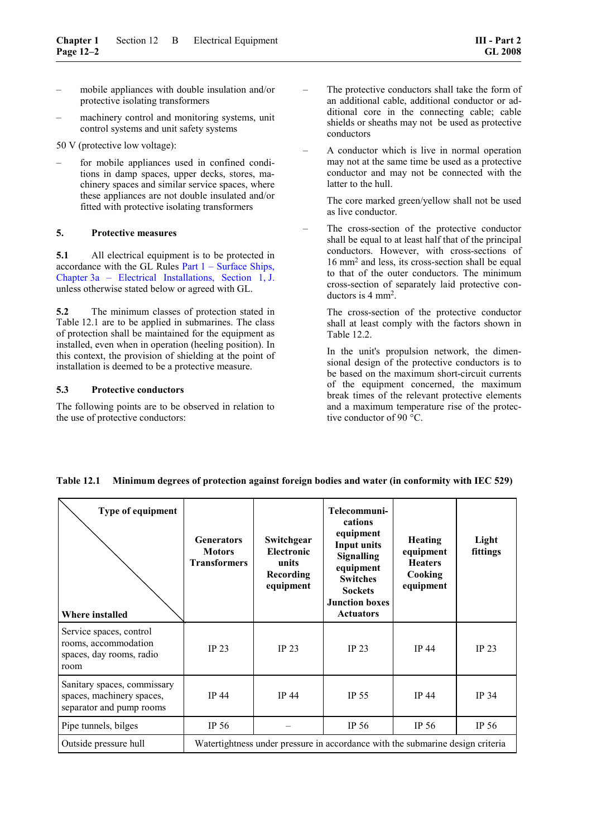- mobile appliances with double insulation and/or protective isolating transformers
- machinery control and monitoring systems, unit control systems and unit safety systems

50 V (protective low voltage):

– for mobile appliances used in confined conditions in damp spaces, upper decks, stores, machinery spaces and similar service spaces, where these appliances are not double insulated and/or fitted with protective isolating transformers

## **5. Protective measures**

**5.1** All electrical equipment is to be protected in accordance with the GL Rules Part 1 – Surface Ships, Chapter 3a – Electrical Installations, Section 1, J. unless otherwise stated below or agreed with GL.

**5.2** The minimum classes of protection stated in Table 12.1 are to be applied in submarines. The class of protection shall be maintained for the equipment as installed, even when in operation (heeling position). In this context, the provision of shielding at the point of installation is deemed to be a protective measure.

#### **5.3 Protective conductors**

The following points are to be observed in relation to the use of protective conductors:

- The protective conductors shall take the form of an additional cable, additional conductor or additional core in the connecting cable; cable shields or sheaths may not be used as protective conductors
- A conductor which is live in normal operation may not at the same time be used as a protective conductor and may not be connected with the latter to the hull.

 The core marked green/yellow shall not be used as live conductor.

– The cross-section of the protective conductor shall be equal to at least half that of the principal conductors. However, with cross-sections of 16 mm2 and less, its cross-section shall be equal to that of the outer conductors. The minimum cross-section of separately laid protective conductors is 4 mm2.

 The cross-section of the protective conductor shall at least comply with the factors shown in Table 12.2.

 In the unit's propulsion network, the dimensional design of the protective conductors is to be based on the maximum short-circuit currents of the equipment concerned, the maximum break times of the relevant protective elements and a maximum temperature rise of the protective conductor of 90 °C.

| <b>Type of equipment</b><br>Where installed                                          | <b>Generators</b><br><b>Motors</b><br><b>Transformers</b>                      | Switchgear<br><b>Electronic</b><br>units<br>Recording<br>equipment | Telecommuni-<br>cations<br>equipment<br><b>Input units</b><br><b>Signalling</b><br>equipment<br><b>Switches</b><br><b>Sockets</b><br><b>Junction boxes</b><br><b>Actuators</b> | <b>Heating</b><br>equipment<br><b>Heaters</b><br>Cooking<br>equipment | Light<br>fittings |
|--------------------------------------------------------------------------------------|--------------------------------------------------------------------------------|--------------------------------------------------------------------|--------------------------------------------------------------------------------------------------------------------------------------------------------------------------------|-----------------------------------------------------------------------|-------------------|
| Service spaces, control<br>rooms, accommodation<br>spaces, day rooms, radio<br>room  | <b>IP 23</b>                                                                   | IP <sub>23</sub>                                                   | IP <sub>23</sub>                                                                                                                                                               | <b>IP 44</b>                                                          | IP <sub>23</sub>  |
| Sanitary spaces, commissary<br>spaces, machinery spaces,<br>separator and pump rooms | <b>IP 44</b>                                                                   | <b>IP 44</b>                                                       | <b>IP 55</b>                                                                                                                                                                   | <b>IP 44</b>                                                          | <b>IP 34</b>      |
| Pipe tunnels, bilges                                                                 | IP 56                                                                          |                                                                    | IP $56$                                                                                                                                                                        | IP 56                                                                 | IP 56             |
| Outside pressure hull                                                                | Watertightness under pressure in accordance with the submarine design criteria |                                                                    |                                                                                                                                                                                |                                                                       |                   |

## **Table 12.1 Minimum degrees of protection against foreign bodies and water (in conformity with IEC 529)**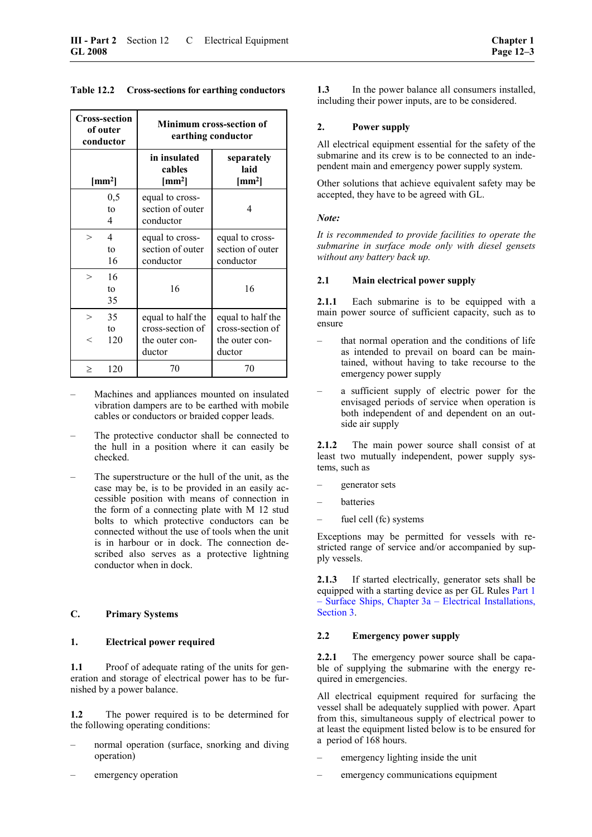| <b>Cross-section</b><br>of outer<br>conductor  | <b>Minimum cross-section of</b><br>earthing conductor             |                                                                   |  |  |
|------------------------------------------------|-------------------------------------------------------------------|-------------------------------------------------------------------|--|--|
| ${\rm [mm^2]}$                                 | in insulated<br>cables<br>$\text{[mm}^2$                          | separately<br>laid<br>$\text{[mm}^2$                              |  |  |
| 0,5<br>to<br>4                                 | equal to cross-<br>section of outer<br>conductor                  | 4                                                                 |  |  |
| $\overline{\mathcal{A}}$<br>$\geq$<br>to<br>16 | equal to cross-<br>section of outer<br>conductor                  | equal to cross-<br>section of outer<br>conductor                  |  |  |
| 16<br>$\geq$<br>to<br>35                       | 16                                                                | 16                                                                |  |  |
| 35<br>$\rm{>}$<br>to<br>120<br>$\,<$           | equal to half the<br>cross-section of<br>the outer con-<br>ductor | equal to half the<br>cross-section of<br>the outer con-<br>ductor |  |  |
| 120<br>$\,>$                                   | 70                                                                | 70                                                                |  |  |

**Table 12.2 Cross-sections for earthing conductors** 

- Machines and appliances mounted on insulated vibration dampers are to be earthed with mobile cables or conductors or braided copper leads.
- The protective conductor shall be connected to the hull in a position where it can easily be checked.
- The superstructure or the hull of the unit, as the case may be, is to be provided in an easily accessible position with means of connection in the form of a connecting plate with M 12 stud bolts to which protective conductors can be connected without the use of tools when the unit is in harbour or in dock. The connection described also serves as a protective lightning conductor when in dock.

## **C. Primary Systems**

#### **1. Electrical power required**

**1.1** Proof of adequate rating of the units for generation and storage of electrical power has to be furnished by a power balance.

**1.2** The power required is to be determined for the following operating conditions:

- normal operation (surface, snorking and diving operation)
- emergency operation

**1.3** In the power balance all consumers installed, including their power inputs, are to be considered.

## **2. Power supply**

All electrical equipment essential for the safety of the submarine and its crew is to be connected to an independent main and emergency power supply system.

Other solutions that achieve equivalent safety may be accepted, they have to be agreed with GL.

#### *Note:*

*It is recommended to provide facilities to operate the submarine in surface mode only with diesel gensets without any battery back up.* 

#### **2.1 Main electrical power supply**

**2.1.1** Each submarine is to be equipped with a main power source of sufficient capacity, such as to ensure

- that normal operation and the conditions of life as intended to prevail on board can be maintained, without having to take recourse to the emergency power supply
- a sufficient supply of electric power for the envisaged periods of service when operation is both independent of and dependent on an outside air supply

**2.1.2** The main power source shall consist of at least two mutually independent, power supply systems, such as

- generator sets
- batteries
- fuel cell (fc) systems

Exceptions may be permitted for vessels with restricted range of service and/or accompanied by supply vessels.

**2.1.3** If started electrically, generator sets shall be equipped with a starting device as per GL Rules [Part 1](#page-24-1)  [– Surface Ships, Chapter 3a – Electrical Installations,](#page-24-1)  [Section 3.](#page-24-1)

## **2.2 Emergency power supply**

**2.2.1** The emergency power source shall be capable of supplying the submarine with the energy required in emergencies.

All electrical equipment required for surfacing the vessel shall be adequately supplied with power. Apart from this, simultaneous supply of electrical power to at least the equipment listed below is to be ensured for a period of 168 hours.

- emergency lighting inside the unit
- emergency communications equipment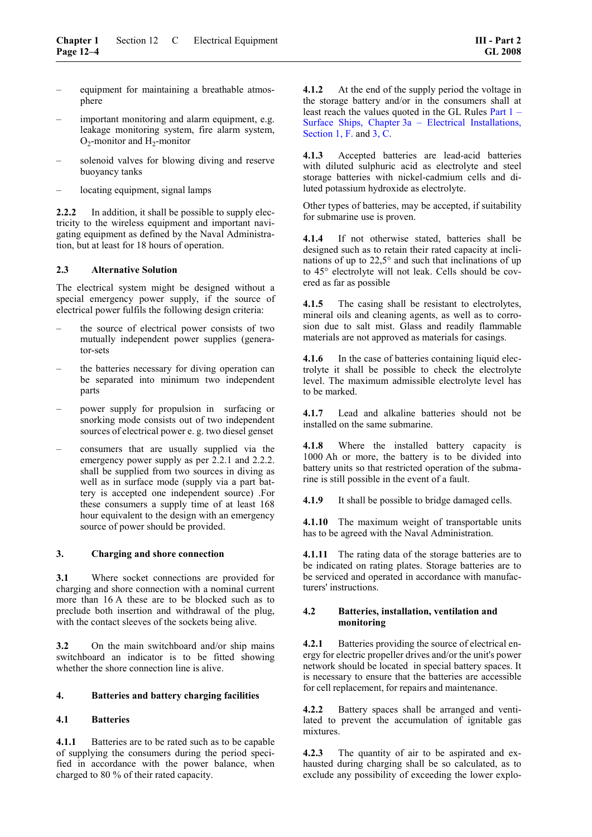- equipment for maintaining a breathable atmosphere
- important monitoring and alarm equipment, e.g. leakage monitoring system, fire alarm system,  $O_2$ -monitor and  $H_2$ -monitor
- solenoid valves for blowing diving and reserve buoyancy tanks
- locating equipment, signal lamps

**2.2.2** In addition, it shall be possible to supply electricity to the wireless equipment and important navigating equipment as defined by the Naval Administration, but at least for 18 hours of operation.

## **2.3 Alternative Solution**

The electrical system might be designed without a special emergency power supply, if the source of electrical power fulfils the following design criteria:

- the source of electrical power consists of two mutually independent power supplies (generator-sets
- the batteries necessary for diving operation can be separated into minimum two independent parts
- power supply for propulsion in surfacing or snorking mode consists out of two independent sources of electrical power e. g. two diesel genset
- consumers that are usually supplied via the emergency power supply as per 2.2.1 and 2.2.2. shall be supplied from two sources in diving as well as in surface mode (supply via a part battery is accepted one independent source) .For these consumers a supply time of at least 168 hour equivalent to the design with an emergency source of power should be provided.

#### **3. Charging and shore connection**

**3.1** Where socket connections are provided for charging and shore connection with a nominal current more than 16 A these are to be blocked such as to preclude both insertion and withdrawal of the plug, with the contact sleeves of the sockets being alive.

**3.2** On the main switchboard and/or ship mains switchboard an indicator is to be fitted showing whether the shore connection line is alive.

#### **4. Batteries and battery charging facilities**

## **4.1 Batteries**

**4.1.1** Batteries are to be rated such as to be capable of supplying the consumers during the period specified in accordance with the power balance, when charged to 80 % of their rated capacity.

**4.1.2** At the end of the supply period the voltage in the storage battery and/or in the consumers shall at least reach the values quoted in the GL Rules Part 1 – Surface Ships, Chapter 3a – Electrical Installations, Section 1, F. and [3, C.](#page-24-2)

**4.1.3** Accepted batteries are lead-acid batteries with diluted sulphuric acid as electrolyte and steel storage batteries with nickel-cadmium cells and diluted potassium hydroxide as electrolyte.

Other types of batteries, may be accepted, if suitability for submarine use is proven.

**4.1.4** If not otherwise stated, batteries shall be designed such as to retain their rated capacity at inclinations of up to 22,5° and such that inclinations of up to 45° electrolyte will not leak. Cells should be covered as far as possible

**4.1.5** The casing shall be resistant to electrolytes, mineral oils and cleaning agents, as well as to corrosion due to salt mist. Glass and readily flammable materials are not approved as materials for casings.

**4.1.6** In the case of batteries containing liquid electrolyte it shall be possible to check the electrolyte level. The maximum admissible electrolyte level has to be marked.

**4.1.7** Lead and alkaline batteries should not be installed on the same submarine.

**4.1.8** Where the installed battery capacity is 1000 Ah or more, the battery is to be divided into battery units so that restricted operation of the submarine is still possible in the event of a fault.

**4.1.9** It shall be possible to bridge damaged cells.

**4.1.10** The maximum weight of transportable units has to be agreed with the Naval Administration.

**4.1.11** The rating data of the storage batteries are to be indicated on rating plates. Storage batteries are to be serviced and operated in accordance with manufacturers' instructions.

#### **4.2 Batteries, installation, ventilation and monitoring**

**4.2.1** Batteries providing the source of electrical energy for electric propeller drives and/or the unit's power network should be located in special battery spaces. It is necessary to ensure that the batteries are accessible for cell replacement, for repairs and maintenance.

**4.2.2** Battery spaces shall be arranged and ventilated to prevent the accumulation of ignitable gas mixtures.

**4.2.3** The quantity of air to be aspirated and exhausted during charging shall be so calculated, as to exclude any possibility of exceeding the lower explo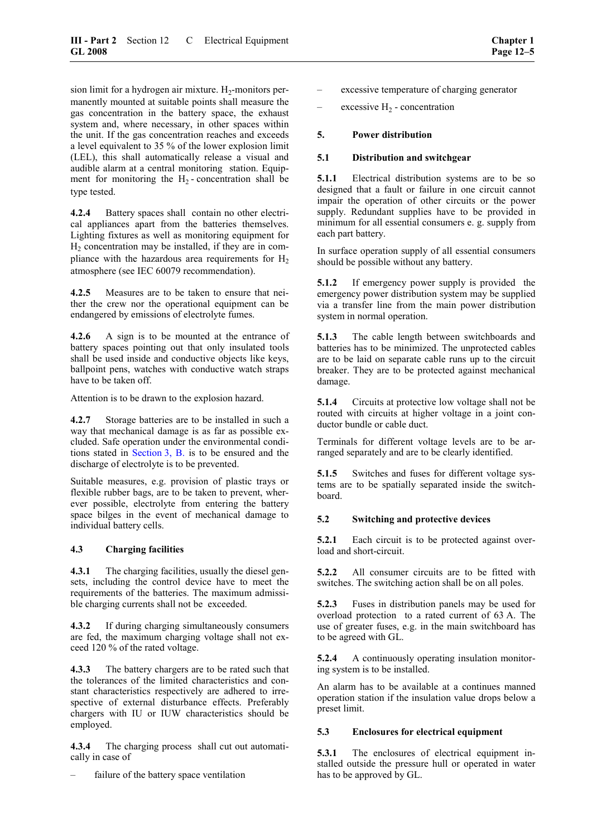sion limit for a hydrogen air mixture.  $H_2$ -monitors permanently mounted at suitable points shall measure the gas concentration in the battery space, the exhaust system and, where necessary, in other spaces within the unit. If the gas concentration reaches and exceeds a level equivalent to 35 % of the lower explosion limit (LEL), this shall automatically release a visual and audible alarm at a central monitoring station. Equipment for monitoring the  $H<sub>2</sub>$ -concentration shall be type tested.

**4.2.4** Battery spaces shall contain no other electrical appliances apart from the batteries themselves. Lighting fixtures as well as monitoring equipment for  $H<sub>2</sub>$  concentration may be installed, if they are in compliance with the hazardous area requirements for  $H<sub>2</sub>$ atmosphere (see IEC 60079 recommendation).

**4.2.5** Measures are to be taken to ensure that neither the crew nor the operational equipment can be endangered by emissions of electrolyte fumes.

**4.2.6** A sign is to be mounted at the entrance of battery spaces pointing out that only insulated tools shall be used inside and conductive objects like keys, ballpoint pens, watches with conductive watch straps have to be taken off.

Attention is to be drawn to the explosion hazard.

**4.2.7** Storage batteries are to be installed in such a way that mechanical damage is as far as possible excluded. Safe operation under the environmental conditions stated in [Section 3, B.](#page-24-0) is to be ensured and the discharge of electrolyte is to be prevented.

Suitable measures, e.g. provision of plastic trays or flexible rubber bags, are to be taken to prevent, wherever possible, electrolyte from entering the battery space bilges in the event of mechanical damage to individual battery cells.

## **4.3 Charging facilities**

**4.3.1** The charging facilities, usually the diesel gensets, including the control device have to meet the requirements of the batteries. The maximum admissible charging currents shall not be exceeded.

**4.3.2** If during charging simultaneously consumers are fed, the maximum charging voltage shall not exceed 120 % of the rated voltage.

**4.3.3** The battery chargers are to be rated such that the tolerances of the limited characteristics and constant characteristics respectively are adhered to irrespective of external disturbance effects. Preferably chargers with IU or IUW characteristics should be employed.

**4.3.4** The charging process shall cut out automatically in case of

failure of the battery space ventilation

- excessive temperature of charging generator
- excessive  $H_2$  concentration

## **5. Power distribution**

## **5.1 Distribution and switchgear**

**5.1.1** Electrical distribution systems are to be so designed that a fault or failure in one circuit cannot impair the operation of other circuits or the power supply. Redundant supplies have to be provided in minimum for all essential consumers e. g. supply from each part battery.

In surface operation supply of all essential consumers should be possible without any battery.

**5.1.2** If emergency power supply is provided the emergency power distribution system may be supplied via a transfer line from the main power distribution system in normal operation.

**5.1.3** The cable length between switchboards and batteries has to be minimized. The unprotected cables are to be laid on separate cable runs up to the circuit breaker. They are to be protected against mechanical damage.

**5.1.4** Circuits at protective low voltage shall not be routed with circuits at higher voltage in a joint conductor bundle or cable duct.

Terminals for different voltage levels are to be arranged separately and are to be clearly identified.

**5.1.5** Switches and fuses for different voltage systems are to be spatially separated inside the switchboard.

## **5.2 Switching and protective devices**

**5.2.1** Each circuit is to be protected against overload and short-circuit.

**5.2.2** All consumer circuits are to be fitted with switches. The switching action shall be on all poles.

**5.2.3** Fuses in distribution panels may be used for overload protection to a rated current of 63 A. The use of greater fuses, e.g. in the main switchboard has to be agreed with GL.

**5.2.4** A continuously operating insulation monitoring system is to be installed.

An alarm has to be available at a continues manned operation station if the insulation value drops below a preset limit.

## **5.3 Enclosures for electrical equipment**

**5.3.1** The enclosures of electrical equipment installed outside the pressure hull or operated in water has to be approved by GL.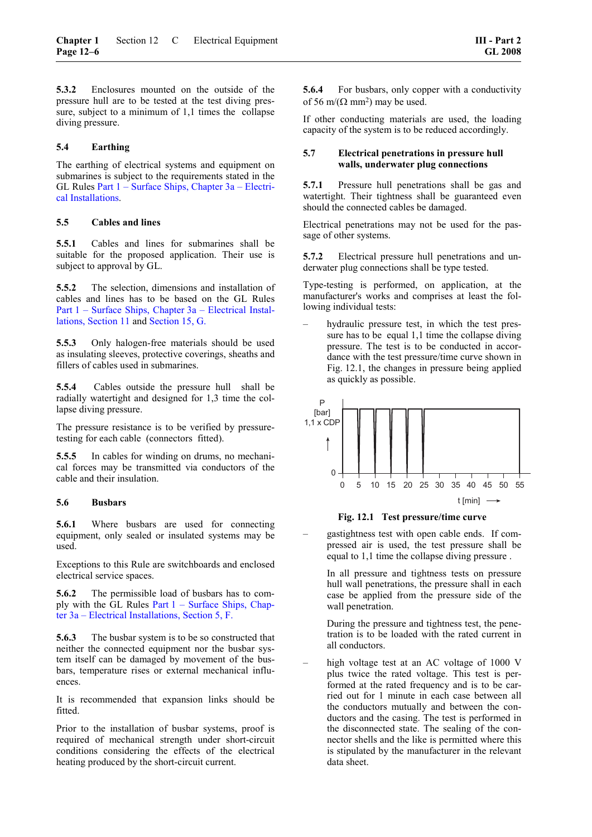**5.3.2** Enclosures mounted on the outside of the pressure hull are to be tested at the test diving pressure, subject to a minimum of 1,1 times the collapse diving pressure.

#### **5.4 Earthing**

The earthing of electrical systems and equipment on submarines is subject to the requirements stated in the GL Rules [Part 1 – Surface Ships, Chapter 3a – Electri](#page-24-1)[cal Installations.](#page-24-1) 

#### **5.5 Cables and lines**

**5.5.1** Cables and lines for submarines shall be suitable for the proposed application. Their use is subject to approval by GL.

**5.5.2** The selection, dimensions and installation of cables and lines has to be based on the GL Rules [Part 1 – Surface Ships, Chapter 3a – Electrical Instal](#page-48-0)[lations, Section 11](#page-48-0) and Section 15, G.

**5.5.3** Only halogen-free materials should be used as insulating sleeves, protective coverings, sheaths and fillers of cables used in submarines.

**5.5.4** Cables outside the pressure hull shall be radially watertight and designed for 1,3 time the collapse diving pressure.

The pressure resistance is to be verified by pressuretesting for each cable (connectors fitted).

**5.5.5** In cables for winding on drums, no mechanical forces may be transmitted via conductors of the cable and their insulation.

#### **5.6 Busbars**

**5.6.1** Where busbars are used for connecting equipment, only sealed or insulated systems may be used.

Exceptions to this Rule are switchboards and enclosed electrical service spaces.

**5.6.2** The permissible load of busbars has to comply with the GL Rules Part 1 – Surface Ships, Chapter 3a – Electrical Installations, Section 5, F.

**5.6.3** The busbar system is to be so constructed that neither the connected equipment nor the busbar system itself can be damaged by movement of the busbars, temperature rises or external mechanical influences.

It is recommended that expansion links should be fitted.

Prior to the installation of busbar systems, proof is required of mechanical strength under short-circuit conditions considering the effects of the electrical heating produced by the short-circuit current.

**5.6.4** • For busbars, only copper with a conductivity of 56 m/( $\Omega$  mm<sup>2</sup>) may be used.

If other conducting materials are used, the loading capacity of the system is to be reduced accordingly.

#### **5.7 Electrical penetrations in pressure hull walls, underwater plug connections**

**5.7.1** Pressure hull penetrations shall be gas and watertight. Their tightness shall be guaranteed even should the connected cables be damaged.

Electrical penetrations may not be used for the passage of other systems.

**5.7.2** Electrical pressure hull penetrations and underwater plug connections shall be type tested.

Type-testing is performed, on application, at the manufacturer's works and comprises at least the following individual tests:

hydraulic pressure test, in which the test pressure has to be equal 1,1 time the collapse diving pressure. The test is to be conducted in accordance with the test pressure/time curve shown in Fig. 12.1, the changes in pressure being applied as quickly as possible.



## **Fig. 12.1 Test pressure/time curve**

– gastightness test with open cable ends. If compressed air is used, the test pressure shall be equal to 1,1 time the collapse diving pressure .

 In all pressure and tightness tests on pressure hull wall penetrations, the pressure shall in each case be applied from the pressure side of the wall penetration.

 During the pressure and tightness test, the penetration is to be loaded with the rated current in all conductors.

high voltage test at an AC voltage of 1000 V plus twice the rated voltage. This test is performed at the rated frequency and is to be carried out for 1 minute in each case between all the conductors mutually and between the conductors and the casing. The test is performed in the disconnected state. The sealing of the connector shells and the like is permitted where this is stipulated by the manufacturer in the relevant data sheet.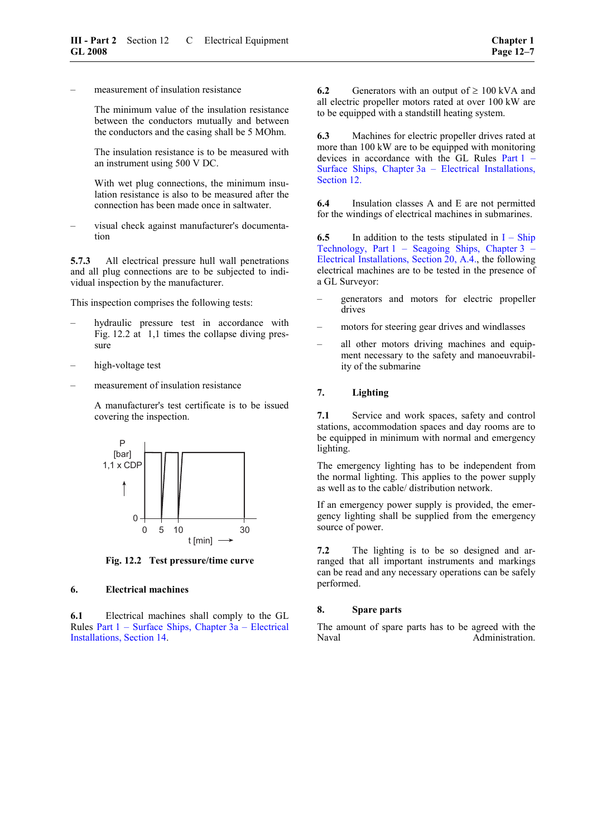– measurement of insulation resistance

 The minimum value of the insulation resistance between the conductors mutually and between the conductors and the casing shall be 5 MOhm.

 The insulation resistance is to be measured with an instrument using 500 V DC.

 With wet plug connections, the minimum insulation resistance is also to be measured after the connection has been made once in saltwater.

– visual check against manufacturer's documentation

**5.7.3** All electrical pressure hull wall penetrations and all plug connections are to be subjected to individual inspection by the manufacturer.

This inspection comprises the following tests:

- hydraulic pressure test in accordance with Fig. 12.2 at 1,1 times the collapse diving pressure
- high-voltage test
- measurement of insulation resistance

 A manufacturer's test certificate is to be issued covering the inspection.



**Fig. 12.2 Test pressure/time curve** 

## **6. Electrical machines**

**6.1** Electrical machines shall comply to the GL Rules [Part 1 – Surface Ships, Chapter 3a – Electrical](#page-62-0)  [Installations, Section 14.](#page-62-0)

**6.2** Generators with an output of  $\geq 100$  kVA and all electric propeller motors rated at over 100 kW are to be equipped with a standstill heating system.

**6.3** Machines for electric propeller drives rated at more than 100 kW are to be equipped with monitoring devices in accordance with the GL Rules [Part 1 –](#page-50-0)  [Surface Ships, Chapter 3a – Electrical Installations,](#page-50-0)  [Section 12.](#page-50-0)

**6.4** Insulation classes A and E are not permitted for the windings of electrical machines in submarines.

**6.5** In addition to the tests stipulated in  $I - Ship$ Technology, Part 1 – Seagoing Ships, Chapter 3 – Electrical Installations, Section 20, A.4., the following electrical machines are to be tested in the presence of a GL Surveyor:

- generators and motors for electric propeller drives
- motors for steering gear drives and windlasses
- all other motors driving machines and equipment necessary to the safety and manoeuvrability of the submarine

#### **7. Lighting**

**7.1** Service and work spaces, safety and control stations, accommodation spaces and day rooms are to be equipped in minimum with normal and emergency lighting.

The emergency lighting has to be independent from the normal lighting. This applies to the power supply as well as to the cable/ distribution network.

If an emergency power supply is provided, the emergency lighting shall be supplied from the emergency source of power.

**7.2** The lighting is to be so designed and arranged that all important instruments and markings can be read and any necessary operations can be safely performed.

#### **8. Spare parts**

The amount of spare parts has to be agreed with the Naval Administration.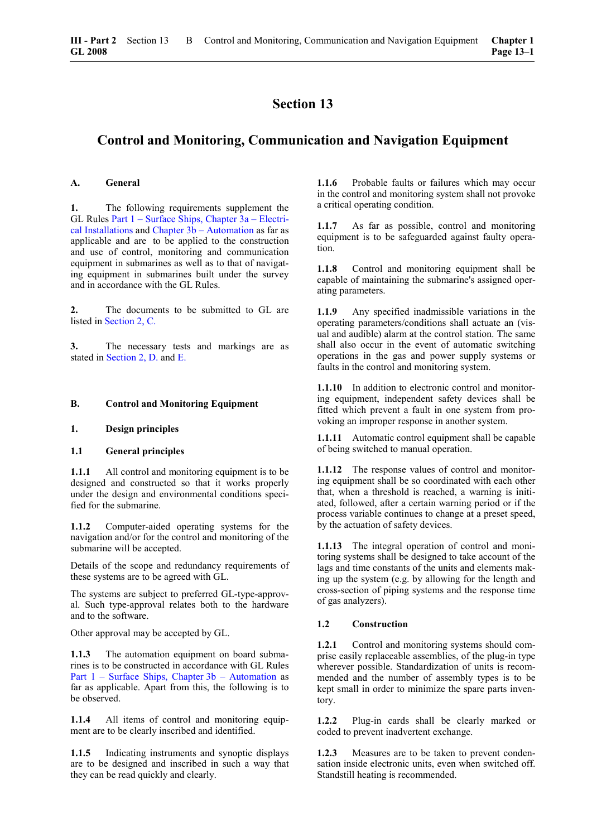## <span id="page-58-0"></span>**Control and Monitoring, Communication and Navigation Equipment**

#### **A. General**

**1.** The following requirements supplement the GL Rules [Part 1 – Surface Ships, Chapter 3a – Electri](#page-0-0)[cal Installations a](#page-0-0)nd [Chapter 3b – Automation a](#page-0-0)s far as applicable and are to be applied to the construction and use of control, monitoring and communication equipment in submarines as well as to that of navigating equipment in submarines built under the survey and in accordance with the GL Rules.

**2.** The documents to be submitted to GL are listed in [Section 2, C.](#page-17-0)

**3.** The necessary tests and markings are as stated in [Section 2, D.](#page-20-0) and [E.](#page-22-0)

#### **B. Control and Monitoring Equipment**

#### **1. Design principles**

#### **1.1 General principles**

**1.1.1** All control and monitoring equipment is to be designed and constructed so that it works properly under the design and environmental conditions specified for the submarine.

**1.1.2** Computer-aided operating systems for the navigation and/or for the control and monitoring of the submarine will be accepted.

Details of the scope and redundancy requirements of these systems are to be agreed with GL.

The systems are subject to preferred GL-type-approval. Such type-approval relates both to the hardware and to the software.

Other approval may be accepted by GL.

**1.1.3** The automation equipment on board submarines is to be constructed in accordance with GL Rules [Part 1 – Surface Ships, Chapter 3b – Automation](#page-0-0) as far as applicable. Apart from this, the following is to be observed.

**1.1.4** All items of control and monitoring equipment are to be clearly inscribed and identified.

**1.1.5** Indicating instruments and synoptic displays are to be designed and inscribed in such a way that they can be read quickly and clearly.

**1.1.6** Probable faults or failures which may occur in the control and monitoring system shall not provoke a critical operating condition.

**1.1.7** As far as possible, control and monitoring equipment is to be safeguarded against faulty operation.

**1.1.8** Control and monitoring equipment shall be capable of maintaining the submarine's assigned operating parameters.

**1.1.9** Any specified inadmissible variations in the operating parameters/conditions shall actuate an (visual and audible) alarm at the control station. The same shall also occur in the event of automatic switching operations in the gas and power supply systems or faults in the control and monitoring system.

**1.1.10** In addition to electronic control and monitoring equipment, independent safety devices shall be fitted which prevent a fault in one system from provoking an improper response in another system.

**1.1.11** Automatic control equipment shall be capable of being switched to manual operation.

**1.1.12** The response values of control and monitoring equipment shall be so coordinated with each other that, when a threshold is reached, a warning is initiated, followed, after a certain warning period or if the process variable continues to change at a preset speed, by the actuation of safety devices.

**1.1.13** The integral operation of control and monitoring systems shall be designed to take account of the lags and time constants of the units and elements making up the system (e.g. by allowing for the length and cross-section of piping systems and the response time of gas analyzers).

#### **1.2 Construction**

**1.2.1** Control and monitoring systems should comprise easily replaceable assemblies, of the plug-in type wherever possible. Standardization of units is recommended and the number of assembly types is to be kept small in order to minimize the spare parts inventory.

**1.2.2** Plug-in cards shall be clearly marked or coded to prevent inadvertent exchange.

**1.2.3** Measures are to be taken to prevent condensation inside electronic units, even when switched off. Standstill heating is recommended.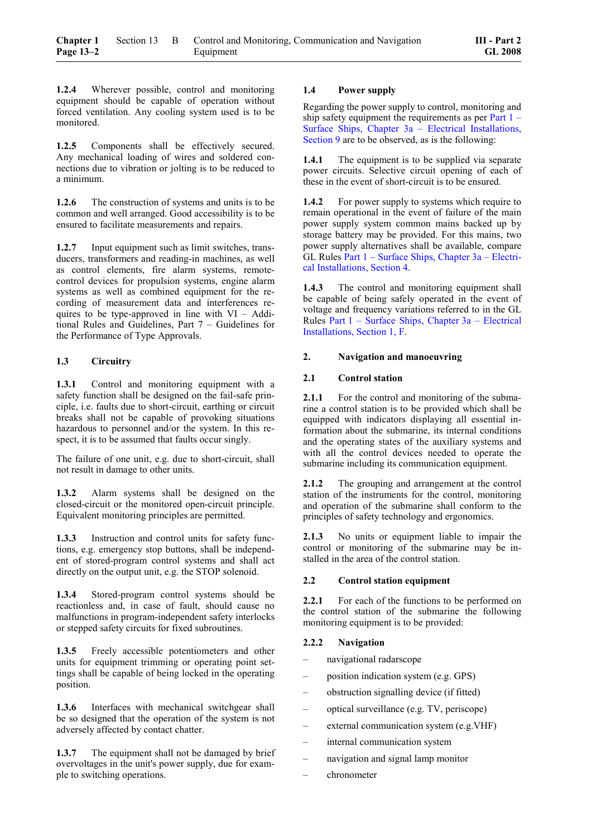**1.2.4** Wherever possible, control and monitoring equipment should be capable of operation without forced ventilation. Any cooling system used is to be monitored.

**1.2.5** Components shall be effectively secured. Any mechanical loading of wires and soldered connections due to vibration or jolting is to be reduced to a minimum.

**1.2.6** The construction of systems and units is to be common and well arranged. Good accessibility is to be ensured to facilitate measurements and repairs.

**1.2.7** Input equipment such as limit switches, transducers, transformers and reading-in machines, as well as control elements, fire alarm systems, remotecontrol devices for propulsion systems, engine alarm systems as well as combined equipment for the recording of measurement data and interferences requires to be type-approved in line with VI – Additional Rules and Guidelines, Part 7 – Guidelines for the Performance of Type Approvals.

## **1.3 Circuitry**

**1.3.1** Control and monitoring equipment with a safety function shall be designed on the fail-safe principle, i.e. faults due to short-circuit, earthing or circuit breaks shall not be capable of provoking situations hazardous to personnel and/or the system. In this respect, it is to be assumed that faults occur singly.

The failure of one unit, e.g. due to short-circuit, shall not result in damage to other units.

**1.3.2** Alarm systems shall be designed on the closed-circuit or the monitored open-circuit principle. Equivalent monitoring principles are permitted.

**1.3.3** Instruction and control units for safety functions, e.g. emergency stop buttons, shall be independent of stored-program control systems and shall act directly on the output unit, e.g. the STOP solenoid.

**1.3.4** Stored-program control systems should be reactionless and, in case of fault, should cause no malfunctions in program-independent safety interlocks or stepped safety circuits for fixed subroutines.

**1.3.5** Freely accessible potentiometers and other units for equipment trimming or operating point settings shall be capable of being locked in the operating position.

**1.3.6** Interfaces with mechanical switchgear shall be so designed that the operation of the system is not adversely affected by contact chatter.

1.3.7 The equipment shall not be damaged by brief overvoltages in the unit's power supply, due for example to switching operations.

## **1.4 Power supply**

Regarding the power supply to control, monitoring and ship safety equipment the requirements as per [Part](#page-44-0) 1 – Surface Ships, Chapter 3a – Electrical [Installations,](#page-44-0) [Section 9](#page-44-0) are to be observed, as is the following:

**1.4.1** The equipment is to be supplied via separate power circuits. Selective circuit opening of each of these in the event of short-circuit is to be ensured.

**1.4.2** For power supply to systems which require to remain operational in the event of failure of the main power supply system common mains backed up by storage battery may be provided. For this mains, two power supply alternatives shall be available, compare GL Rules [Part 1 – Surface Ships, Chapter 3a – Electri](#page-26-0)[cal Installations, Section 4.](#page-26-0)

1.4.3 The control and monitoring equipment shall be capable of being safely operated in the event of voltage and frequency variations referred to in the GL Rules Part 1 – Surface Ships, Chapter 3a – Electrical Installations, Section 1, F.

## **2. Navigation and manoeuvring**

## **2.1 Control station**

**2.1.1** For the control and monitoring of the submarine a control station is to be provided which shall be equipped with indicators displaying all essential information about the submarine, its internal conditions and the operating states of the auxiliary systems and with all the control devices needed to operate the submarine including its communication equipment.

2.1.2 The grouping and arrangement at the control station of the instruments for the control, monitoring and operation of the submarine shall conform to the principles of safety technology and ergonomics.

**2.1.3** No units or equipment liable to impair the control or monitoring of the submarine may be installed in the area of the control station.

## **2.2 Control station equipment**

**2.2.1** For each of the functions to be performed on the control station of the submarine the following monitoring equipment is to be provided:

## **2.2.2 Navigation**

- navigational radarscope
- position indication system (e.g. GPS)
- obstruction signalling device (if fitted)
- optical surveillance (e.g. TV, periscope)
- external communication system (e.g.VHF)
- internal communication system
- navigation and signal lamp monitor
- chronometer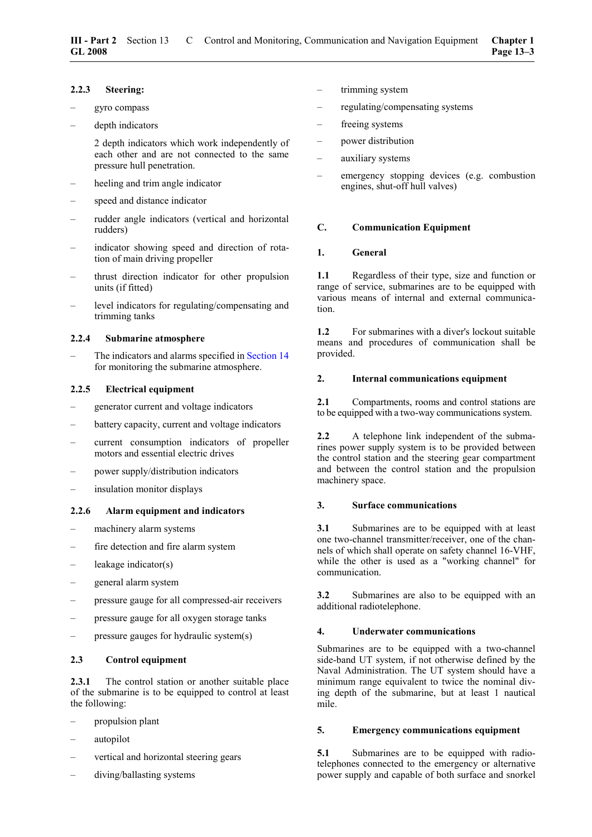#### **2.2.3 Steering:**

- gyro compass
- depth indicators

 2 depth indicators which work independently of each other and are not connected to the same pressure hull penetration.

- heeling and trim angle indicator
- speed and distance indicator
- rudder angle indicators (vertical and horizontal rudders)
- indicator showing speed and direction of rotation of main driving propeller
- thrust direction indicator for other propulsion units (if fitted)
- level indicators for regulating/compensating and trimming tanks

#### **2.2.4 Submarine atmosphere**

The indicators and alarms specified in [Section](#page-62-0) 14 for monitoring the submarine atmosphere.

## **2.2.5 Electrical equipment**

- generator current and voltage indicators
- battery capacity, current and voltage indicators
- current consumption indicators of propeller motors and essential electric drives
- power supply/distribution indicators
- insulation monitor displays

## **2.2.6 Alarm equipment and indicators**

- machinery alarm systems
- fire detection and fire alarm system
- leakage indicator $(s)$
- general alarm system
- pressure gauge for all compressed-air receivers
- pressure gauge for all oxygen storage tanks
- pressure gauges for hydraulic system(s)

## **2.3 Control equipment**

2.3.1 The control station or another suitable place of the submarine is to be equipped to control at least the following:

- propulsion plant
- autopilot
- vertical and horizontal steering gears
- diving/ballasting systems
- trimming system
- regulating/compensating systems
- freeing systems
- power distribution
- auxiliary systems
- emergency stopping devices (e.g. combustion engines, shut-off hull valves)

#### **C. Communication Equipment**

#### **1. General**

**1.1** Regardless of their type, size and function or range of service, submarines are to be equipped with various means of internal and external communication.

**1.2** For submarines with a diver's lockout suitable means and procedures of communication shall be provided.

#### **2. Internal communications equipment**

2.1 Compartments, rooms and control stations are to be equipped with a two-way communications system.

**2.2** A telephone link independent of the submarines power supply system is to be provided between the control station and the steering gear compartment and between the control station and the propulsion machinery space.

#### **3. Surface communications**

**3.1** Submarines are to be equipped with at least one two-channel transmitter/receiver, one of the channels of which shall operate on safety channel 16-VHF, while the other is used as a "working channel" for communication.

**3.2** Submarines are also to be equipped with an additional radiotelephone.

## **4. Underwater communications**

Submarines are to be equipped with a two-channel side-band UT system, if not otherwise defined by the Naval Administration. The UT system should have a minimum range equivalent to twice the nominal diving depth of the submarine, but at least 1 nautical mile.

#### **5. Emergency communications equipment**

**5.1** Submarines are to be equipped with radiotelephones connected to the emergency or alternative power supply and capable of both surface and snorkel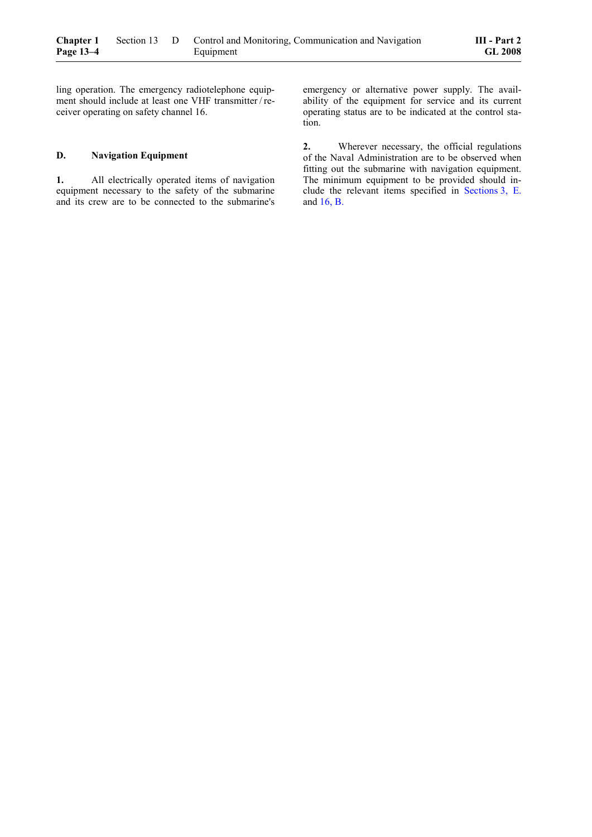ling operation. The emergency radiotelephone equipment should include at least one VHF transmitter / receiver operating on safety channel 16.

#### **D. Navigation Equipment**

**1.** All electrically operated items of navigation equipment necessary to the safety of the submarine and its crew are to be connected to the submarine's emergency or alternative power supply. The availability of the equipment for service and its current operating status are to be indicated at the control station.

**2.** Wherever necessary, the official regulations of the Naval Administration are to be observed when fitting out the submarine with navigation equipment. The minimum equipment to be provided should include the relevant items specified in [Sections 3, E.](#page-25-0) and [16, B.](#page-66-1)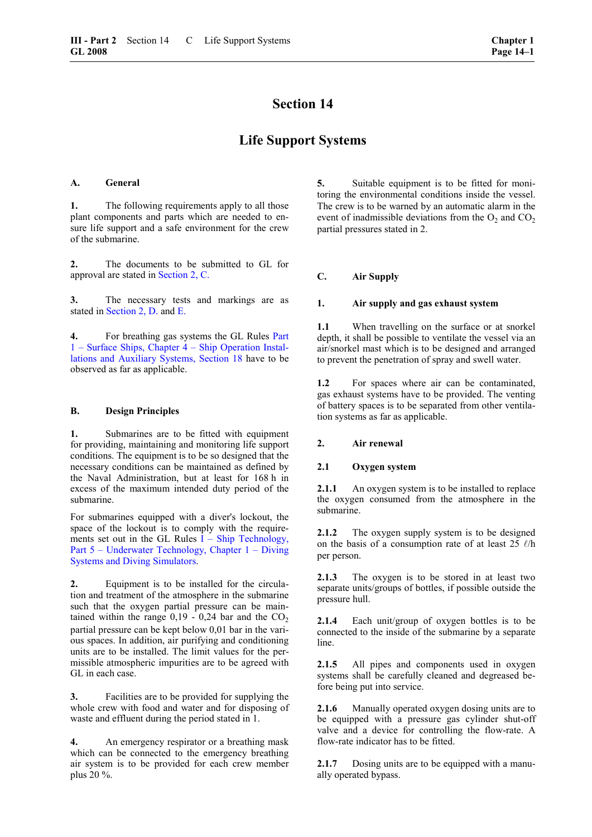## **Life Support Systems**

## <span id="page-62-0"></span>**A. General**

**1.** The following requirements apply to all those plant components and parts which are needed to ensure life support and a safe environment for the crew of the submarine.

**2.** The documents to be submitted to GL for approval are stated in [Section 2, C.](#page-17-0)

**3.** The necessary tests and markings are as stated in [Section 2, D.](#page-20-0) and [E.](#page-22-0)

**4.** For breathing gas systems the GL Rules Part 1 – Surface Ships, Chapter 4 – Ship Operation Installations and Auxiliary Systems, Section 18 have to be observed as far as applicable.

#### **B. Design Principles**

<span id="page-62-1"></span>**1.** Submarines are to be fitted with equipment for providing, maintaining and monitoring life support conditions. The equipment is to be so designed that the necessary conditions can be maintained as defined by the Naval Administration, but at least for 168 h in excess of the maximum intended duty period of the submarine.

For submarines equipped with a diver's lockout, the space of the lockout is to comply with the requirements set out in the GL Rules  $\overline{I}$  – Ship Technology, Part 5 – Underwater Technology, Chapter 1 – Diving Systems and Diving Simulators.

**2.** Equipment is to be installed for the circulation and treatment of the atmosphere in the submarine such that the oxygen partial pressure can be maintained within the range  $0,19 - 0,24$  bar and the  $CO<sub>2</sub>$ partial pressure can be kept below 0,01 bar in the various spaces. In addition, air purifying and conditioning units are to be installed. The limit values for the permissible atmospheric impurities are to be agreed with GL in each case.

**3.** Facilities are to be provided for supplying the whole crew with food and water and for disposing of waste and effluent during the period stated in 1.

**4.** An emergency respirator or a breathing mask which can be connected to the emergency breathing air system is to be provided for each crew member plus 20 %.

**5.** Suitable equipment is to be fitted for monitoring the environmental conditions inside the vessel. The crew is to be warned by an automatic alarm in the event of inadmissible deviations from the  $O_2$  and  $CO_2$ partial pressures stated in 2.

## **C. Air Supply**

#### **1. Air supply and gas exhaust system**

**1.1** When travelling on the surface or at snorkel depth, it shall be possible to ventilate the vessel via an air/snorkel mast which is to be designed and arranged to prevent the penetration of spray and swell water.

**1.2** For spaces where air can be contaminated, gas exhaust systems have to be provided. The venting of battery spaces is to be separated from other ventilation systems as far as applicable.

## **2. Air renewal**

## **2.1 Oxygen system**

**2.1.1** An oxygen system is to be installed to replace the oxygen consumed from the atmosphere in the submarine.

**2.1.2** The oxygen supply system is to be designed on the basis of a consumption rate of at least 25  $\ell$ /h per person.

**2.1.3** The oxygen is to be stored in at least two separate units/groups of bottles, if possible outside the pressure hull.

**2.1.4** Each unit/group of oxygen bottles is to be connected to the inside of the submarine by a separate line.

**2.1.5** All pipes and components used in oxygen systems shall be carefully cleaned and degreased before being put into service.

**2.1.6** Manually operated oxygen dosing units are to be equipped with a pressure gas cylinder shut-off valve and a device for controlling the flow-rate. A flow-rate indicator has to be fitted.

**2.1.7** Dosing units are to be equipped with a manually operated bypass.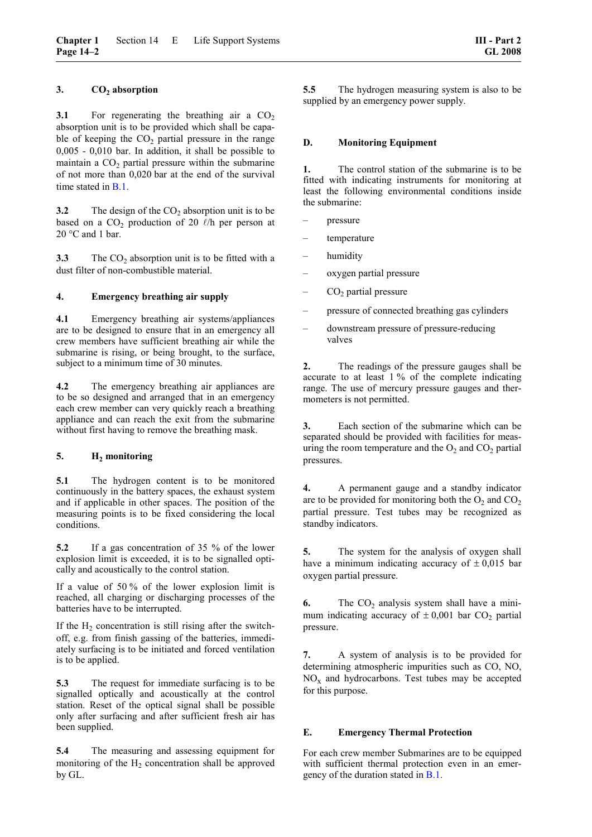## **3. CO2 absorption**

**3.1** • For regenerating the breathing air a  $CO<sub>2</sub>$ absorption unit is to be provided which shall be capable of keeping the  $CO<sub>2</sub>$  partial pressure in the range 0,005 - 0,010 bar. In addition, it shall be possible to maintain a  $CO<sub>2</sub>$  partial pressure within the submarine of not more than 0,020 bar at the end of the survival time stated in [B.1.](#page-62-1)

**3.2** The design of the  $CO_2$  absorption unit is to be based on a  $CO<sub>2</sub>$  production of 20  $\ell$ /h per person at 20 °C and 1 bar.

**3.3** The  $CO<sub>2</sub>$  absorption unit is to be fitted with a dust filter of non-combustible material.

#### **4. Emergency breathing air supply**

**4.1** Emergency breathing air systems/appliances are to be designed to ensure that in an emergency all crew members have sufficient breathing air while the submarine is rising, or being brought, to the surface, subject to a minimum time of 30 minutes.

**4.2** The emergency breathing air appliances are to be so designed and arranged that in an emergency each crew member can very quickly reach a breathing appliance and can reach the exit from the submarine without first having to remove the breathing mask.

## 5. **H<sub>2</sub>** monitoring

**5.1** The hydrogen content is to be monitored continuously in the battery spaces, the exhaust system and if applicable in other spaces. The position of the measuring points is to be fixed considering the local conditions.

**5.2** If a gas concentration of 35 % of the lower explosion limit is exceeded, it is to be signalled optically and acoustically to the control station.

If a value of 50 % of the lower explosion limit is reached, all charging or discharging processes of the batteries have to be interrupted.

If the  $H_2$  concentration is still rising after the switchoff, e.g. from finish gassing of the batteries, immediately surfacing is to be initiated and forced ventilation is to be applied.

**5.3** The request for immediate surfacing is to be signalled optically and acoustically at the control station. Reset of the optical signal shall be possible only after surfacing and after sufficient fresh air has been supplied.

**5.4** The measuring and assessing equipment for monitoring of the  $H_2$  concentration shall be approved by GL.

**5.5** The hydrogen measuring system is also to be supplied by an emergency power supply.

#### **D. Monitoring Equipment**

**1.** The control station of the submarine is to be fitted with indicating instruments for monitoring at least the following environmental conditions inside the submarine:

- pressure
- temperature
- humidity
- oxygen partial pressure
- $CO<sub>2</sub>$  partial pressure
- pressure of connected breathing gas cylinders
- downstream pressure of pressure-reducing valves

**2.** The readings of the pressure gauges shall be accurate to at least 1 % of the complete indicating range. The use of mercury pressure gauges and thermometers is not permitted.

**3.** Each section of the submarine which can be separated should be provided with facilities for measuring the room temperature and the  $O_2$  and  $CO_2$  partial pressures.

**4.** A permanent gauge and a standby indicator are to be provided for monitoring both the  $O_2$  and  $CO_2$ partial pressure. Test tubes may be recognized as standby indicators.

**5.** The system for the analysis of oxygen shall have a minimum indicating accuracy of  $\pm 0.015$  bar oxygen partial pressure.

**6.** The  $CO_2$  analysis system shall have a minimum indicating accuracy of  $\pm 0,001$  bar CO<sub>2</sub> partial pressure.

**7.** A system of analysis is to be provided for determining atmospheric impurities such as CO, NO,  $NO<sub>x</sub>$  and hydrocarbons. Test tubes may be accepted for this purpose.

## **E. Emergency Thermal Protection**

For each crew member Submarines are to be equipped with sufficient thermal protection even in an emergency of the duration stated in [B.1.](#page-62-1)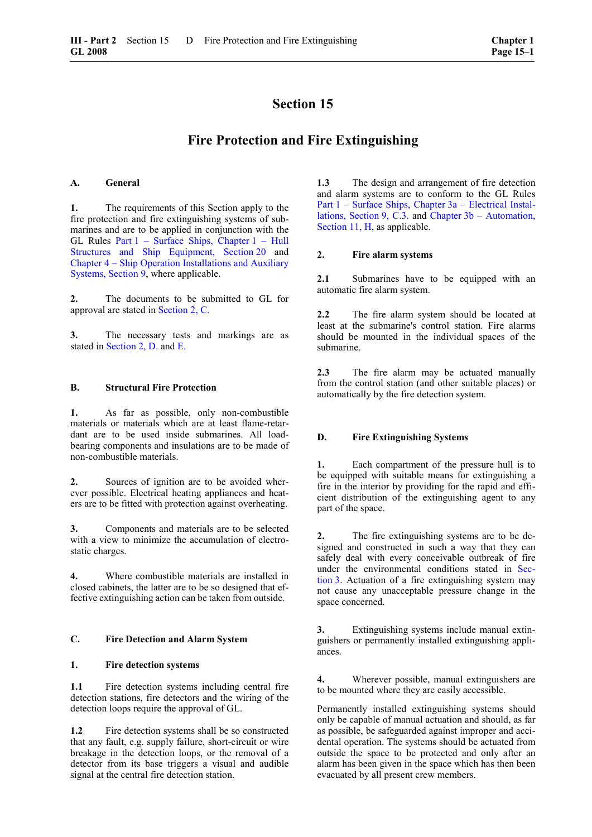## **Fire Protection and Fire Extinguishing**

#### **A. General**

**1.** The requirements of this Section apply to the fire protection and fire extinguishing systems of submarines and are to be applied in conjunction with the GL Rules Part 1 – Surface Ships, Chapter 1 – Hull Structures and Ship Equipment, Section 20 and [Chapter 4 – Ship Operation Installations and Auxiliary](#page-44-0)  [Systems, Section 9,](#page-44-0) where applicable.

**2.** The documents to be submitted to GL for approval are stated in [Section 2, C.](#page-17-0)

**3.** The necessary tests and markings are as stated in [Section 2, D.](#page-20-0) and [E.](#page-22-0)

#### **B. Structural Fire Protection**

**1.** As far as possible, only non-combustible materials or materials which are at least flame-retardant are to be used inside submarines. All loadbearing components and insulations are to be made of non-combustible materials.

**2.** Sources of ignition are to be avoided wherever possible. Electrical heating appliances and heaters are to be fitted with protection against overheating.

**3.** Components and materials are to be selected with a view to minimize the accumulation of electrostatic charges.

**4.** Where combustible materials are installed in closed cabinets, the latter are to be so designed that effective extinguishing action can be taken from outside.

## **C. Fire Detection and Alarm System**

#### **1. Fire detection systems**

1.1 Fire detection systems including central fire detection stations, fire detectors and the wiring of the detection loops require the approval of GL.

**1.2** Fire detection systems shall be so constructed that any fault, e.g. supply failure, short-circuit or wire breakage in the detection loops, or the removal of a detector from its base triggers a visual and audible signal at the central fire detection station.

**1.3** The design and arrangement of fire detection and alarm systems are to conform to the GL Rules Part 1 – Surface Ships, Chapter 3a – Electrical Installations, Section 9, C.3. and Chapter 3b – Automation, Section 11, H, as applicable.

#### **2. Fire alarm systems**

2.1 Submarines have to be equipped with an automatic fire alarm system.

**2.2** The fire alarm system should be located at least at the submarine's control station. Fire alarms should be mounted in the individual spaces of the submarine.

**2.3** The fire alarm may be actuated manually from the control station (and other suitable places) or automatically by the fire detection system.

#### **D. Fire Extinguishing Systems**

**1.** Each compartment of the pressure hull is to be equipped with suitable means for extinguishing a fire in the interior by providing for the rapid and efficient distribution of the extinguishing agent to any part of the space.

**2.** The fire extinguishing systems are to be designed and constructed in such a way that they can safely deal with every conceivable outbreak of fire under the environmental conditions stated in [Sec](#page-24-1)[tion 3.](#page-24-1) Actuation of a fire extinguishing system may not cause any unacceptable pressure change in the space concerned.

**3.** Extinguishing systems include manual extinguishers or permanently installed extinguishing appliances.

**4.** Wherever possible, manual extinguishers are to be mounted where they are easily accessible.

Permanently installed extinguishing systems should only be capable of manual actuation and should, as far as possible, be safeguarded against improper and accidental operation. The systems should be actuated from outside the space to be protected and only after an alarm has been given in the space which has then been evacuated by all present crew members.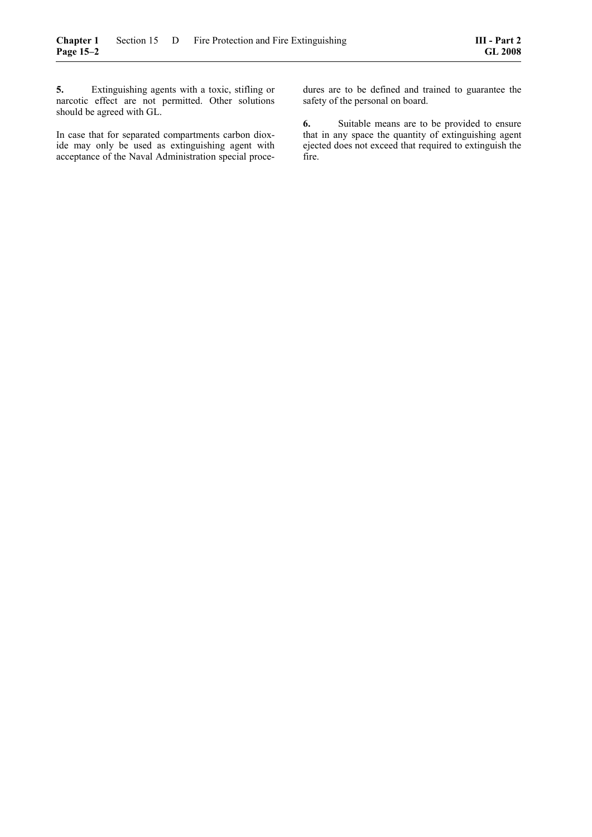**5.** Extinguishing agents with a toxic, stifling or narcotic effect are not permitted. Other solutions should be agreed with GL.

In case that for separated compartments carbon dioxide may only be used as extinguishing agent with acceptance of the Naval Administration special procedures are to be defined and trained to guarantee the safety of the personal on board.

**6.** Suitable means are to be provided to ensure that in any space the quantity of extinguishing agent ejected does not exceed that required to extinguish the fire.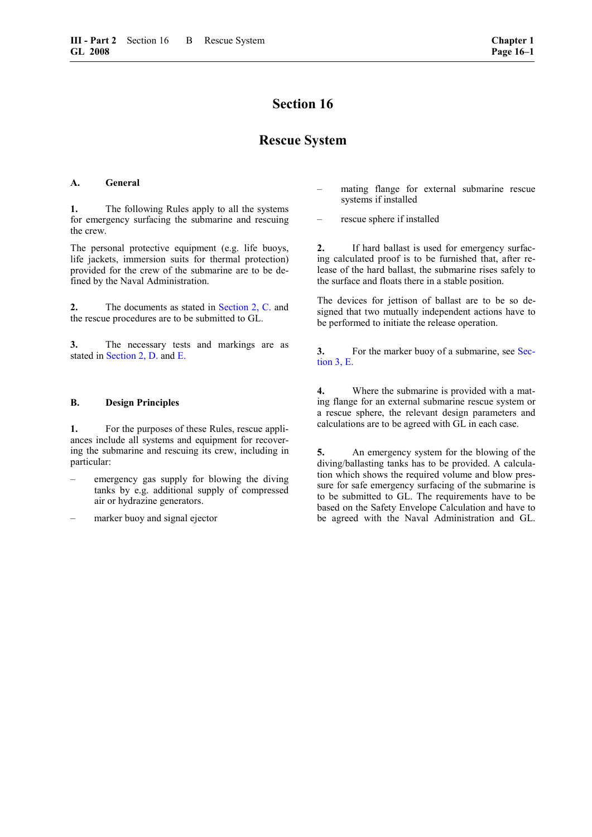## **Rescue System**

#### <span id="page-66-0"></span>**A. General**

**1.** The following Rules apply to all the systems for emergency surfacing the submarine and rescuing the crew.

The personal protective equipment (e.g. life buoys, life jackets, immersion suits for thermal protection) provided for the crew of the submarine are to be defined by the Naval Administration.

**2.** The documents as stated in [Section 2, C.](#page-17-0) and the rescue procedures are to be submitted to GL.

**3.** The necessary tests and markings are as stated in [Section 2, D.](#page-20-0) and [E.](#page-22-0)

#### <span id="page-66-1"></span>**B. Design Principles**

**1.** For the purposes of these Rules, rescue appliances include all systems and equipment for recovering the submarine and rescuing its crew, including in particular:

- emergency gas supply for blowing the diving tanks by e.g. additional supply of compressed air or hydrazine generators.
- marker buoy and signal ejector
- mating flange for external submarine rescue systems if installed
- rescue sphere if installed

**2.** If hard ballast is used for emergency surfacing calculated proof is to be furnished that, after release of the hard ballast, the submarine rises safely to the surface and floats there in a stable position.

The devices for jettison of ballast are to be so designed that two mutually independent actions have to be performed to initiate the release operation.

**3.** For the marker buoy of a submarine, see [Sec](#page-25-0)[tion 3, E.](#page-25-0)

**4.** Where the submarine is provided with a mating flange for an external submarine rescue system or a rescue sphere, the relevant design parameters and calculations are to be agreed with GL in each case.

**5.** An emergency system for the blowing of the diving/ballasting tanks has to be provided. A calculation which shows the required volume and blow pressure for safe emergency surfacing of the submarine is to be submitted to GL. The requirements have to be based on the Safety Envelope Calculation and have to be agreed with the Naval Administration and GL.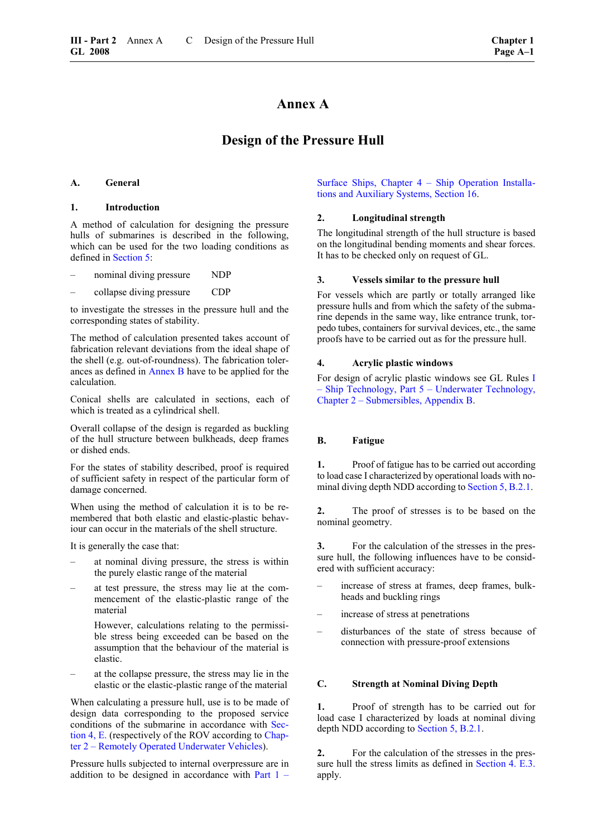## **Annex A**

## **Design of the Pressure Hull**

#### **A. General**

#### **1. Introduction**

A method of calculation for designing the pressure hulls of submarines is described in the following, which can be used for the two loading conditions as defined in [Section 5:](#page-30-0)

- nominal diving pressure NDP
- collapse diving pressure CDP

to investigate the stresses in the pressure hull and the corresponding states of stability.

The method of calculation presented takes account of fabrication relevant deviations from the ideal shape of the shell (e.g. out-of-roundness). The fabrication tolerances as defined in Annex B have to be applied for the calculation.

Conical shells are calculated in sections, each of which is treated as a cylindrical shell.

Overall collapse of the design is regarded as buckling of the hull structure between bulkheads, deep frames or dished ends.

For the states of stability described, proof is required of sufficient safety in respect of the particular form of damage concerned.

When using the method of calculation it is to be remembered that both elastic and elastic-plastic behaviour can occur in the materials of the shell structure.

It is generally the case that:

- at nominal diving pressure, the stress is within the purely elastic range of the material
- at test pressure, the stress may lie at the commencement of the elastic-plastic range of the material

 However, calculations relating to the permissible stress being exceeded can be based on the assumption that the behaviour of the material is elastic.

– at the collapse pressure, the stress may lie in the elastic or the elastic-plastic range of the material

When calculating a pressure hull, use is to be made of design data corresponding to the proposed service conditions of the submarine in accordance with [Sec](#page-28-0)[tion 4, E.](#page-28-0) (respectively of the ROV according to Chapter 2 – Remotely Operated Underwater Vehicles).

Pressure hulls subjected to internal overpressure are in addition to be designed in accordance with Part  $1 -$ 

[Surface Ships, Chapter 4 – Ship Operation Installa](#page-66-0)[tions and Auxiliary Systems, Section 16.](#page-66-0)

#### **2. Longitudinal strength**

The longitudinal strength of the hull structure is based on the longitudinal bending moments and shear forces. It has to be checked only on request of GL.

#### **3. Vessels similar to the pressure hull**

For vessels which are partly or totally arranged like pressure hulls and from which the safety of the submarine depends in the same way, like entrance trunk, torpedo tubes, containers for survival devices, etc., the same proofs have to be carried out as for the pressure hull.

#### **4. Acrylic plastic windows**

For design of acrylic plastic windows see GL Rules I – Ship Technology, Part 5 – Underwater Technology, Chapter 2 – Submersibles, Appendix B.

## **B. Fatigue**

**1.** Proof of fatigue has to be carried out according to load case I characterized by operational loads with nominal diving depth NDD according to [Section](#page-30-1) 5, B.2.1.

**2.** The proof of stresses is to be based on the nominal geometry.

**3.** For the calculation of the stresses in the pressure hull, the following influences have to be considered with sufficient accuracy:

- increase of stress at frames, deep frames, bulkheads and buckling rings
- increase of stress at penetrations
- disturbances of the state of stress because of connection with pressure-proof extensions

#### **C. Strength at Nominal Diving Depth**

**1.** Proof of strength has to be carried out for load case I characterized by loads at nominal diving depth NDD according to [Section 5, B.2.1.](#page-30-1)

**2.** For the calculation of the stresses in the pres-sure hull the stress limits as defined in [Section 4. E.3.](#page-29-0) apply.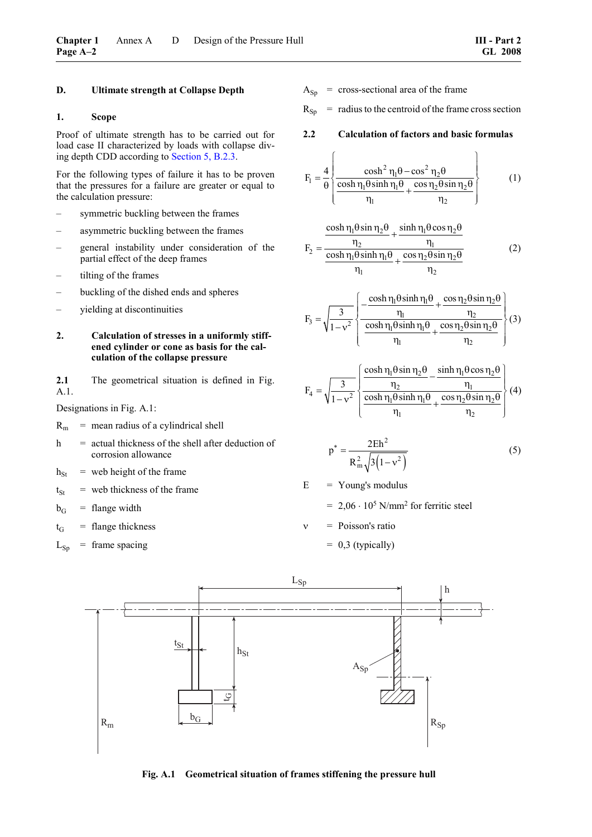#### **D. Ultimate strength at Collapse Depth**

#### **1. Scope**

Proof of ultimate strength has to be carried out for load case II characterized by loads with collapse diving depth CDD according to [Section 5, B.2.3.](#page-30-2)

For the following types of failure it has to be proven that the pressures for a failure are greater or equal to the calculation pressure:

- symmetric buckling between the frames
- asymmetric buckling between the frames
- general instability under consideration of the partial effect of the deep frames
- tilting of the frames
- buckling of the dished ends and spheres
- yielding at discontinuities
- **2. Calculation of stresses in a uniformly stiffened cylinder or cone as basis for the calculation of the collapse pressure**

2.1 The geometrical situation is defined in Fig. A.1.

Designations in Fig. A.1:

- $R<sub>m</sub>$  = mean radius of a cylindrical shell
- $h$  = actual thickness of the shell after deduction of corrosion allowance
- $h_{St}$  = web height of the frame
- $t<sub>St</sub>$  = web thickness of the frame
- $b_G$  = flange width
- $t_G$  = flange thickness
- $L_{Sp}$  = frame spacing
- $A_{Sn}$  = cross-sectional area of the frame
- $R_{Sp}$  = radius to the centroid of the frame cross section
- **2.2 Calculation of factors and basic formulas**

$$
F_1 = \frac{4}{\theta} \left\{ \frac{\cosh^2 \eta_1 \theta - \cos^2 \eta_2 \theta}{\frac{\cosh \eta_1 \theta \sinh \eta_1 \theta}{\eta_1} + \frac{\cos \eta_2 \theta \sin \eta_2 \theta}{\eta_2}} \right\}
$$
(1)

$$
F_2 = \frac{\frac{\cosh \eta_1 \theta \sin \eta_2 \theta}{\eta_2} + \frac{\sinh \eta_1 \theta \cos \eta_2 \theta}{\eta_1}}{\frac{\cosh \eta_1 \theta \sinh \eta_1 \theta}{\eta_1} + \frac{\cos \eta_2 \theta \sin \eta_2 \theta}{\eta_2}}
$$
(2)

$$
F_3 = \sqrt{\frac{3}{1 - v^2}} \left\{ \frac{-\frac{\cosh \eta_1 \theta \sinh \eta_1 \theta}{\eta_1} + \frac{\cos \eta_2 \theta \sin \eta_2 \theta}{\eta_2}}{\frac{\cosh \eta_1 \theta \sinh \eta_1 \theta}{\eta_1} + \frac{\cos \eta_2 \theta \sin \eta_2 \theta}{\eta_2}} \right\} (3)
$$

$$
F_4 = \sqrt{\frac{3}{1 - v^2}} \left\{ \frac{\frac{\cosh \eta_1 \theta \sin \eta_2 \theta}{\eta_2} - \frac{\sinh \eta_1 \theta \cos \eta_2 \theta}{\eta_1}}{\frac{\cosh \eta_1 \theta \sinh \eta_1 \theta}{\eta_1} + \frac{\cos \eta_2 \theta \sin \eta_2 \theta}{\eta_2}} \right\} (4)
$$

$$
p^* = \frac{2Eh^2}{R_m^2 \sqrt{3(1 - v^2)}}
$$
 (5)

 $E = Young's$  modulus

 $= 2.06 \cdot 10^5$  N/mm<sup>2</sup> for ferritic steel

ν = Poisson's ratio  $= 0.3$  (typically)



**Fig. A.1 Geometrical situation of frames stiffening the pressure hull**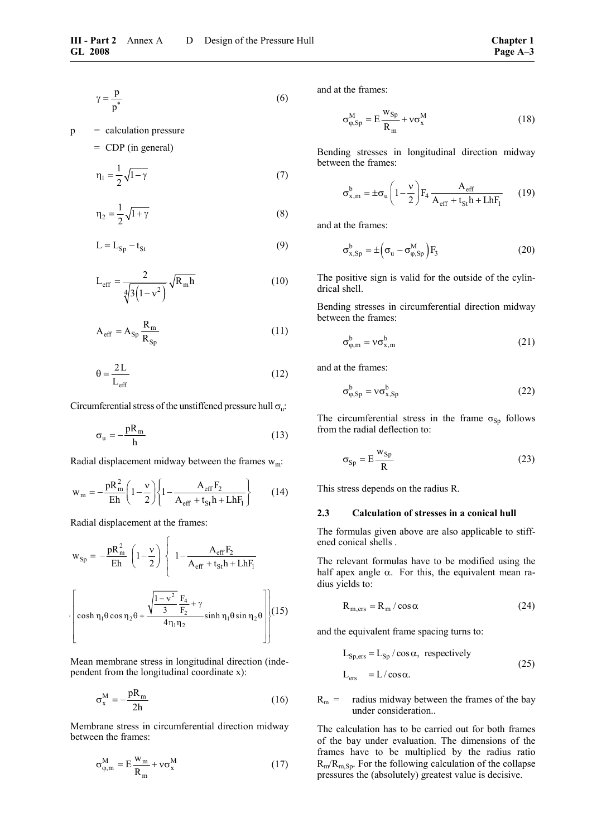$$
\gamma = \frac{p}{p^*}
$$
 (6)

 $p =$  calculation pressure = CDP (in general)

$$
\eta_1 = \frac{1}{2} \sqrt{1 - \gamma} \tag{7}
$$

$$
\eta_2 = \frac{1}{2}\sqrt{1+\gamma} \tag{8}
$$

$$
L = L_{\text{Sp}} - t_{\text{St}} \tag{9}
$$

$$
L_{\text{eff}} = \frac{2}{\sqrt[4]{3(1 - v^2)}} \sqrt{R_m h}
$$
 (10)

$$
A_{eff} = A_{Sp} \frac{R_m}{R_{Sp}} \tag{11}
$$

$$
\theta = \frac{2L}{L_{\text{eff}}} \tag{12}
$$

Circumferential stress of the unstiffened pressure hull  $\sigma_{\rm u}$ :

$$
\sigma_{u} = -\frac{pR_m}{h} \tag{13}
$$

Radial displacement midway between the frames  $w_m$ :

$$
w_{m} = -\frac{pR_{m}^{2}}{Eh} \left( 1 - \frac{v}{2} \right) \left\{ 1 - \frac{A_{eff}F_{2}}{A_{eff} + t_{St}h + LhF_{1}} \right\}
$$
(14)

Radial displacement at the frames:

$$
w_{Sp} = -\frac{pR_m^2}{Eh} \left(1 - \frac{v}{2}\right) \left\{ 1 - \frac{A_{eff}F_2}{A_{eff} + t_{St}h + LhF_1} \right\}
$$

$$
\left[\cosh \eta_1 \theta \cos \eta_2 \theta + \frac{\sqrt{\frac{1 - v^2}{3} F_4} + \gamma}{4\eta_1 \eta_2} \sinh \eta_1 \theta \sin \eta_2 \theta \right] (15)
$$

Mean membrane stress in longitudinal direction (independent from the longitudinal coordinate x):

$$
\sigma_{\rm x}^{\rm M} = -\frac{\rm pR_{m}}{2h} \tag{16}
$$

Membrane stress in circumferential direction midway between the frames:

$$
\sigma_{\varphi,m}^M = E \frac{w_m}{R_m} + v \sigma_x^M
$$
 (17)

and at the frames:

$$
\sigma_{\varphi, Sp}^{M} = E \frac{w_{Sp}}{R_m} + v \sigma_x^{M}
$$
 (18)

Bending stresses in longitudinal direction midway between the frames:

$$
\sigma_{x,m}^b = \pm \sigma_u \left( 1 - \frac{v}{2} \right) F_4 \frac{A_{eff}}{A_{eff} + t_{St} h + L h F_1}
$$
 (19)

and at the frames:

$$
\sigma_{x, Sp}^{b} = \pm \left(\sigma_{u} - \sigma_{\varphi, Sp}^{M}\right) F_{3}
$$
 (20)

The positive sign is valid for the outside of the cylindrical shell.

Bending stresses in circumferential direction midway between the frames:

$$
\sigma_{\varphi,m}^b = v \sigma_{x,m}^b \tag{21}
$$

and at the frames:

$$
\sigma_{\varphi, Sp}^{b} = v \sigma_{x, Sp}^{b} \tag{22}
$$

The circumferential stress in the frame  $\sigma_{\text{Sn}}$  follows from the radial deflection to:

$$
\sigma_{\text{Sp}} = E \frac{w_{\text{Sp}}}{R} \tag{23}
$$

This stress depends on the radius R.

#### **2.3 Calculation of stresses in a conical hull**

The formulas given above are also applicable to stiffened conical shells .

The relevant formulas have to be modified using the half apex angle  $\alpha$ . For this, the equivalent mean radius yields to:

$$
R_{m,ers} = R_m / \cos \alpha \tag{24}
$$

and the equivalent frame spacing turns to:

$$
L_{Sp,ers} = L_{Sp} / \cos \alpha, \text{ respectively}
$$
  

$$
L_{ers} = L / \cos \alpha.
$$
 (25)

 $R_m$  = radius midway between the frames of the bay under consideration..

The calculation has to be carried out for both frames of the bay under evaluation. The dimensions of the frames have to be multiplied by the radius ratio  $R_m/R_{m,Sp}$ . For the following calculation of the collapse pressures the (absolutely) greatest value is decisive.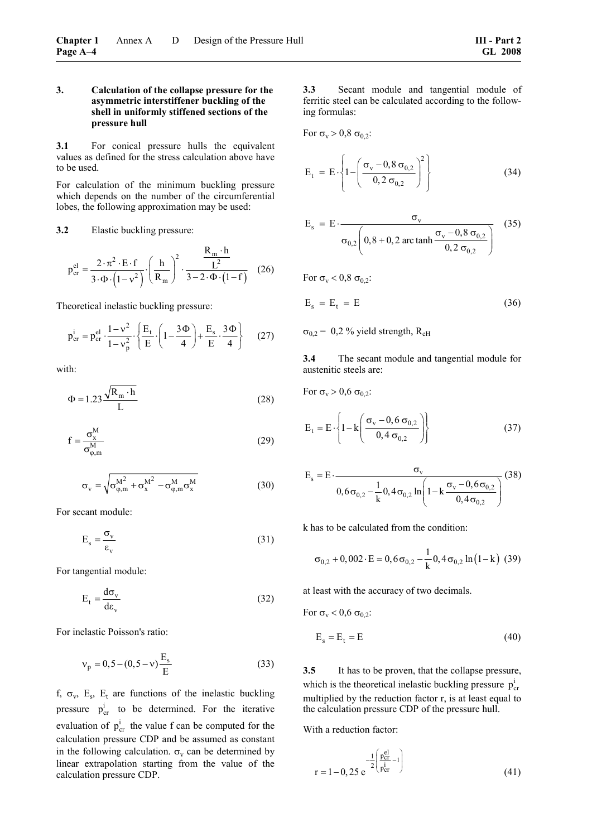#### **3. Calculation of the collapse pressure for the asymmetric interstiffener buckling of the shell in uniformly stiffened sections of the pressure hull**

**3.1** For conical pressure hulls the equivalent values as defined for the stress calculation above have to be used.

For calculation of the minimum buckling pressure which depends on the number of the circumferential lobes, the following approximation may be used:

#### **3.2** Elastic buckling pressure:

$$
p_{cr}^{el} = \frac{2 \cdot \pi^2 \cdot E \cdot f}{3 \cdot \Phi \cdot (1 - v^2)} \cdot \left(\frac{h}{R_m}\right)^2 \cdot \frac{\frac{R_m \cdot h}{L^2}}{3 - 2 \cdot \Phi \cdot (1 - f)} \quad (26)
$$

Theoretical inelastic buckling pressure:

$$
p_{cr}^{i} = p_{cr}^{el} \cdot \frac{1 - v^{2}}{1 - v_{p}^{2}} \cdot \left\{ \frac{E_{t}}{E} \cdot \left( 1 - \frac{3\Phi}{4} \right) + \frac{E_{s}}{E} \cdot \frac{3\Phi}{4} \right\}
$$
 (27)

with:

$$
\Phi = 1.23 \frac{\sqrt{R_m \cdot h}}{L} \tag{28}
$$

$$
f = \frac{\sigma_x^M}{\sigma_{\varphi,m}^M}
$$
 (29)

$$
\sigma_{\rm v} = \sqrt{\sigma_{\varphi,m}^{\rm M^2} + \sigma_{\rm x}^{\rm M^2} - \sigma_{\varphi,m}^{\rm M} \sigma_{\rm x}^{\rm M}} \tag{30}
$$

For secant module:

$$
E_s = \frac{\sigma_v}{\epsilon_v} \tag{31}
$$

For tangential module:

$$
E_t = \frac{d\sigma_v}{d\varepsilon_v} \tag{32}
$$

For inelastic Poisson's ratio:

$$
v_p = 0, 5 - (0, 5 - v) \frac{E_s}{E}
$$
 (33)

f,  $\sigma_v$ , E<sub>s</sub>, E<sub>t</sub> are functions of the inelastic buckling pressure  $p_{cr}^i$  to be determined. For the iterative evaluation of  $p_{cr}^i$  the value f can be computed for the calculation pressure CDP and be assumed as constant in the following calculation.  $\sigma_v$  can be determined by linear extrapolation starting from the value of the calculation pressure CDP.

**3.3** Secant module and tangential module of ferritic steel can be calculated according to the following formulas:

For  $\sigma_v > 0.8 \sigma_{0.2}$ :

$$
E_{t} = E \cdot \left\{ 1 - \left( \frac{\sigma_{v} - 0.8 \sigma_{0,2}}{0.2 \sigma_{0,2}} \right)^{2} \right\}
$$
 (34)

$$
E_s = E \cdot \frac{\sigma_v}{\sigma_{0,2} \left( 0.8 + 0.2 \arctan h \frac{\sigma_v - 0.8 \sigma_{0,2}}{0.2 \sigma_{0,2}} \right)}
$$
(35)

For  $\sigma_v < 0.8 \sigma_{0.2}$ :

$$
E_s = E_t = E \tag{36}
$$

 $\sigma_{0,2}$  = 0,2 % yield strength, R<sub>eH</sub>

**3.4** The secant module and tangential module for austenitic steels are:

For 
$$
\sigma_v > 0.6 \sigma_{0,2}
$$
:

$$
E_{t} = E \cdot \left\{ 1 - k \left( \frac{\sigma_{v} - 0.6 \sigma_{0,2}}{0.4 \sigma_{0,2}} \right) \right\}
$$
 (37)

$$
E_s = E \cdot \frac{\sigma_v}{0.6 \sigma_{0,2} - \frac{1}{k} 0.4 \sigma_{0,2} \ln \left(1 - k \frac{\sigma_v - 0.6 \sigma_{0,2}}{0.4 \sigma_{0,2}}\right)} (38)
$$

k has to be calculated from the condition:

$$
\sigma_{0,2} + 0,002 \cdot E = 0,6 \sigma_{0,2} - \frac{1}{k} 0,4 \sigma_{0,2} \ln(1-k) (39)
$$

at least with the accuracy of two decimals.

For  $\sigma_v < 0.6 \sigma_{0.2}$ :

$$
E_s = E_t = E \tag{40}
$$

**3.5** It has to be proven, that the collapse pressure, which is the theoretical inelastic buckling pressure  $p_{cr}^i$ multiplied by the reduction factor r, is at least equal to the calculation pressure CDP of the pressure hull.

With a reduction factor:

$$
r = 1 - 0, 25 e^{-\frac{1}{2} \left( \frac{p_{cr}^{el}}{p_{cr}^{i}} - 1 \right)}
$$
(41)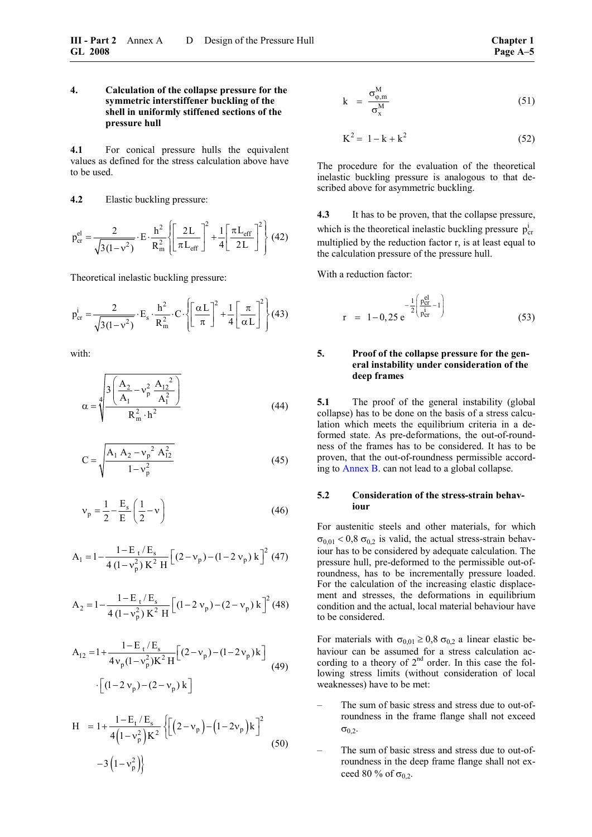<span id="page-72-2"></span>**4.1** For conical pressure hulls the equivalent values as defined for the stress calculation above have to be used.

**4.2** Elastic buckling pressure:

$$
p_{cr}^{el} = \frac{2}{\sqrt{3(1-v^2)}} \cdot E \cdot \frac{h^2}{R_m^2} \left\{ \left[ \frac{2L}{\pi L_{eff}} \right]^2 + \frac{1}{4} \left[ \frac{\pi L_{eff}}{2L} \right]^2 \right\} (42)
$$

Theoretical inelastic buckling pressure:

$$
p_{cr}^i = \frac{2}{\sqrt{3(1-v^2)}} \cdot E_s \cdot \frac{h^2}{R_m^2} \cdot C \cdot \left\{ \left[ \frac{\alpha L}{\pi} \right]^2 + \frac{1}{4} \left[ \frac{\pi}{\alpha L} \right]^2 \right\} (43)
$$

<span id="page-72-1"></span>with:

$$
\alpha = \sqrt[4]{\frac{3\left(\frac{A_2}{A_1} - v_p^2 \frac{A_{12}^2}{A_1^2}\right)}{R_m^2 \cdot h^2}}
$$
(44)

$$
C = \sqrt{\frac{A_1 A_2 - v_p^2 A_{12}^2}{1 - v_p^2}}
$$
 (45)

<span id="page-72-0"></span>
$$
v_p = \frac{1}{2} - \frac{E_s}{E} \left(\frac{1}{2} - v\right)
$$
 (46)

$$
A_1 = 1 - \frac{1 - E_t / E_s}{4 (1 - v_p^2) K^2 H} \left[ (2 - v_p) - (1 - 2 v_p) k \right]^2 (47)
$$

$$
A_2 = 1 - \frac{1 - E_t/E_s}{4(1 - v_p^2) K^2 H} \left[ (1 - 2 v_p) - (2 - v_p) k \right]^2 (48)
$$

$$
A_{12} = 1 + \frac{1 - E_t / E_s}{4v_p(1 - v_p^2)K^2 H} [(2 - v_p) - (1 - 2v_p)k]
$$
  
-(1 - 2v\_p) - (2 - v\_p)k (49)

$$
H = 1 + \frac{1 - E_t / E_s}{4(1 - v_p^2)K^2} \left\{ \left[ \left( 2 - v_p \right) - \left( 1 - 2v_p \right)k \right]^2 - 3 \left( 1 - v_p^2 \right) \right\}
$$
(50)

$$
k = \frac{\sigma_{\varphi,m}^{M}}{\sigma_{x}^{M}}
$$
 (51)

$$
K^2 = 1 - k + k^2 \tag{52}
$$

The procedure for the evaluation of the theoretical inelastic buckling pressure is analogous to that described above for asymmetric buckling.

**4.3** It has to be proven, that the collapse pressure, which is the theoretical inelastic buckling pressure  $p_{cr}^i$ multiplied by the reduction factor r, is at least equal to the calculation pressure of the pressure hull.

With a reduction factor:

$$
r = 1 - 0,25 e^{-\frac{1}{2} \left( \frac{p_{cr}^{el}}{p_{cr}^{i}} - 1 \right)}
$$
(53)

## **5. Proof of the collapse pressure for the general instability under consideration of the deep frames**

**5.1** The proof of the general instability (global collapse) has to be done on the basis of a stress calculation which meets the equilibrium criteria in a deformed state. As pre-deformations, the out-of-roundness of the frames has to be considered. It has to be proven, that the out-of-roundness permissible according to Annex B. can not lead to a global collapse.

## **5.2 Consideration of the stress-strain behaviour**

For austenitic steels and other materials, for which  $\sigma_{0.01}$  < 0,8  $\sigma_{0.2}$  is valid, the actual stress-strain behaviour has to be considered by adequate calculation. The pressure hull, pre-deformed to the permissible out-ofroundness, has to be incrementally pressure loaded. For the calculation of the increasing elastic displacement and stresses, the deformations in equilibrium condition and the actual, local material behaviour have to be considered.

For materials with  $\sigma_{0,01} \ge 0.8 \sigma_{0,2}$  a linear elastic behaviour can be assumed for a stress calculation according to a theory of  $2<sup>nd</sup>$  order. In this case the following stress limits (without consideration of local weaknesses) have to be met:

- The sum of basic stress and stress due to out-ofroundness in the frame flange shall not exceed  $\sigma_{0,2}$ .
- The sum of basic stress and stress due to out-ofroundness in the deep frame flange shall not exceed 80 % of  $\sigma_{0.2}$ .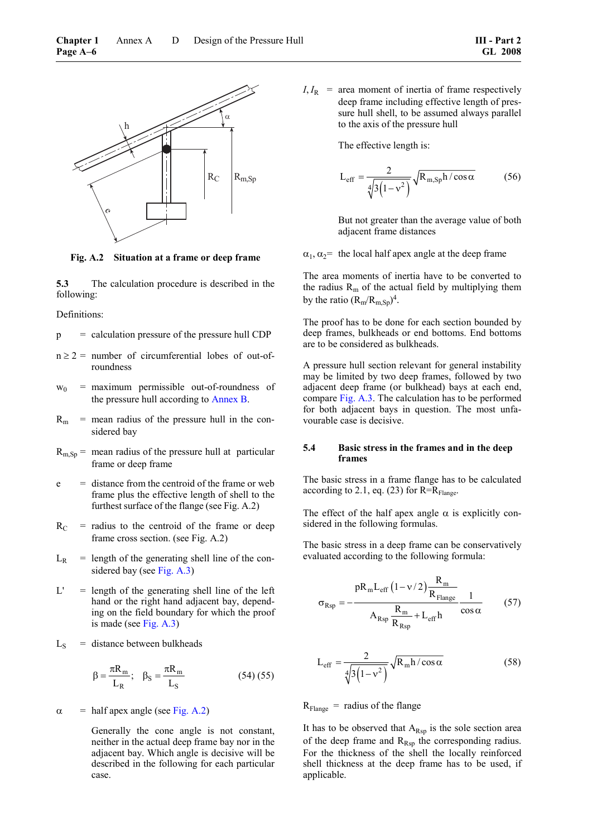<span id="page-73-0"></span>

**Fig. A.2 Situation at a frame or deep frame** 

**5.3** The calculation procedure is described in the following:

Definitions:

 $p =$  calculation pressure of the pressure hull CDP

- $n \ge 2$  = number of circumferential lobes of out-ofroundness
- $w_0$  = maximum permissible out-of-roundness of the pressure hull according to Annex B.
- $R_m$  = mean radius of the pressure hull in the considered bay
- <span id="page-73-1"></span> $R_{m, Sp}$  = mean radius of the pressure hull at particular frame or deep frame
- e = distance from the centroid of the frame or web frame plus the effective length of shell to the furthest surface of the flange (see Fig. A.2)
- $R_C$  = radius to the centroid of the frame or deep frame cross section. (see Fig. A.2)
- $L_R$  = length of the generating shell line of the considered bay (see [Fig. A.3\)](#page-74-0)
- $L'$  = length of the generating shell line of the left hand or the right hand adjacent bay, depending on the field boundary for which the proof is made (see [Fig. A.3\)](#page-74-0)
- $L<sub>S</sub>$  = distance between bulkheads

$$
\beta = \frac{\pi R_m}{L_R}; \quad \beta_S = \frac{\pi R_m}{L_S}
$$
 (54) (55)

 $\alpha$  = half apex angle (see [Fig. A.2\)](#page-73-0)

 Generally the cone angle is not constant, neither in the actual deep frame bay nor in the adjacent bay. Which angle is decisive will be described in the following for each particular case.

 $I, I_R$  = area moment of inertia of frame respectively deep frame including effective length of pressure hull shell, to be assumed always parallel to the axis of the pressure hull

The effective length is:

$$
L_{\text{eff}} = \frac{2}{\sqrt[4]{3(1 - v^2)}} \sqrt{R_{m, \text{Sp}} h / \cos \alpha}
$$
 (56)

 But not greater than the average value of both adjacent frame distances

 $\alpha_1, \alpha_2$  = the local half apex angle at the deep frame

The area moments of inertia have to be converted to the radius  $R_m$  of the actual field by multiplying them by the ratio  $(R_m/R_{m,Sn})^4$ .

The proof has to be done for each section bounded by deep frames, bulkheads or end bottoms. End bottoms are to be considered as bulkheads.

A pressure hull section relevant for general instability may be limited by two deep frames, followed by two adjacent deep frame (or bulkhead) bays at each end, compare [Fig. A.3.](#page-74-0) The calculation has to be performed for both adjacent bays in question. The most unfavourable case is decisive.

#### **5.4 Basic stress in the frames and in the deep frames**

The basic stress in a frame flange has to be calculated according to 2.1, eq. (23) for  $R=R_{\text{Flange}}$ .

The effect of the half apex angle  $\alpha$  is explicitly considered in the following formulas.

The basic stress in a deep frame can be conservatively evaluated according to the following formula:

$$
\sigma_{Rsp} = -\frac{pR_m L_{eff} (1 - v/2) \frac{R_m}{R_{Flange}}}{A_{Rsp} \frac{R_m}{R_{Rsp}} + L_{eff} h} \frac{1}{\cos \alpha}
$$
(57)

$$
L_{eff} = \frac{2}{\sqrt[4]{3(1 - v^2)}} \sqrt{R_m h / \cos \alpha}
$$
 (58)

 $R_{\text{Flange}}$  = radius of the flange

It has to be observed that  $A_{Rsp}$  is the sole section area of the deep frame and  $R_{Rsp}$  the corresponding radius. For the thickness of the shell the locally reinforced shell thickness at the deep frame has to be used, if applicable.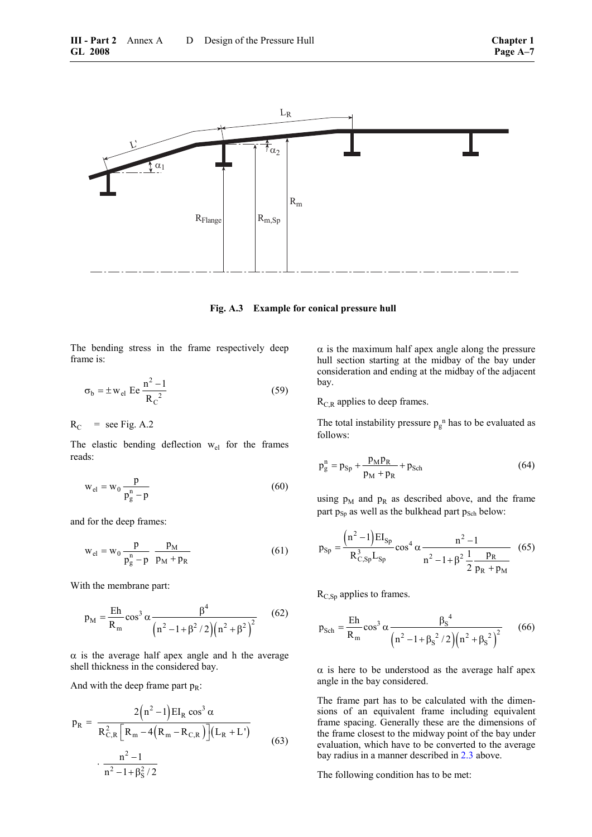<span id="page-74-0"></span>

**Fig. A.3 Example for conical pressure hull** 

The bending stress in the frame respectively deep frame is:

$$
\sigma_{\rm b} = \pm \,\mathrm{w}_{\rm el} \,\mathrm{E} \,\mathrm{e} \,\frac{\mathrm{n}^2 - 1}{\mathrm{R_C}^2} \tag{59}
$$

 $R_C$  = see Fig. A.2

The elastic bending deflection  $w_{el}$  for the frames reads:

$$
w_{el} = w_0 \frac{p}{p_g^n - p}
$$
\n
$$
(60)
$$

and for the deep frames:

$$
w_{el} = w_0 \frac{p}{p_g^n - p} \frac{p_M}{p_M + p_R}
$$
 (61)

With the membrane part:

$$
p_{\rm M} = \frac{\rm Eh}{R_{\rm m}} \cos^3 \alpha \frac{\beta^4}{\left(n^2 - 1 + \beta^2 / 2\right) \left(n^2 + \beta^2\right)^2} \tag{62}
$$

 $\alpha$  is the average half apex angle and h the average shell thickness in the considered bay.

And with the deep frame part  $p_R$ :

$$
p_{R} = \frac{2(n^{2} - 1)EI_{R} \cos^{3} \alpha}{R_{C,R}^{2} [R_{m} - 4(R_{m} - R_{C,R})](L_{R} + L')}
$$

$$
\cdot \frac{n^{2} - 1}{n^{2} - 1 + \beta_{S}^{2}/2}
$$
(63)

 $\alpha$  is the maximum half apex angle along the pressure hull section starting at the midbay of the bay under consideration and ending at the midbay of the adjacent bay.

 $R_{C,R}$  applies to deep frames.

The total instability pressure  $p_g$ <sup>n</sup> has to be evaluated as follows:

$$
p_g^n = p_{Sp} + \frac{p_M p_R}{p_M + p_R} + p_{Sch}
$$
 (64)

using  $p_M$  and  $p_R$  as described above, and the frame part  $p_{Sp}$  as well as the bulkhead part  $p_{Sch}$  below:

$$
p_{Sp} = \frac{(n^2 - 1)EI_{Sp}}{R_{C,Sp}^3 L_{Sp}} \cos^4 \alpha \frac{n^2 - 1}{n^2 - 1 + \beta^2 \frac{1}{2} \frac{p_R}{p_R + p_M}}
$$
(65)

 $R_{C,Sp}$  applies to frames.

$$
p_{Sch} = \frac{Eh}{R_m} \cos^3 \alpha \frac{\beta_S^4}{\left(n^2 - 1 + \beta_S^2 / 2\right) \left(n^2 + \beta_S^2\right)^2}
$$
 (66)

 $\alpha$  is here to be understood as the average half apex angle in the bay considered.

The frame part has to be calculated with the dimensions of an equivalent frame including equivalent frame spacing. Generally these are the dimensions of the frame closest to the midway point of the bay under evaluation, which have to be converted to the average bay radius in a manner described in [2.3](#page-70-0) above.

The following condition has to be met: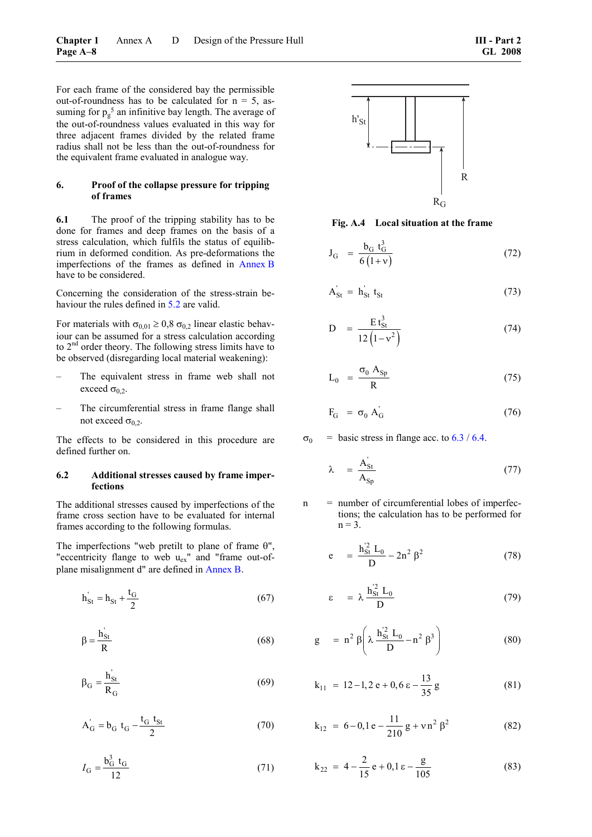For each frame of the considered bay the permissible out-of-roundness has to be calculated for  $n = 5$ , assuming for  $p_g^5$  an infinitive bay length. The average of the out-of-roundness values evaluated in this way for three adjacent frames divided by the related frame radius shall not be less than the out-of-roundness for the equivalent frame evaluated in analogue way.

#### **6. Proof of the collapse pressure for tripping of frames**

**6.1** The proof of the tripping stability has to be done for frames and deep frames on the basis of a stress calculation, which fulfils the status of equilibrium in deformed condition. As pre-deformations the imperfections of the frames as defined in Annex B have to be considered.

Concerning the consideration of the stress-strain behaviour the rules defined in [5.2](#page-72-0) are valid.

For materials with  $\sigma_{0,01} \ge 0.8 \sigma_{0,2}$  linear elastic behaviour can be assumed for a stress calculation according to 2<sup>nd</sup> order theory. The following stress limits have to be observed (disregarding local material weakening):

- The equivalent stress in frame web shall not exceed  $\sigma_{0,2}$ .
- The circumferential stress in frame flange shall not exceed  $\sigma_0$ .

The effects to be considered in this procedure are defined further on.

### **6.2 Additional stresses caused by frame imperfections**

The additional stresses caused by imperfections of the frame cross section have to be evaluated for internal frames according to the following formulas.

The imperfections "web pretilt to plane of frame  $\theta$ ". "eccentricity flange to web  $u_{ex}$ " and "frame out-ofplane misalignment d" are defined in Annex B.

$$
h'_{St} = h_{St} + \frac{t_G}{2}
$$
 (67)

$$
\beta = \frac{h_{St}^{'}}{R}
$$
 (68)

$$
\beta_{\rm G} = \frac{\dot{h}_{\rm St}^{\prime}}{R_{\rm G}}\tag{69}
$$

$$
A'_{G} = b_{G} t_{G} - \frac{t_{G} t_{St}}{2}
$$
 (70)

$$
I_{\rm G} = \frac{b_{\rm G}^3 \, t_{\rm G}}{12} \tag{71}
$$



**Fig. A.4 Local situation at the frame** 

$$
J_G = \frac{b_G t_G^3}{6(l+v)}
$$
 (72)

$$
A'_{St} = h'_{St} t_{St}
$$
 (73)

$$
D = \frac{Et_{St}^{3}}{12(1-v^{2})}
$$
 (74)

$$
L_0 = \frac{\sigma_0 A_{\text{Sp}}}{R} \tag{75}
$$

$$
F_G = \sigma_0 A_G
$$
 (76)

 $\sigma_0$  = basic stress in flange acc. to [6.3](#page-76-0) / [6.4.](#page-77-0)

$$
\lambda = \frac{A'_{St}}{A_{Sp}} \tag{77}
$$

 $n$  = number of circumferential lobes of imperfections; the calculation has to be performed for  $n = 3$ .

$$
e = \frac{h_{St}^2 L_0}{D} - 2n^2 \beta^2
$$
 (78)

$$
\varepsilon = \lambda \frac{h_{\rm St}^{\prime 2} L_0}{D} \tag{79}
$$

$$
g = n^{2} \beta \left( \lambda \frac{h_{\rm St}^{2} L_{0}}{D} - n^{2} \beta^{3} \right)
$$
 (80)

$$
k_{11} = 12 - 1, 2 e + 0, 6 e - \frac{13}{35} g \tag{81}
$$

$$
k_{12} = 6 - 0, 1 e - \frac{11}{210} g + v n^2 \beta^2
$$
 (82)

$$
k_{22} = 4 - \frac{2}{15} e + 0, 1 \varepsilon - \frac{g}{105}
$$
 (83)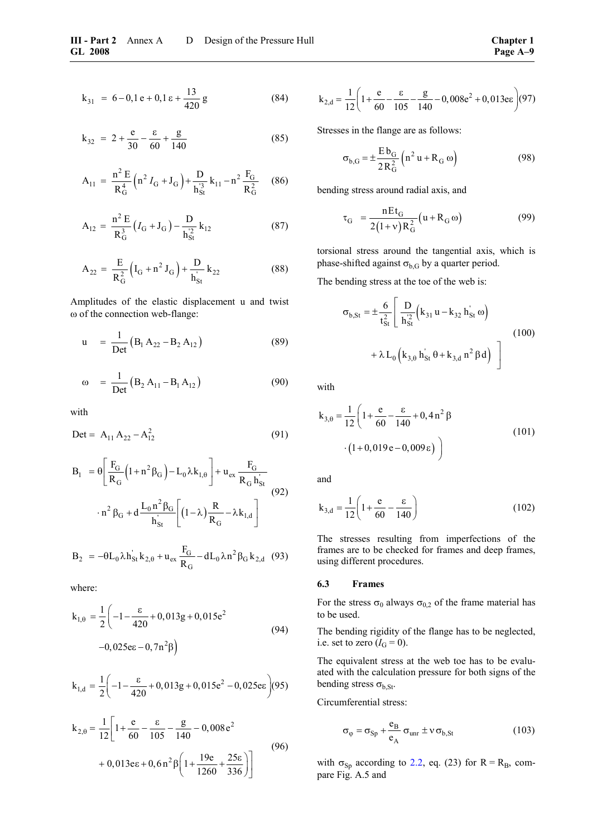$$
k_{31} = 6 - 0, 1 e + 0, 1 e + \frac{13}{420} g \tag{84}
$$

$$
k_{32} = 2 + \frac{e}{30} - \frac{\varepsilon}{60} + \frac{g}{140}
$$
 (85)

$$
A_{11} = \frac{n^2 E}{R_G^4} \left( n^2 I_G + J_G \right) + \frac{D}{h_{St}^3} k_{11} - n^2 \frac{F_G}{R_G^2} \tag{86}
$$

$$
A_{12} = \frac{n^2 E}{R_G^3} (I_G + J_G) - \frac{D}{h_{St}^2} k_{12}
$$
 (87)

$$
A_{22} = \frac{E}{R_G^2} (I_G + n^2 J_G) + \frac{D}{h_{St}} k_{22}
$$
 (88)

Amplitudes of the elastic displacement u and twist ω of the connection web-flange:

$$
u = \frac{1}{\text{Det}} (B_1 A_{22} - B_2 A_{12})
$$
 (89)

$$
\omega = \frac{1}{\text{Det}} (B_2 A_{11} - B_1 A_{12})
$$
 (90)

with

$$
Det = A_{11} A_{22} - A_{12}^2 \tag{91}
$$

$$
B_{1} = \theta \left[ \frac{F_{G}}{R_{G}} \left( 1 + n^{2} \beta_{G} \right) - L_{0} \lambda k_{1,\theta} \right] + u_{ex} \frac{F_{G}}{R_{G} h_{St}^{'}}
$$

$$
- n^{2} \beta_{G} + d \frac{L_{0} n^{2} \beta_{G}}{h_{St}^{'} \left[ \left( 1 - \lambda \right) \frac{R}{R_{G}} - \lambda k_{1,d} \right]}
$$
(92)

$$
B_2 = -\theta L_0 \lambda h_{St}^{'} k_{2,\theta} + u_{ex} \frac{F_G}{R_G} - dL_0 \lambda n^2 \beta_G k_{2,d} \quad (93)
$$

<span id="page-76-0"></span>where:

$$
k_{1,\theta} = \frac{1}{2} \left( -1 - \frac{\varepsilon}{420} + 0,013g + 0,015e^2 -0,025e\varepsilon - 0,7n^2\beta \right)
$$
(94)

$$
k_{1,d} = \frac{1}{2} \left( -1 - \frac{\epsilon}{420} + 0,013g + 0,015e^{2} - 0,025e\epsilon \right) (95)
$$

$$
k_{2,\theta} = \frac{1}{12} \left[ 1 + \frac{e}{60} - \frac{\varepsilon}{105} - \frac{g}{140} - 0,008 e^2 + 0,013 e\varepsilon + 0,6 n^2 \beta \left( 1 + \frac{19e}{1260} + \frac{25\varepsilon}{336} \right) \right]
$$
(96)

$$
k_{2,d} = \frac{1}{12} \left( 1 + \frac{e}{60} - \frac{g}{105} - \frac{g}{140} - 0,008e^2 + 0,013e\epsilon \right) (97)
$$

Stresses in the flange are as follows:

$$
\sigma_{b,G} = \pm \frac{E b_G}{2 R_G^2} \left( n^2 u + R_G \omega \right)
$$
 (98)

bending stress around radial axis, and

$$
\tau_{G} = \frac{nEt_{G}}{2(1+v)R_{G}^{2}}(u+R_{G}\omega)
$$
(99)

torsional stress around the tangential axis, which is phase-shifted against  $\sigma_{b,G}$  by a quarter period.

The bending stress at the toe of the web is:

$$
\sigma_{b,St} = \pm \frac{6}{t_{St}^2} \left[ \frac{D}{h_{St}^2} \left( k_{31} u - k_{32} h_{St} \omega \right) + \lambda L_0 \left( k_{3, \theta} h_{St} \theta + k_{3, d} n^2 \beta d \right) \right]
$$
(100)

with

( ) 2 3, 1 e k 1 0,4n 12 60 140 1 0,019e 0,009 θ <sup>⎛</sup> <sup>ε</sup> <sup>=</sup> +− + β <sup>⎜</sup> ⎝ <sup>⎞</sup> ⋅+ − ε <sup>⎟</sup> ⎠ (101)

and

$$
k_{3,d} = \frac{1}{12} \left( 1 + \frac{e}{60} - \frac{\varepsilon}{140} \right)
$$
 (102)

The stresses resulting from imperfections of the frames are to be checked for frames and deep frames, using different procedures.

## **6.3 Frames**

For the stress  $\sigma_0$  always  $\sigma_{0,2}$  of the frame material has to be used.

The bending rigidity of the flange has to be neglected, i.e. set to zero  $(I_G = 0)$ .

The equivalent stress at the web toe has to be evaluated with the calculation pressure for both signs of the bending stress  $\sigma_{b,St}$ .

Circumferential stress:

$$
\sigma_{\varphi} = \sigma_{\text{Sp}} + \frac{e_{\text{B}}}{e_{\text{A}}} \sigma_{\text{unr}} \pm \nu \sigma_{\text{b,St}}
$$
 (103)

with  $\sigma_{Sp}$  according to [2.2,](#page-69-0) eq. (23) for R = R<sub>B</sub>, compare Fig. A.5 and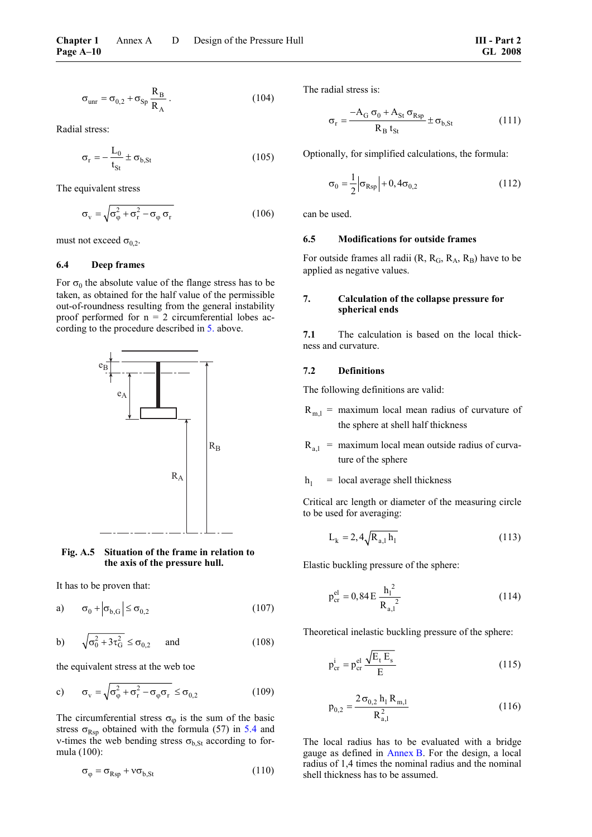$$
\sigma_{\text{unr}} = \sigma_{0,2} + \sigma_{\text{Sp}} \frac{\mathcal{R}_{\text{B}}}{\mathcal{R}_{\text{A}}} \,. \tag{104}
$$

Radial stress:

$$
\sigma_{\rm r} = -\frac{L_0}{t_{\rm St}} \pm \sigma_{\rm b, St} \tag{105}
$$

The equivalent stress

$$
\sigma_{\rm v} = \sqrt{\sigma_{\varphi}^2 + \sigma_{\rm r}^2 - \sigma_{\varphi} \sigma_{\rm r}}
$$
 (106)

must not exceed  $\sigma_{0.2}$ .

#### <span id="page-77-0"></span>**6.4 Deep frames**

For  $\sigma_0$  the absolute value of the flange stress has to be taken, as obtained for the half value of the permissible out-of-roundness resulting from the general instability proof performed for  $n = 2$  circumferential lobes according to the procedure described in [5.](#page-72-1) above.



#### **Fig. A.5 Situation of the frame in relation to the axis of the pressure hull.**

It has to be proven that:

a) 
$$
\sigma_0 + |\sigma_{b,G}| \le \sigma_{0,2}
$$
 (107)

b) 
$$
\sqrt{\sigma_0^2 + 3\tau_G^2} \le \sigma_{0,2}
$$
 and (108)

the equivalent stress at the web toe

c) 
$$
\sigma_{\rm v} = \sqrt{\sigma_{\varphi}^2 + \sigma_{\rm r}^2 - \sigma_{\varphi} \sigma_{\rm r}} \le \sigma_{0,2}
$$
 (109)

The circumferential stress  $\sigma_{\varphi}$  is the sum of the basic stress  $\sigma_{\text{Rsp}}$  obtained with the formula (57) in [5.4](#page-73-1) and v-times the web bending stress  $\sigma_{b,St}$  according to formula (100):

$$
\sigma_{\varphi} = \sigma_{\rm Rsp} + v \sigma_{\rm b, St} \tag{110}
$$

The radial stress is:

$$
\sigma_{\rm r} = \frac{-A_{\rm G} \sigma_{0} + A_{\rm St} \sigma_{\rm Rsp}}{R_{\rm B} t_{\rm St}} \pm \sigma_{\rm b, St}
$$
 (111)

Optionally, for simplified calculations, the formula:

$$
\sigma_0 = \frac{1}{2} |\sigma_{\rm Rsp}| + 0, 4\sigma_{0,2}
$$
 (112)

can be used.

#### **6.5 Modifications for outside frames**

For outside frames all radii  $(R, R_G, R_A, R_B)$  have to be applied as negative values.

## **7. Calculation of the collapse pressure for spherical ends**

**7.1** The calculation is based on the local thickness and curvature.

#### **7.2 Definitions**

The following definitions are valid:

- $R_{m,l}$  = maximum local mean radius of curvature of the sphere at shell half thickness
- $R_{a}$  = maximum local mean outside radius of curvature of the sphere

 $h_1$  = local average shell thickness

Critical arc length or diameter of the measuring circle to be used for averaging:

$$
L_k = 2, 4\sqrt{R_{a,l} h_l}
$$
 (113)

Elastic buckling pressure of the sphere:

$$
p_{cr}^{el} = 0,84 E \frac{h_1^2}{R_{a,1}^2}
$$
 (114)

Theoretical inelastic buckling pressure of the sphere:

$$
p_{cr}^{i} = p_{cr}^{el} \frac{\sqrt{E_t E_s}}{E}
$$
 (115)

$$
p_{0,2} = \frac{2\sigma_{0,2} h_1 R_{m,1}}{R_{a,1}^2}
$$
 (116)

The local radius has to be evaluated with a bridge gauge as defined in Annex B. For the design, a local radius of 1,4 times the nominal radius and the nominal shell thickness has to be assumed.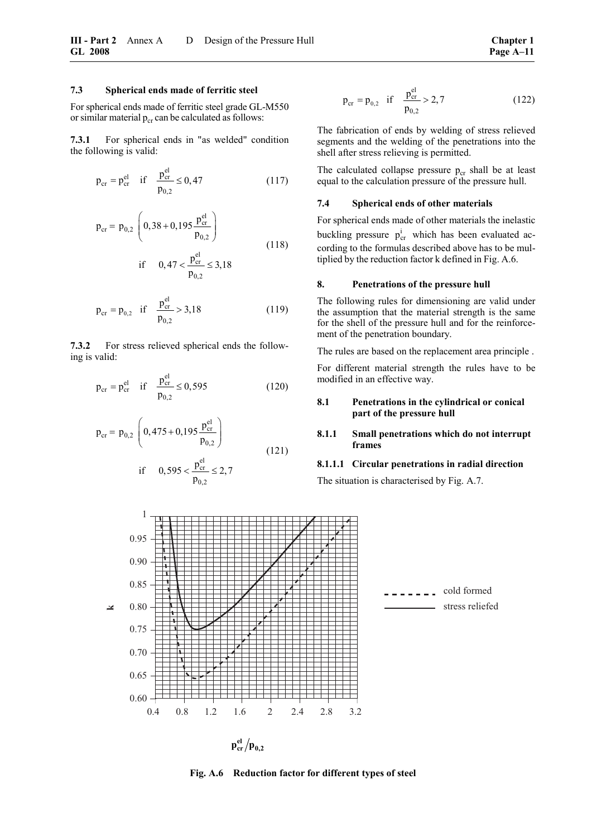#### **7.3 Spherical ends made of ferritic steel**

For spherical ends made of ferritic steel grade GL-M550 or similar material  $p_{cr}$  can be calculated as follows:

**7.3.1** For spherical ends in "as welded" condition the following is valid:

$$
p_{cr} = p_{cr}^{el} \quad \text{if} \quad \frac{p_{cr}^{el}}{p_{0,2}} \le 0,47 \tag{117}
$$

$$
p_{cr} = p_{0,2} \left( 0, 38 + 0, 195 \frac{p_{cr}^{el}}{p_{0,2}} \right)
$$
  
if  $0, 47 < \frac{p_{cr}^{el}}{p_{0,2}} \le 3, 18$  (118)

$$
p_{cr} = p_{0,2} \quad \text{if} \quad \frac{p_{cr}^{\text{el}}}{p_{0,2}} > 3,18 \tag{119}
$$

**7.3.2** For stress relieved spherical ends the following is valid:

$$
p_{cr} = p_{cr}^{el} \quad \text{if} \quad \frac{p_{cr}^{el}}{p_{0,2}} \le 0,595 \tag{120}
$$

<span id="page-78-0"></span>
$$
p_{cr} = p_{0,2} \left( 0,475 + 0,195 \frac{p_{cr}^{el}}{p_{0,2}} \right)
$$
  
if 0,595  $\lt \frac{p_{cr}^{el}}{p_{0,2}} \le 2,7$  (121)

$$
p_{cr} = p_{0,2} \quad \text{if} \quad \frac{p_{cr}^{\text{el}}}{p_{0,2}} > 2,7 \tag{122}
$$

The fabrication of ends by welding of stress relieved segments and the welding of the penetrations into the shell after stress relieving is permitted.

The calculated collapse pressure  $p_{cr}$  shall be at least equal to the calculation pressure of the pressure hull.

#### **7.4 Spherical ends of other materials**

For spherical ends made of other materials the inelastic buckling pressure  $p_{cr}^i$  which has been evaluated according to the formulas described above has to be multiplied by the reduction factor k defined in Fig. A.6.

#### **8. Penetrations of the pressure hull**

The following rules for dimensioning are valid under the assumption that the material strength is the same for the shell of the pressure hull and for the reinforcement of the penetration boundary.

The rules are based on the replacement area principle .

For different material strength the rules have to be modified in an effective way.

#### **8.1 Penetrations in the cylindrical or conical part of the pressure hull**

#### **8.1.1 Small penetrations which do not interrupt frames**

#### **8.1.1.1 Circular penetrations in radial direction**

The situation is characterised by Fig. A.7.



<span id="page-78-1"></span>**Fig. A.6 Reduction factor for different types of steel**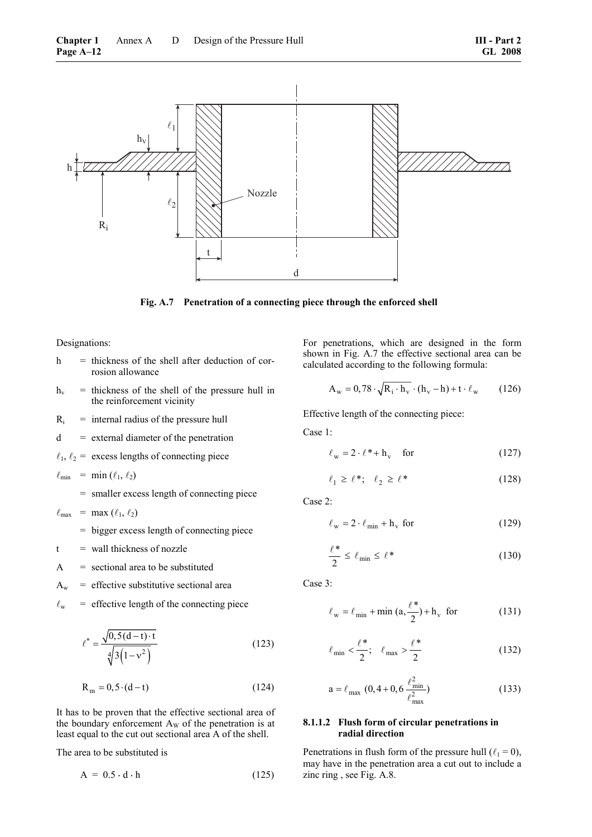

**Fig. A.7 Penetration of a connecting piece through the enforced shell** 

Designations:

- $h$  = thickness of the shell after deduction of corrosion allowance
- $h_v$  = thickness of the shell of the pressure hull in the reinforcement vicinity
- $R_i$  = internal radius of the pressure hull
- $d =$  external diameter of the penetration
- $\ell_1$ ,  $\ell_2$  = excess lengths of connecting piece

$$
\ell_{\min} = \min(\ell_1, \ell_2)
$$

= smaller excess length of connecting piece

 $\ell_{\text{max}}$  = max  $(\ell_1, \ell_2)$ 

- = bigger excess length of connecting piece
- $t =$  wall thickness of nozzle
- $A =$  sectional area to be substituted
- $A_w$  = effective substitutive sectional area
- $\ell_{\rm w}$  = effective length of the connecting piece

$$
\ell^* = \frac{\sqrt{0, 5(d-1) \cdot t}}{\sqrt[4]{3(1-v^2)}}
$$
\n(123)

$$
R_m = 0, 5 \cdot (d - t) \tag{124}
$$

It has to be proven that the effective sectional area of the boundary enforcement  $A_W$  of the penetration is at least equal to the cut out sectional area A of the shell.

The area to be substituted is

$$
A = 0.5 \cdot d \cdot h \tag{125}
$$

For penetrations, which are designed in the form shown in Fig. A.7 the effective sectional area can be calculated according to the following formula:

$$
A_w = 0,78 \cdot \sqrt{R_i \cdot h_v} \cdot (h_v - h) + t \cdot \ell_w \qquad (126)
$$

Effective length of the connecting piece:

Case 1:

$$
\ell_{\rm w} = 2 \cdot \ell^* + \mathbf{h}_{\rm v} \quad \text{for} \tag{127}
$$

$$
\ell_1 \ge \ell^*; \quad \ell_2 \ge \ell^* \tag{128}
$$

Case 2:

$$
\ell_{\rm w} = 2 \cdot \ell_{\rm min} + h_{\rm v} \text{ for } \tag{129}
$$

$$
\frac{\ell^*}{2} \le \ell_{\min} \le \ell^* \tag{130}
$$

Case 3:

$$
\ell_{\rm w} = \ell_{\rm min} + \min\left(a, \frac{\ell^*}{2}\right) + h_{\rm v} \quad \text{for} \tag{131}
$$

$$
\ell_{\min} < \frac{\ell^*}{2}; \quad \ell_{\max} > \frac{\ell^*}{2} \tag{132}
$$

$$
a = \ell_{\text{max}} (0, 4 + 0, 6 \frac{\ell_{\text{min}}^2}{\ell_{\text{max}}^2})
$$
 (133)

### **8.1.1.2 Flush form of circular penetrations in radial direction**

Penetrations in flush form of the pressure hull ( $\ell_1 = 0$ ), may have in the penetration area a cut out to include a zinc ring , see Fig. A.8.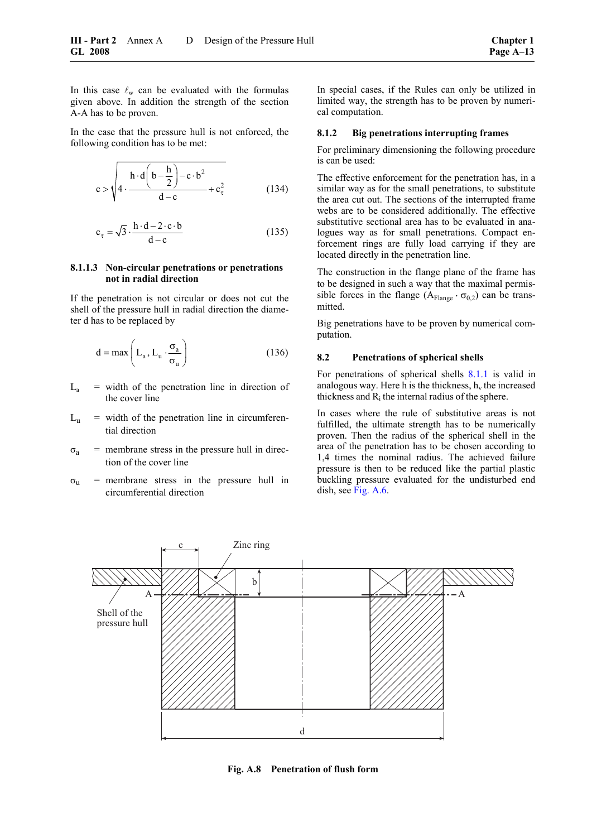In this case  $\ell_{\rm w}$  can be evaluated with the formulas given above. In addition the strength of the section A-A has to be proven.

In the case that the pressure hull is not enforced, the following condition has to be met:

$$
c > \sqrt{4 \cdot \frac{h \cdot d\left(b - \frac{h}{2}\right) - c \cdot b^2}{d - c} + c_{\tau}^2}
$$
 (134)

$$
c_{\tau} = \sqrt{3} \cdot \frac{h \cdot d - 2 \cdot c \cdot b}{d - c} \tag{135}
$$

#### **8.1.1.3 Non-circular penetrations or penetrations not in radial direction**

If the penetration is not circular or does not cut the shell of the pressure hull in radial direction the diameter d has to be replaced by

$$
d = \max\left(L_a, L_u \cdot \frac{\sigma_a}{\sigma_u}\right) \tag{136}
$$

- $L<sub>a</sub>$  = width of the penetration line in direction of the cover line
- $L<sub>u</sub>$  = width of the penetration line in circumferential direction
- $\sigma_a$  = membrane stress in the pressure hull in direction of the cover line
- $\sigma_{u}$  = membrane stress in the pressure hull in circumferential direction

In special cases, if the Rules can only be utilized in limited way, the strength has to be proven by numerical computation.

#### **8.1.2 Big penetrations interrupting frames**

For preliminary dimensioning the following procedure is can be used:

The effective enforcement for the penetration has, in a similar way as for the small penetrations, to substitute the area cut out. The sections of the interrupted frame webs are to be considered additionally. The effective substitutive sectional area has to be evaluated in analogues way as for small penetrations. Compact enforcement rings are fully load carrying if they are located directly in the penetration line.

The construction in the flange plane of the frame has to be designed in such a way that the maximal permissible forces in the flange ( $A_{\text{Flange}} \cdot \sigma_{0,2}$ ) can be transmitted.

Big penetrations have to be proven by numerical computation.

#### **8.2 Penetrations of spherical shells**

For penetrations of spherical shells [8.1.1](#page-78-0) is valid in analogous way. Here h is the thickness,  $h<sub>v</sub>$  the increased thickness and  $R_i$  the internal radius of the sphere.

In cases where the rule of substitutive areas is not fulfilled, the ultimate strength has to be numerically proven. Then the radius of the spherical shell in the area of the penetration has to be chosen according to 1,4 times the nominal radius. The achieved failure pressure is then to be reduced like the partial plastic buckling pressure evaluated for the undisturbed end dish, see [Fig. A.6.](#page-78-1)



**Fig. A.8 Penetration of flush form**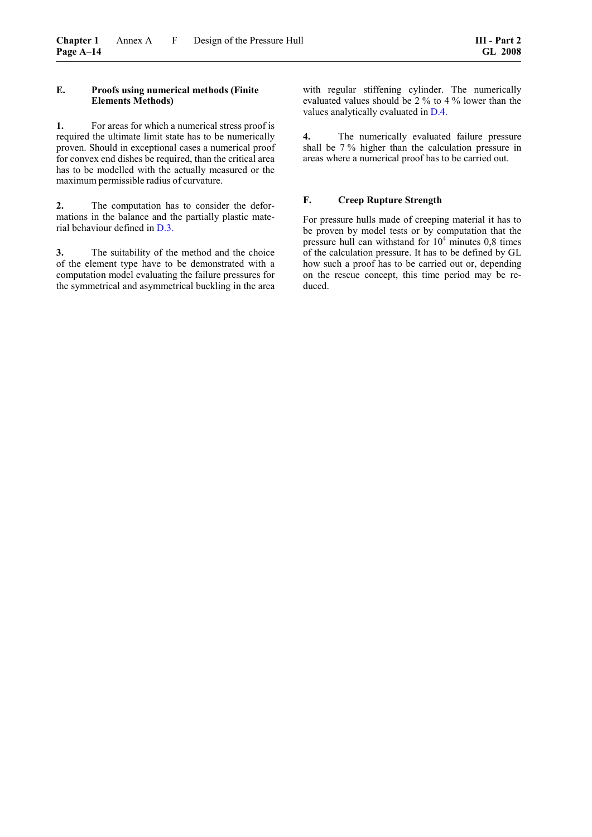## **E. Proofs using numerical methods (Finite Elements Methods)**

**1.** For areas for which a numerical stress proof is required the ultimate limit state has to be numerically proven. Should in exceptional cases a numerical proof for convex end dishes be required, than the critical area has to be modelled with the actually measured or the maximum permissible radius of curvature.

**2.** The computation has to consider the deformations in the balance and the partially plastic material behaviour defined in [D.3.](#page-71-0)

**3.** The suitability of the method and the choice of the element type have to be demonstrated with a computation model evaluating the failure pressures for the symmetrical and asymmetrical buckling in the area with regular stiffening cylinder. The numerically evaluated values should be 2 % to 4 % lower than the values analytically evaluated in [D.4.](#page-72-2) 

**4.** The numerically evaluated failure pressure shall be 7 % higher than the calculation pressure in areas where a numerical proof has to be carried out.

## **F. Creep Rupture Strength**

For pressure hulls made of creeping material it has to be proven by model tests or by computation that the pressure hull can withstand for  $10^4$  minutes 0,8 times of the calculation pressure. It has to be defined by GL how such a proof has to be carried out or, depending on the rescue concept, this time period may be reduced.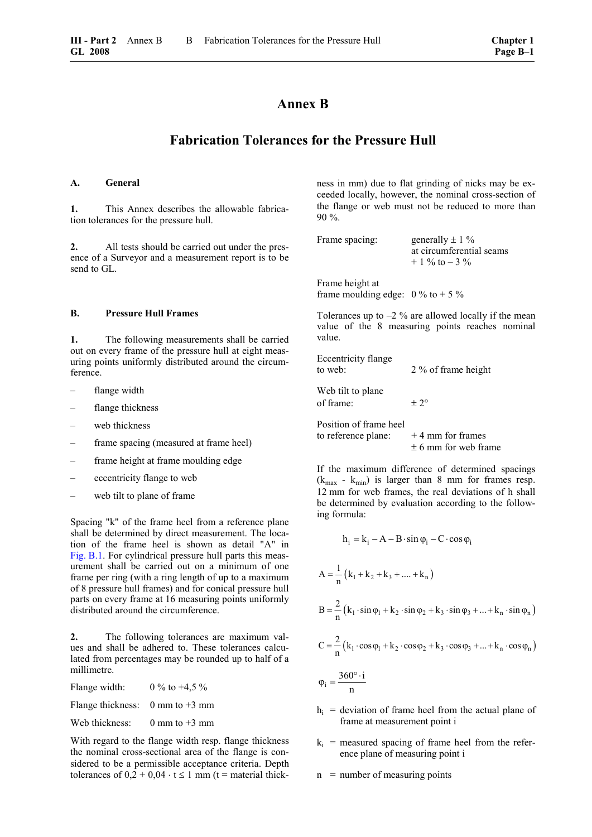# **Annex B**

## **Fabrication Tolerances for the Pressure Hull**

## **A. General**

**1.** This Annex describes the allowable fabrication tolerances for the pressure hull.

**2.** All tests should be carried out under the presence of a Surveyor and a measurement report is to be send to GL.

## **B. Pressure Hull Frames**

**1.** The following measurements shall be carried out on every frame of the pressure hull at eight measuring points uniformly distributed around the circumference.

- flange width
- flange thickness
- web thickness
- frame spacing (measured at frame heel)
- frame height at frame moulding edge
- eccentricity flange to web
- web tilt to plane of frame

Spacing "k" of the frame heel from a reference plane shall be determined by direct measurement. The location of the frame heel is shown as detail "A" in [Fig. B.1.](#page-83-0) For cylindrical pressure hull parts this measurement shall be carried out on a minimum of one frame per ring (with a ring length of up to a maximum of 8 pressure hull frames) and for conical pressure hull parts on every frame at 16 measuring points uniformly distributed around the circumference.

<span id="page-82-0"></span>**2.** The following tolerances are maximum values and shall be adhered to. These tolerances calculated from percentages may be rounded up to half of a millimetre.

| Flange width:                                       | 0 % to +4,5 %   |
|-----------------------------------------------------|-----------------|
| Flange thickness: $0 \text{ mm}$ to $+3 \text{ mm}$ |                 |
| Web thickness:                                      | 0 mm to $+3$ mm |

With regard to the flange width resp. flange thickness the nominal cross-sectional area of the flange is considered to be a permissible acceptance criteria. Depth tolerances of  $0,2 + 0,04 \cdot t \le 1$  mm (t = material thickness in mm) due to flat grinding of nicks may be exceeded locally, however, the nominal cross-section of the flange or web must not be reduced to more than 90 %.

```
Frame spacing: generally \pm 1 \%at circumferential seams 
         + 1 \% to - 3 \%
```
Frame height at frame moulding edge:  $0\%$  to  $+5\%$ 

Tolerances up to  $-2\%$  are allowed locally if the mean value of the 8 measuring points reaches nominal value.

| <b>Eccentricity flange</b><br>to web:         | 2 % of frame height                            |
|-----------------------------------------------|------------------------------------------------|
| Web tilt to plane<br>of frame:                | $+2^{\circ}$                                   |
| Position of frame heel<br>to reference plane: | $+4$ mm for frames<br>$\pm$ 6 mm for web frame |

If the maximum difference of determined spacings  $(k_{max} - k_{min})$  is larger than 8 mm for frames resp. 12 mm for web frames, the real deviations of h shall be determined by evaluation according to the following formula:

$$
h_{i} = k_{i} - A - B \cdot \sin \varphi_{i} - C \cdot \cos \varphi_{i}
$$
  
\n
$$
A = \frac{1}{n} (k_{1} + k_{2} + k_{3} + .... + k_{n})
$$
  
\n
$$
B = \frac{2}{n} (k_{1} \cdot \sin \varphi_{1} + k_{2} \cdot \sin \varphi_{2} + k_{3} \cdot \sin \varphi_{3} + .... + k_{n} \cdot \sin \varphi_{n})
$$
  
\n
$$
C = \frac{2}{n} (k_{1} \cdot \cos \varphi_{1} + k_{2} \cdot \cos \varphi_{2} + k_{3} \cdot \cos \varphi_{3} + .... + k_{n} \cdot \cos \varphi_{n})
$$
  
\n
$$
\varphi_{i} = \frac{360^{\circ} \cdot i}{n}
$$

- $h_i$  = deviation of frame heel from the actual plane of frame at measurement point i
- $k_i$  = measured spacing of frame heel from the reference plane of measuring point i
- $n =$  number of measuring points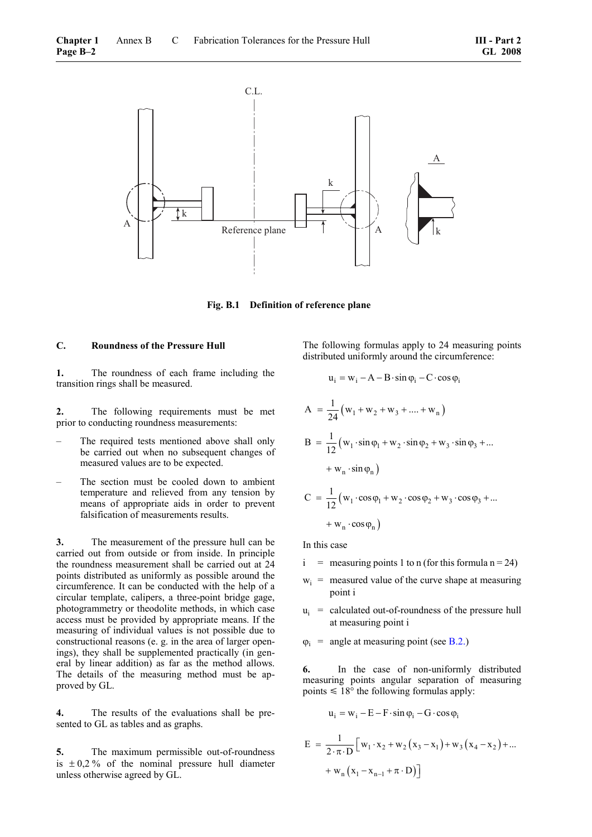<span id="page-83-0"></span>

**Fig. B.1 Definition of reference plane** 

## **C. Roundness of the Pressure Hull**

**1.** The roundness of each frame including the transition rings shall be measured.

**2.** The following requirements must be met prior to conducting roundness measurements:

- The required tests mentioned above shall only be carried out when no subsequent changes of measured values are to be expected.
- The section must be cooled down to ambient temperature and relieved from any tension by means of appropriate aids in order to prevent falsification of measurements results.

**3.** The measurement of the pressure hull can be carried out from outside or from inside. In principle the roundness measurement shall be carried out at 24 points distributed as uniformly as possible around the circumference. It can be conducted with the help of a circular template, calipers, a three-point bridge gage, photogrammetry or theodolite methods, in which case access must be provided by appropriate means. If the measuring of individual values is not possible due to constructional reasons (e. g. in the area of larger openings), they shall be supplemented practically (in general by linear addition) as far as the method allows. The details of the measuring method must be approved by GL.

**4.** The results of the evaluations shall be presented to GL as tables and as graphs.

<span id="page-83-1"></span>**5.** The maximum permissible out-of-roundness is  $\pm$  0,2 % of the nominal pressure hull diameter unless otherwise agreed by GL.

The following formulas apply to 24 measuring points distributed uniformly around the circumference:

$$
u_{i} = w_{i} - A - B \cdot \sin \varphi_{i} - C \cdot \cos \varphi_{i}
$$
  
\n
$$
A = \frac{1}{24} (w_{1} + w_{2} + w_{3} + .... + w_{n})
$$
  
\n
$$
B = \frac{1}{12} (w_{1} \cdot \sin \varphi_{1} + w_{2} \cdot \sin \varphi_{2} + w_{3} \cdot \sin \varphi_{3} + ....
$$
  
\n
$$
+ w_{n} \cdot \sin \varphi_{n})
$$
  
\n
$$
C = \frac{1}{12} (w_{1} \cdot \cos \varphi_{1} + w_{2} \cdot \cos \varphi_{2} + w_{3} \cdot \cos \varphi_{3} + ....
$$
  
\n
$$
+ w_{n} \cdot \cos \varphi_{n})
$$

In this case

- $i$  = measuring points 1 to n (for this formula n = 24)
- $w_i$  = measured value of the curve shape at measuring point i
- $u_i$  = calculated out-of-roundness of the pressure hull at measuring point i
- $\varphi_i$  = angle at measuring point (see [B.2.\)](#page-82-0)

**6.** In the case of non-uniformly distributed measuring points angular separation of measuring points  $\leq 18^{\circ}$  the following formulas apply:

$$
u_i = w_i - E - F \cdot \sin \varphi_i - G \cdot \cos \varphi_i
$$

$$
E = \frac{1}{2 \cdot \pi \cdot D} \Big[ w_1 \cdot x_2 + w_2 (x_3 - x_1) + w_3 (x_4 - x_2) + ... + w_n (x_1 - x_{n-1} + \pi \cdot D) \Big]
$$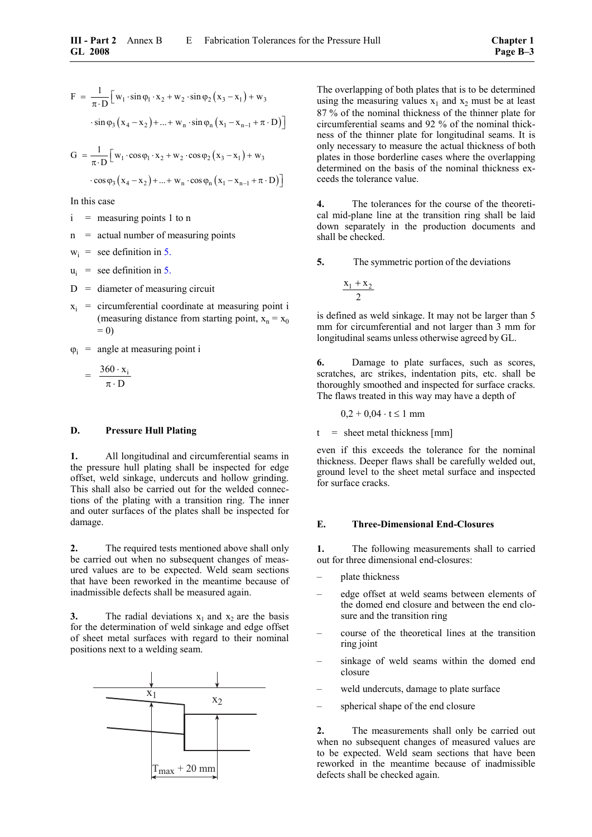$$
F = \frac{1}{\pi \cdot D} \Big[ w_1 \cdot \sin \varphi_1 \cdot x_2 + w_2 \cdot \sin \varphi_2 (x_3 - x_1) + w_3
$$

$$
\cdot \sin \varphi_3 (x_4 - x_2) + \dots + w_n \cdot \sin \varphi_n (x_1 - x_{n-1} + \pi \cdot D) \Big]
$$

$$
G = \frac{1}{\pi \cdot D} \Big[ w_1 \cdot \cos \varphi_1 \cdot x_2 + w_2 \cdot \cos \varphi_2 (x_3 - x_1) + w_3
$$

$$
\cdot \cos \varphi_3 (x_4 - x_2) + ... + w_n \cdot \cos \varphi_n (x_1 - x_{n-1} + \pi \cdot D) \Big]
$$

In this case

- $i$  = measuring points 1 to n
- $n =$  actual number of measuring points
- $w_i$  = see definition in [5.](#page-83-1)
- $u_i$  = see definition in [5.](#page-83-1)
- $D =$  diameter of measuring circuit
- $x_i$  = circumferential coordinate at measuring point i (measuring distance from starting point,  $x_n = x_0$ )  $= 0$

 $\varphi_i$  = angle at measuring point i

$$
= \frac{360 \cdot x_i}{\pi \cdot D}
$$

#### **D. Pressure Hull Plating**

**1.** All longitudinal and circumferential seams in the pressure hull plating shall be inspected for edge offset, weld sinkage, undercuts and hollow grinding. This shall also be carried out for the welded connections of the plating with a transition ring. The inner and outer surfaces of the plates shall be inspected for damage.

**2.** The required tests mentioned above shall only be carried out when no subsequent changes of measured values are to be expected. Weld seam sections that have been reworked in the meantime because of inadmissible defects shall be measured again.

<span id="page-84-0"></span>**3.** The radial deviations  $x_1$  and  $x_2$  are the basis for the determination of weld sinkage and edge offset of sheet metal surfaces with regard to their nominal positions next to a welding seam.



The overlapping of both plates that is to be determined using the measuring values  $x_1$  and  $x_2$  must be at least 87 % of the nominal thickness of the thinner plate for circumferential seams and 92 % of the nominal thickness of the thinner plate for longitudinal seams. It is only necessary to measure the actual thickness of both plates in those borderline cases where the overlapping determined on the basis of the nominal thickness exceeds the tolerance value.

**4.** The tolerances for the course of the theoretical mid-plane line at the transition ring shall be laid down separately in the production documents and shall be checked.

**5.** The symmetric portion of the deviations

$$
\frac{x_1+x_2}{2}\\
$$

is defined as weld sinkage. It may not be larger than 5 mm for circumferential and not larger than 3 mm for longitudinal seams unless otherwise agreed by GL.

**6.** Damage to plate surfaces, such as scores, scratches, arc strikes, indentation pits, etc. shall be thoroughly smoothed and inspected for surface cracks. The flaws treated in this way may have a depth of

$$
0,2 + 0,04 \cdot t \le 1
$$
 mm

 $t =$  sheet metal thickness [mm]

even if this exceeds the tolerance for the nominal thickness. Deeper flaws shall be carefully welded out, ground level to the sheet metal surface and inspected for surface cracks.

#### **E. Three-Dimensional End-Closures**

**1.** The following measurements shall to carried out for three dimensional end-closures:

- plate thickness
- edge offset at weld seams between elements of the domed end closure and between the end closure and the transition ring
- course of the theoretical lines at the transition ring joint
- sinkage of weld seams within the domed end closure
- weld undercuts, damage to plate surface
- spherical shape of the end closure

**2.** The measurements shall only be carried out when no subsequent changes of measured values are to be expected. Weld seam sections that have been reworked in the meantime because of inadmissible defects shall be checked again.